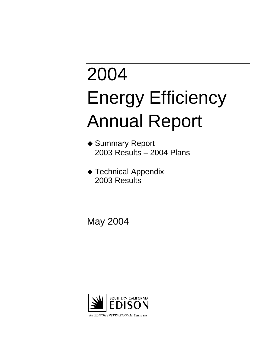# 2004 Energy Efficiency Annual Report

- ◆ Summary Report 2003 Results – 2004 Plans
- ◆ Technical Appendix 2003 Results

May 2004

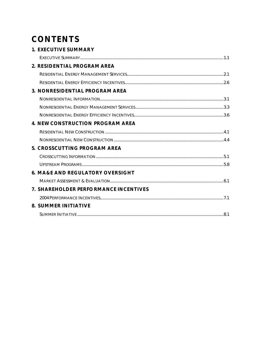# **CONTENTS**

| <b>1. EXECUTIVE SUMMARY</b>                 |  |
|---------------------------------------------|--|
|                                             |  |
| 2. RESIDENTIAL PROGRAM AREA                 |  |
|                                             |  |
|                                             |  |
| 3. NONRESIDENTIAL PROGRAM AREA              |  |
|                                             |  |
|                                             |  |
|                                             |  |
| <b>4. NEW CONSTRUCTION PROGRAM AREA</b>     |  |
|                                             |  |
|                                             |  |
| 5. CROSSCUTTING PROGRAM AREA                |  |
|                                             |  |
|                                             |  |
| <b>6. MA&amp;E AND REGULATORY OVERSIGHT</b> |  |
|                                             |  |
| 7. SHAREHOLDER PERFORMANCE INCENTIVES       |  |
|                                             |  |
| <b>8. SUMMER INITIATIVE</b>                 |  |
|                                             |  |
|                                             |  |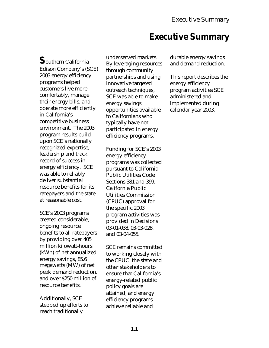# **Executive Summary**

**S**outhern California Edison Company's (SCE) 2003 energy efficiency programs helped customers live more comfortably, manage their energy bills, and operate more efficiently in California's competitive business environment. The 2003 program results build upon SCE's nationally recognized expertise, leadership and track record of success in energy efficiency. SCE was able to reliably deliver substantial resource benefits for its ratepayers and the state at reasonable cost.

SCE's 2003 programs created considerable, ongoing resource benefits to all ratepayers by providing over 405 million kilowatt-hours (kWh) of net annualized energy savings, 85.6 megawatts (MW) of net peak demand reduction, and over \$250 million of resource benefits.

Additionally, SCE stepped up efforts to reach traditionally

underserved markets. By leveraging resources through community partnerships and using innovative targeted outreach techniques. SCE was able to make energy savings opportunities available to Californians who typically have not participated in energy efficiency programs.

Funding for SCE's 2003 energy efficiency programs was collected pursuant to California Public Utilities Code Sections 381 and 399. California Public Utilities Commission (CPUC) approval for the specific 2003 program activities was provided in Decisions 03-01-038, 03-03-028, and 03-04-055.

SCE remains committed to working closely with the CPUC, the state and other stakeholders to ensure that California's energy-related public policy goals are attained, and energy efficiency programs achieve reliable and

durable energy savings and demand reduction.

This report describes the energy efficiency program activities SCE administered and implemented during calendar year 2003.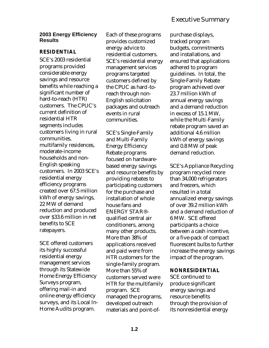### **2003 Energy Efficiency Results**

#### **RESIDENTIAL**

SCE's 2003 residential programs provided considerable energy savings and resource benefits while reaching a significant number of hard-to-reach (HTR) customers. The CPUC's current definition of residential HTR segments includes customers living in rural communities, multifamily residences, moderate-income households and non-English speaking customers. In 2003 SCE's residential energy efficiency programs created over 67.5 million kWh of energy savings, 22 MW of demand reduction and produced over \$33.6 million in net benefits to SCE ratepayers.

SCE offered customers its highly successful residential energy management services through its Statewide Home Energy Efficiency Surveys program, offering mail-in and online energy efficiency surveys, and its Local In-Home Audits program.

Each of these programs provides customized energy advice to residential customers. SCE's residential energy management services programs targeted customers defined by the CPUC as hard-toreach through non-English solicitation packages and outreach events in rural communities.

SCE's Single-Family and Multi-Family Energy Efficiency Rebate programs focused on hardwarebased energy savings and resource benefits by providing rebates to participating customers for the purchase and installation of whole house fans and ENERGY STAR® qualified central air conditioners, among many other products. More than 38% of applications received and paid were from HTR customers for the single-family program. More than 55% of customers served were HTR for the multifamily program. SCE managed the programs, developed outreach materials and point-of-

purchase displays, tracked program budgets, commitments and installations, and ensured that applications adhered to program guidelines. In total, the Single-Family Rebate program achieved over 23.7 million kWh of annual energy savings and a demand reduction in excess of 15.1 MW, while the Multi-Family rebate program saved an additional 4.6 million kWh of energy savings and 0.8 MW of peak demand reduction.

SCE's Appliance Recycling program recycled more than 34,000 refrigerators and freezers, which resulted in a total annualized energy savings of over 39.2 million kWh and a demand reduction of 6 MW. SCE offered participants a choice between a cash incentive, or a five-pack of compact fluorescent bulbs to further increase the energy savings impact of the program.

#### **NONRESIDENTIAL**

SCE continued to produce significant energy savings and resource benefits through the provision of its nonresidential energy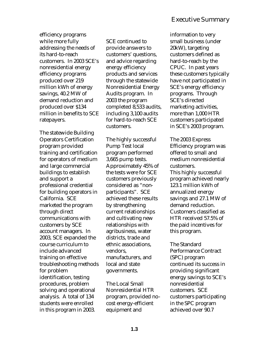efficiency programs while more fully addressing the needs of its hard-to-reach customers. In 2003 SCE's nonresidential energy efficiency programs produced over 219 million kWh of energy savings, 40.2 MW of demand reduction and produced over \$134 million in benefits to SCE ratepayers.

The statewide Building Operators Certification program provided training and certification for operators of medium and large commercial buildings to establish and support a professional credential for building operators in California. SCE marketed the program through direct communications with customers by SCE account managers. In 2003, SCE expanded the course curriculum to include advanced training on effective troubleshooting methods for problem identification, testing procedures, problem solving and operational analysis. A total of 134 students were enrolled in this program in 2003.

SCE continued to provide answers to customers' questions, and advice regarding energy efficiency products and services through the statewide Nonresidential Energy Audits program. In 2003 the program completed 8,533 audits, including 3,100 audits for hard-to-reach SCE customers.

The highly successful Pump Test local program performed 3,665 pump tests. Approximately 45% of the tests were for SCE customers previously considered as "nonparticipants". SCE achieved these results by strengthening current relationships and cultivating new relationships with agribusiness, water districts, trade and ethnic associations, vendors, manufacturers, and local and state governments.

The Local Small Nonresidential HTR program, provided nocost energy-efficient equipment and

information to very small business (under 20kW), targeting customers defined as hard-to-reach by the CPUC. In past years these customers typically have not participated in SCE's energy efficiency programs. Through SCE's directed marketing activities, more than 1,000 HTR customers participated in SCE's 2003 program.

The 2003 Express Efficiency program was offered to small and medium nonresidential customers. This highly successful program achieved nearly 123.1 million kWh of annualized energy savings and 27.1 MW of demand reduction. Customers classified as HTR received 57.5% of the paid incentives for this program.

The Standard Performance Contract (SPC) program continued its success in providing significant energy savings to SCE's nonresidential customers. SCE customers participating in the SPC program achieved over 90.7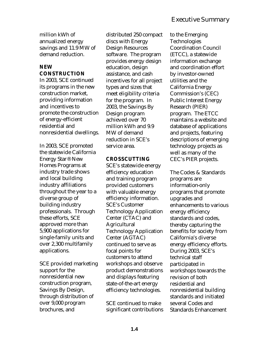million kWh of annualized energy savings and 11.9 MW of demand reduction.

# **NEW CONSTRUCTION**

In 2003, SCE continued its programs in the new construction market, providing information and incentives to promote the construction of energy-efficient residential and nonresidential dwellings.

In 2003, SCE promoted the statewide California Energy Star® New Homes Programs at industry trade shows and local building industry affiliations throughout the year to a diverse group of building industry professionals. Through these efforts, SCE approved more than 5,900 applications for single-family units and over 2,300 multifamily applications.

SCE provided marketing support for the nonresidential new construction program, Savings By Design, through distribution of over 9,000 program brochures, and

distributed 250 compact discs with Energy Design Resources software. The program provides energy design education, design assistance, and cash incentives for all project types and sizes that meet eligibility criteria for the program. In 2003, the Savings By Design program achieved over 70 million kWh and 9.9 MW of demand reduction in SCE's service area.

# **CROSSCUTTING**

SCE's statewide energy efficiency education and training program provided customers with valuable energy efficiency information. SCE's Customer Technology Application Center (CTAC) and Agricultural Technology Application Center (AGTAC) continued to serve as focal points for customers to attend workshops and observe product demonstrations and displays featuring state-of-the-art energy efficiency technologies.

SCE continued to make significant contributions

to the Emerging Technologies Coordination Council (ETCC), a statewide information exchange and coordination effort by investor-owned utilities and the California Energy Commission's (CEC) Public Interest Energy Research (PIER) program. The ETCC maintains a website and database of applications and projects, featuring descriptions of emerging technology projects as well as many of the CEC's PIER projects.

The Codes & Standards programs are information-only programs that promote upgrades and enhancements to various energy efficiency standards and codes, thereby capturing the benefits for society from California's diverse energy efficiency efforts. During 2003, SCE's technical staff participated in workshops towards the revision of both residential and nonresidential building standards and initiated several Codes and Standards Enhancement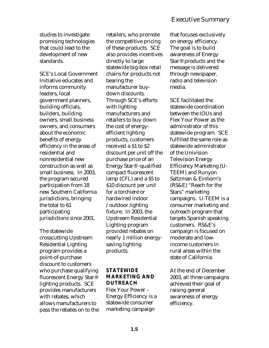studies to investigate promising technologies that could lead to the development of new standards.

SCE's Local Government Initiative educates and informs community leaders, local government planners, building officials, builders, building owners, small business owners, and consumers about the economic benefits of energy efficiency in the areas of residential and nonresidential new construction as well as small business. In 2003, the program secured participation from 18 new Southern California jurisdictions, bringing the total to 61 participating jurisdictions since 2001.

The statewide crosscutting Upstream Residential Lighting program provides a point-of-purchase discount to customers who purchase qualifying fluorescent Energy Star® lighting products. SCE provides manufacturers with rebates, which allows manufacturers to pass the rebates on to the retailers, who promote the competitive pricing of these products. SCE also provides incentives directly to large statewide big-box retail chains for products not bearing the manufacturer buydown discounts. Through SCE's efforts with lighting manufacturers and retailers to buy down the cost of energyefficient lighting products, customers received a \$1 to \$2 discount per unit off the purchase price of an Energy Star® -qualified compact fluorescent lamp (CFL) and a \$5 to \$10 discount per unit for a torchiere or hardwired indoor /outdoor lighting fixture. In 2003, the Upstream Residential Lighting program provided rebates on nearly 1 million energysaving lighting products.

# **STATEWIDE MARKETING AND OUTREACH**

Flex Your Power – Energy Efficiency is a statewide consumer marketing campaign

that focuses exclusively on energy efficiency. The goal is to build awareness of Energy Star® products and the message is delivered through newspaper, radio and television media.

SCE facilitated the statewide coordination between the IOUs and Flex Your Power as the administrator of this statewide program. SCE fulfilled the same role as statewide administrator of the Univision Television Energy Efficiency Marketing (U-TEEM) and Runyon Saltzman & Einhorn's (RS&E) "Reach for the Stars" marketing campaigns. U-TEEM is a consumer marketing and outreach program that targets Spanish speaking customers. RS&E's campaign is focused on moderate and lowincome customers in rural areas within the state of California.

At the end of December 2003, all three campaigns achieved their goal of raising general awareness of energy efficiency.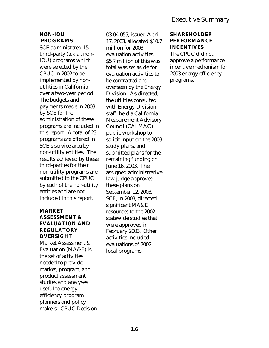# **NON-IOU PROGRAMS**

SCE administered 15 third-party (a.k.a., non-IOU) programs which were selected by the CPUC in 2002 to be implemented by nonutilities in California over a two-year period. The budgets and payments made in 2003 by SCE for the administration of these programs are included in this report. A total of 23 programs are offered in SCE's service area by non-utility entities. The results achieved by these third-parties for their non-utility programs are submitted to the CPUC by each of the non-utility entities and are not included in this report.

#### **MARKET ASSESSMENT & EVALUATION AND REGULATORY OVERSIGHT**

Market Assessment & Evaluation (MA&E) is the set of activities needed to provide market, program, and product assessment studies and analyses useful to energy efficiency program planners and policy makers. CPUC Decision 03-04-055, issued April 17, 2003, allocated \$10.7 million for 2003 evaluation activities. \$5.7 million of this was total was set aside for evaluation activities to be contracted and overseen by the Energy Division. As directed, the utilities consulted with Energy Division staff, held a California Measurement Advisory Council (CALMAC) public workshop to solicit input on the 2003 study plans, and submitted plans for the remaining funding on June 16, 2003. The assigned administrative law judge approved these plans on September 12, 2003. SCE, in 2003, directed significant MA&E resources to the 2002 statewide studies that were approved in February 2003. Other activities included evaluations of 2002 local programs.

# **SHAREHOLDER PERFORMANCE INCENTIVES**

The CPUC did not approve a performance incentive mechanism for 2003 energy efficiency programs.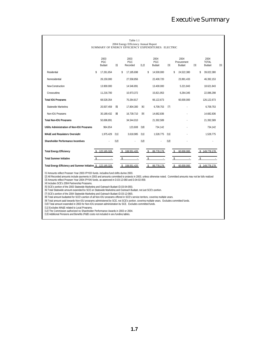|                                                              |                              |            |    | Table 1.1<br>2004 Energy Efficiency Annual Report<br>SUMMARY OF ENERGY EFFICIENCY EXPENDITURES: ELECTRIC |       |                    |                              |                   |                    |                               |       |                                |       |
|--------------------------------------------------------------|------------------------------|------------|----|----------------------------------------------------------------------------------------------------------|-------|--------------------|------------------------------|-------------------|--------------------|-------------------------------|-------|--------------------------------|-------|
|                                                              | 2003<br>PGC<br><b>Budget</b> | [1]        |    | 2003<br>PGC<br>Recorded                                                                                  | [1.2] |                    | 2004<br>PGC<br><b>Budget</b> | $\lceil 3 \rceil$ |                    | 2004<br>Procurement<br>Budget | $[3]$ | 2004<br><b>TOTAL</b><br>Budget | $[3]$ |
| Residential                                                  | \$<br>17.261.654             |            | \$ | 17.185.698                                                                                               |       | \$                 | 14.500.000                   |                   | \$                 | 24.522.380                    |       | \$<br>39.022.380               |       |
| Nonresidential                                               | 26.150.000                   |            |    | 27.558.856                                                                                               |       |                    | 22.400.720                   |                   |                    | 23.991.433                    |       | 46.392.153                     |       |
| New Construction                                             | 13.900.000                   |            |    | 14.546.891                                                                                               |       |                    | 13.400.000                   |                   |                    | 5.221.843                     |       | 18.621.843                     |       |
| Crosscuttina                                                 | 11.216.700                   |            |    | 10.973.372                                                                                               |       |                    | 15.821.953                   |                   |                    | 6.264.345                     |       | 22.086.298                     |       |
| <b>Total IOU Programs</b>                                    | 68.528.354                   |            |    | 70.264.817                                                                                               |       |                    | 66.122.673                   |                   |                    | 60.000.000                    |       | 126.122.673                    |       |
| Statewide Marketing                                          | 20.507.459                   | $\sqrt{5}$ |    | 17.804.300                                                                                               | [6]   |                    | 6.709.753                    | [7]               |                    |                               |       | 6.709.753                      |       |
| Non-IOU Programs                                             | 30.189.432                   | [8]        |    | 16.739.710                                                                                               | [9]   |                    | 14.682.836                   |                   |                    |                               |       | 14.682.836                     |       |
| <b>Total Non-IOU Programs</b>                                | 50.696.891                   |            |    | 34.544.010                                                                                               |       |                    | 21.392.589                   |                   |                    |                               |       | 21.392.589                     |       |
| Utility Administration of Non-IOU Programs                   | 964.654                      |            |    | 123.608                                                                                                  | [10]  |                    | 734.142                      |                   |                    |                               |       | 734.142                        |       |
| <b>MA&amp;E and Requlatory Oversight</b>                     | 1.975.429                    | [11]       |    | 3.618.985                                                                                                | [11]  |                    | 1.528.775                    | [11]              |                    |                               |       | 1.528.775                      |       |
| <b>Shareholder Performance Incentives</b>                    |                              | [12]       |    |                                                                                                          | [12]  |                    |                              | [12]              |                    |                               |       |                                |       |
| <b>Total Energy Efficiency</b>                               | 122.165.328                  |            |    | \$108,551,420                                                                                            |       | $\mathcal{S}$      | 89.778.178                   |                   | $\hat{\mathbf{x}}$ | 60.000.000                    |       | \$149.778.178                  |       |
| <b>Total Summer Initiative</b>                               |                              |            | Ŝ. |                                                                                                          |       | $\hat{\mathbf{S}}$ |                              |                   |                    |                               |       |                                |       |
| Total Energy Efficiency and Summer Initiative \$ 122.165.328 |                              |            |    | \$108.551.420                                                                                            |       | $\mathbf{\hat{s}}$ | 89.778.178                   |                   | \$                 | 60.000.000                    |       | \$149,778,178                  |       |

[1] Amounts reflect Program Year 2003 (PY03) funds, including fund shifts during 2003.

[2] All Recorded amounts include payments in 2003 and amounts committed to projects in 2003, unless otherwise noted. Committed amounts may not be fully realized [3] Amounts reflect Program Year 2004 (PY04) funds, as approved in D.03-12-060 and D.04-02-059.

[4] Includes SCE's 2004 Partnership Programs.

[5] SCE's portion of the 2003 Statewide Marketing and Outreach Budget (D.03-04-055).

[6] Total Statewide amount expended by SCE on Statewide Marketing and Outreach Budget, not iust SCE's portion.

[7] SCE's portion of the 2004 Statewide Marketing and Outreach Budget (D.03-12-060).

[8] Total amount budgeted for SCE's portion of all Non-IOU programs offered in SCE's service territory, covering multiple vears.

[9] Total amount paid towards Non-IOU programs administered by SCE, not SCE's portion, covering multiple years. Excludes committed funds.

[10] Total amount expended in 2003 for Non-IOU program administration by SCE. Excludes committed funds.

[11] Excludes MA&E related to Local Programs.

[12] The Commission authorized no Shareholder Performance Awards in 2003 or 2004.

[13] Additional Pensions and Benefits (P&B) costs not included in anv funding tables.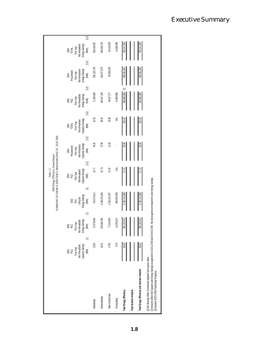|                                                                                                                                                                                                                                                                            |                                                                         |                                                                                    |                                                               | 2004 Energy Efficiency Annual Report<br>Table 1.2                                           | SUMMARY OF ENERGY EFFICIENCY PROGRAM EFFECTS: ELECTRIC                                   |                                                                                              |                                                                            |                                                                                              |                                                                                   |
|----------------------------------------------------------------------------------------------------------------------------------------------------------------------------------------------------------------------------------------------------------------------------|-------------------------------------------------------------------------|------------------------------------------------------------------------------------|---------------------------------------------------------------|---------------------------------------------------------------------------------------------|------------------------------------------------------------------------------------------|----------------------------------------------------------------------------------------------|----------------------------------------------------------------------------|----------------------------------------------------------------------------------------------|-----------------------------------------------------------------------------------|
|                                                                                                                                                                                                                                                                            | Capacity Savings<br>Net Annualized<br>2003<br>PGC<br>First Year<br>(MM) | Net Annualized<br>Energy Savings<br>(kWh)<br>2003<br>PGC<br>First Year<br>$\equiv$ | Ξ<br>Lifecycle<br>Energy Savings<br>(kWh)<br>2003<br>PGC<br>Ξ | $\Xi$<br>2004<br>PGC<br>First Year<br>Wet Amualized<br>Qapacity Savings<br>Capacity Savings | $\Xi$<br>First Year<br>Net Annualized<br>Capacity Savings<br>(MM)<br>2004<br>Procurement | $\Xi$<br>2004<br>TOTAL<br>First Year<br>Net Annualized<br>Net Annualized<br>Capacity Savings | $\Xi$<br>First Year<br>Net Amualized<br>Energy Savings<br>(kWh)<br>a<br>RE | $[1, 2]$<br>First Year<br>Net Annualized<br>Energy Savings<br>(KWh)<br>Procurement<br>$2004$ | [1,2]<br>Energy Savings<br>(KWh)<br>2004<br>TOTAL<br>First Year<br>Net Annualized |
| Residential                                                                                                                                                                                                                                                                | 22.00                                                                   | 67,579,456                                                                         | 743,374,011                                                   | 16.77                                                                                       | 44.26                                                                                    | $61.03$                                                                                      | 71,300,638                                                                 | 258, 135, 749                                                                                | 329,436,387                                                                       |
| Nomesidential                                                                                                                                                                                                                                                              | 40.15                                                                   | 219,044,796                                                                        | 3,248,153,484                                                 | 32.74                                                                                       | 27.58                                                                                    | 60.33                                                                                        | 166,417,158                                                                | 164,077,576                                                                                  | 330,494,734                                                                       |
| New Construction                                                                                                                                                                                                                                                           | 17.65                                                                   | 77,241,005                                                                         | 1,250,152,407                                                 | 14.08                                                                                       | 11.00                                                                                    | 25.08                                                                                        | 48,047,277                                                                 | 36,368,556                                                                                   | 84,415,833                                                                        |
| Crosscutting                                                                                                                                                                                                                                                               | 5.79                                                                    | 41,255,257                                                                         | 495,063,085                                                   | 3.91                                                                                        |                                                                                          | 3.91                                                                                         | 14,900,885                                                                 |                                                                                              | 14,900,885                                                                        |
| Total Energy Efficiency                                                                                                                                                                                                                                                    | 85.59                                                                   | 405,120,513<br>∥                                                                   | 5,736,742,988                                                 | 67.51                                                                                       | 82.84                                                                                    | 150.35                                                                                       | $\Xi$<br>300,665,958                                                       | 458,581,88                                                                                   | 759,247,839                                                                       |
| Total Summer Initiative                                                                                                                                                                                                                                                    |                                                                         | ∥                                                                                  |                                                               |                                                                                             |                                                                                          |                                                                                              |                                                                            |                                                                                              |                                                                                   |
| Total Energy Efficiency and Summer Initiative                                                                                                                                                                                                                              | 85.59                                                                   | 405,120,513<br>I                                                                   | 5,736,742,988                                                 |                                                                                             | $\frac{84}{2}$                                                                           | 150.35                                                                                       | 300,665,958                                                                | 458,581,881                                                                                  | 759,247,839                                                                       |
| [2] Amounts reflect Net Capacity and Energy Savings as approved in D.03-12-060 and D.04-02-059. Not all programs are required to claim energy savings.<br>[1] Net Savings reflect Commission-adopted net-to-gross ratios.<br>[3] Includes SCE's 2004 Partnership Programs. |                                                                         |                                                                                    |                                                               |                                                                                             |                                                                                          |                                                                                              |                                                                            |                                                                                              |                                                                                   |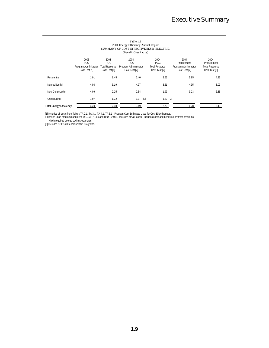|                                |                                                              |                                                              | Table 1.3<br>2004 Energy Efficiency Annual Report<br>SUMMARY OF COST-EFFECTIVENESS: ELECTRIC<br>(Benefit-Cost Ratios) |                                                              |                                                               |                                                               |
|--------------------------------|--------------------------------------------------------------|--------------------------------------------------------------|-----------------------------------------------------------------------------------------------------------------------|--------------------------------------------------------------|---------------------------------------------------------------|---------------------------------------------------------------|
|                                | 2003<br><b>PGC</b><br>Program Administrator<br>Cost Test [1] | 2003<br><b>PGC</b><br><b>Total Resource</b><br>Cost Test [1] | 2004<br><b>PGC</b><br>Program Administrator<br>Cost Test [2]                                                          | 2004<br><b>PGC</b><br><b>Total Resource</b><br>Cost Test [2] | 2004<br>Procurement<br>Program Administrator<br>Cost Test [2] | 2004<br>Procurement<br><b>Total Resource</b><br>Cost Test [2] |
| Residential                    | 1.91                                                         | 1.45                                                         | 2.40                                                                                                                  | 2.63                                                         | 5.85                                                          | 4.25                                                          |
| Nonresidential                 | 4.80                                                         | 3.19                                                         | 4.97                                                                                                                  | 3.61                                                         | 4.35                                                          | 3.09                                                          |
| New Construction               | 4.09                                                         | 2.25                                                         | 2.54                                                                                                                  | 1.99                                                         | 3.23                                                          | 2.35                                                          |
| Crosscutting                   | 1.97                                                         | 1.32                                                         | [3]<br>1.07                                                                                                           | 1.23                                                         | $\left[ \begin{smallmatrix} 3 \end{smallmatrix} \right]$      |                                                               |
| <b>Total Energy Efficiency</b> | 3.49                                                         | 2.30                                                         | 3.19                                                                                                                  | 2.73                                                         | 4.78                                                          | 3.43                                                          |

[1] Includes all costs from Tables TA 2.1. TA 3.1. TA 4.1. TA 5.1 - Program Cost Estimates Used for Cost-Effectiveness.<br>[2] Based upon programs approved in D.03-12-060 and D.04-02-059. Includes MA&E costs. Includes costs a which required energy savings estimates.

[3] Includes SCE's 2004 Partnership Programs.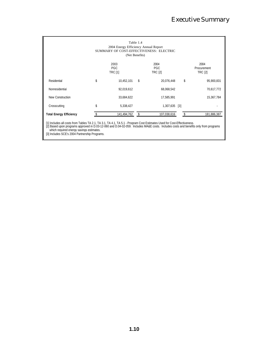|                                | 2004 Energy Efficiency Annual Report | Table 1.4<br>(Net Benefits) | SUMMARY OF COST-EFFECTIVENESS: ELECTRIC |                                       |
|--------------------------------|--------------------------------------|-----------------------------|-----------------------------------------|---------------------------------------|
|                                | 2003<br><b>PGC</b><br><b>TRC [1]</b> |                             | 2004<br><b>PGC</b><br><b>TRC [2]</b>    | 2004<br>Procurement<br><b>TRC [2]</b> |
| Residential                    | \$<br>10,452,101                     | \$                          | 20,076,448                              | \$<br>95,900,831                      |
| Nonresidential                 | 92,019,612                           |                             | 68,068,542                              | 70,617,772                            |
| New Construction               | 33,684,622                           |                             | 17,585,991                              | 15,367,784                            |
| Crosscutting                   | \$<br>5,338,427                      |                             | 1,307,635 [3]                           |                                       |
| <b>Total Energy Efficiency</b> | 141,494,762                          |                             | 107,038,616                             | 181,886,387                           |

[1] Includes all costs from Tables TA 2.1, TA 3.1, TA 4.1, TA 5.1 - Program Cost Estimates Used for Cost-Effectiveness.<br>[2] Based upon programs approved in D.03-12-060 and D.04-02-059. Includes MA&E costs. Includes costs which required energy savings estimates.

[3] Includes SCE's 2004 Partnership Programs.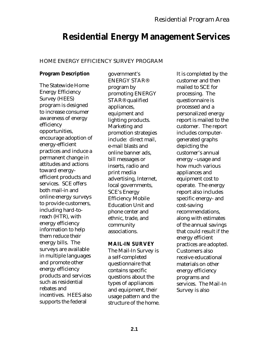# **Residential Energy Management Services**

### HOME ENERGY EFFICIENCY SURVEY PROGRAM

# **Program Description**

The Statewide Home Energy Efficiency Survey (HEES) program is designed to increase consumer awareness of energy efficiency opportunities, encourage adoption of energy-efficient practices and induce a permanent change in attitudes and actions toward energyefficient products and services. SCE offers both mail-in and online energy surveys to provide customers, including hard-toreach (HTR), with energy efficiency information to help them reduce their energy bills. The surveys are available in multiple languages and promote other energy efficiency products and services such as residential rebates and incentives. HEES also supports the federal

government's ENERGY STAR® program by promoting ENERGY STAR® qualified appliances, equipment and lighting products. Marketing and promotion strategies include: direct mail, e-mail blasts and online banner ads, bill messages or inserts, radio and print media advertising, Internet, local governments, SCE's Energy Efficiency Mobile Education Unit and phone center and ethnic, trade, and community associations.

### **MAIL-IN SURVEY**

The Mail-In Survey is a self-completed questionnaire that contains specific questions about the types of appliances and equipment, their usage pattern and the structure of the home. It is completed by the customer and then mailed to SCE for processing. The questionnaire is processed and a personalized energy report is mailed to the customer. The report includes computergenerated graphs depicting the customer's annual energy –usage and how much various appliances and equipment cost to operate. The energy report also includes specific energy- and cost-saving recommendations, along with estimates of the annual savings that could result if the energy efficient practices are adopted. Customers also receive educational materials on other energy efficiency programs and services. The Mail-In Survey is also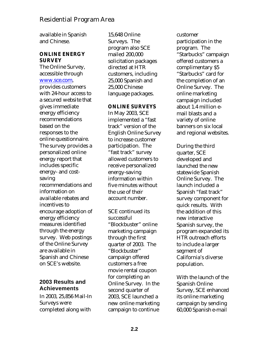available in Spanish and Chinese.

#### **ONLINE ENERGY SURVEY**

The Online Survey, accessible through www.sce.com, provides customers with 24-hour access to a secured website that gives immediate energy efficiency recommendations based on the responses to the online questionnaire. The survey provides a personalized online energy report that includes specific energy- and costsaving recommendations and information on available rebates and incentives to encourage adoption of energy efficiency measures identified through the energy survey. Web postings of the Online Survey are available in Spanish and Chinese on SCE's website.

# **2003 Results and Achievements**

In 2003, 25,856 Mail-In Surveys were completed along with

15,648 Online Surveys. The program also SCE mailed 200,000 solicitation packages directed at HTR customers, including 25,000 Spanish and 25,000 Chinese language packages.

### **ONLINE SURVEYS**

In May 2003, SCE implemented a "fast track" version of the English Online Survey to increase customer participation. The "fast track" survey allowed customers to receive personalized energy-saving information within five minutes without the use of their account number.

SCE continued its successful "Blockbuster" online marketing campaign through the first quarter of 2003. The "Blockbuster" campaign offered customers a free movie rental coupon for completing an Online Survey. In the second quarter of 2003, SCE launched a new online marketing campaign to continue

customer participation in the program. The "Starbucks" campaign offered customers a complimentary \$5 "Starbucks" card for the completion of an Online Survey. The online marketing campaign included about 1.4 million email blasts and a variety of online banners on six local and regional websites.

During the third quarter, SCE developed and launched the new statewide Spanish Online Survey. The launch included a Spanish "fast track" survey component for quick results. With the addition of this new interactive Spanish survey, the program expanded its HTR outreach efforts to include a larger segment of California's diverse population.

With the launch of the Spanish Online Survey, SCE enhanced its online marketing campaign by sending 60,000 Spanish e-mail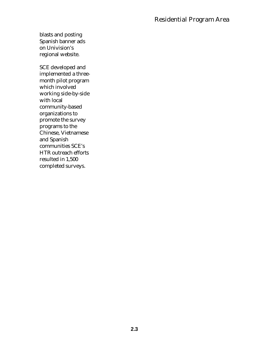blasts and posting Spanish banner ads on Univision's regional website.

SCE developed and implemented a threemonth pilot program which involved working side-by-side with local community-based organizations to promote the survey programs to the Chinese, Vietnamese and Spanish communities SCE's HTR outreach efforts resulted in 1,500 completed surveys.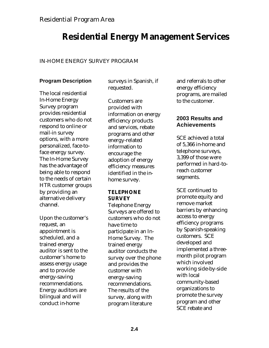# **Residential Energy Management Services**

### IN-HOME ENERGY SURVEY PROGRAM

# **Program Description**

The local residential In-Home Energy Survey program provides residential customers who do not respond to online or mail-in survey options, with a more personalized, face-toface energy survey. The In-Home Survey has the advantage of being able to respond to the needs of certain HTR customer groups by providing an alternative delivery channel.

Upon the customer's request, an appointment is scheduled, and a trained energy auditor is sent to the customer's home to assess energy usage and to provide energy-saving recommendations. Energy auditors are bilingual and will conduct in-home

surveys in Spanish, if requested.

Customers are provided with information on energy efficiency products and services, rebate programs and other energy-related information to encourage the adoption of energy efficiency measures identified in the inhome survey.

#### **TELEPHONE SURVEY**

Telephone Energy Surveys are offered to customers who do not have time to participate in an In-Home Survey. The trained energy auditor conducts the survey over the phone and provides the customer with energy-saving recommendations. The results of the survey, along with program literature

and referrals to other energy efficiency programs, are mailed to the customer.

# **2003 Results and Achievements**

SCE achieved a total of 5,366 in-home and telephone surveys, 3,399 of those were performed in hard-toreach customer segments.

SCE continued to promote equity and remove market barriers by enhancing access to energy efficiency programs by Spanish-speaking customers. SCE developed and implemented a threemonth pilot program which involved working side-by-side with local community-based organizations to promote the survey program and other SCE rebate and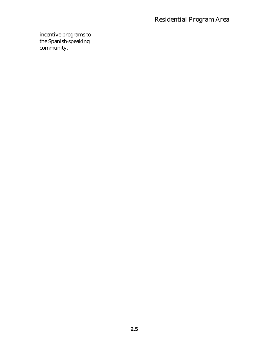incentive programs to the Spanish-speaking community.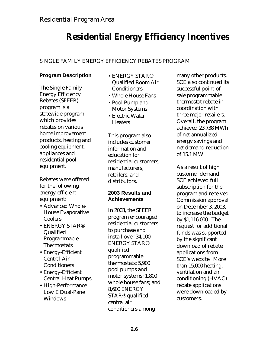# **Residential Energy Efficiency Incentives**

# SINGLE FAMILY ENERGY EFFICIENCY REBATES PROGRAM

### **Program Description**

The Single Family Energy Efficiency Rebates (SFEER) program is a statewide program which provides rebates on various home improvement products, heating and cooling equipment, appliances and residential pool equipment.

Rebates were offered for the following energy-efficient equipment:

- Advanced Whole-House Evaporative Coolers
- ENERGY STAR® Qualified Programmable **Thermostats**
- Energy-Efficient Central Air **Conditioners**
- Energy-Efficient Central Heat Pumps
- High-Performance Low E Dual-Pane Windows
- ENERGY STAR® Qualified Room Air **Conditioners**
- Whole House Fans
- Pool Pump and Motor Systems
- Electric Water **Heaters**

This program also includes customer information and education for residential customers, manufacturers, retailers, and distributors.

### **2003 Results and Achievements**

In 2003, the SFEER program encouraged residential customers to purchase and install over 34,100 ENERGY STAR® qualified programmable thermostats; 5,900 pool pumps and motor systems; 1,800 whole house fans; and 8,600 ENERGY STAR® qualified central air conditioners among

many other products. SCE also continued its successful point-ofsale programmable thermostat rebate in coordination with three major retailers. Overall, the program achieved 23,738 MWh of net annualized energy savings and net demand reduction of 15.1 MW.

As a result of high customer demand, SCE achieved full subscription for the program and received Commission approval on December 3, 2003, to increase the budget by \$1,116,000. The request for additional funds was supported by the significant download of rebate applications from SCE's website. More than 15,000 heating, ventilation and air conditioning (HVAC) rebate applications were downloaded by customers.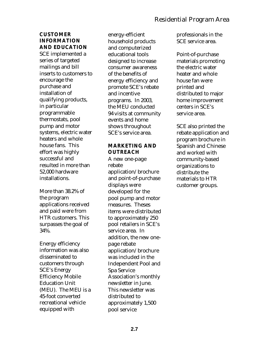### **CUSTOMER INFORMATION AND EDUCATION**

SCE implemented a series of targeted mailings and bill inserts to customers to encourage the purchase and installation of qualifying products, in particular programmable thermostats, pool pump and motor systems, electric water heaters and whole house fans. This effort was highly successful and resulted in more than 52,000 hardware installations.

More than 38.2% of the program applications received and paid were from HTR customers. This surpasses the goal of 34%.

Energy efficiency information was also disseminated to customers through SCE's Energy Efficiency Mobile Education Unit (MEU). The MEU is a 45-foot converted recreational vehicle equipped with

energy-efficient household products and computerized educational tools designed to increase consumer awareness of the benefits of energy efficiency and promote SCE's rebate and incentive programs. In 2003, the MEU conducted 94 visits at community events and home shows throughout SCE's service area.

#### **MARKETING AND OUTREACH**

A new one-page rebate application/brochure and point-of-purchase displays were developed for the pool pump and motor measures. Theses items were distributed to approximately 250 pool retailers in SCE's service area. In addition, the new onepage rebate application/brochure was included in the Independent Pool and Spa Service Association's monthly newsletter in June. This newsletter was distributed to approximately 1,500 pool service

professionals in the SCE service area.

Point-of-purchase materials promoting the electric water heater and whole house fan were printed and distributed to major home improvement centers in SCE's service area.

SCE also printed the rebate application and program brochure in Spanish and Chinese and worked with community-based organizations to distribute the materials to HTR customer groups.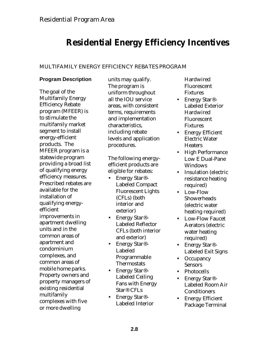# **Residential Energy Efficiency Incentives**

# MULTIFAMILY ENERGY EFFICIENCY REBATES PROGRAM

# **Program Description**

The goal of the Multifamily Energy Efficiency Rebate program (MFEER) is to stimulate the multifamily market segment to install energy-efficient products. The MFEER program is a statewide program providing a broad list of qualifying energy efficiency measures. Prescribed rebates are available for the installation of qualifying energyefficient improvements in apartment dwelling units and in the common areas of apartment and condominium complexes, and common areas of mobile home parks. Property owners and property managers of existing residential multifamily complexes with five or more dwelling

units may qualify. The program is uniform throughout all the IOU service areas, with consistent terms, requirements and implementation characteristics, including rebate levels and application procedures.

The following energyefficient products are eligible for rebates:

- Energy Star<sup>®</sup>-Labeled Compact Fluorescent Lights (CFLs) (both interior and exterior)
- Energy Star<sup>®</sup>-Labeled Reflector CFLs (both interior and exterior)
- Energy Star<sup>®</sup>-Labeled Programmable **Thermostats**
- Energy Star<sup>®</sup>-Labeled Ceiling Fans with Energy Star® CFLs
- Energy Star®- Labeled Interior

Hardwired Fluorescent **Fixtures** 

- Energy Star®- Labeled Exterior Hardwired Fluorescent Fixtures
- Energy Efficient Electric Water **Heaters**
- High Performance Low E Dual-Pane Windows
- Insulation (electric resistance heating required)
- Low-Flow **Showerheads** (electric water heating required)
- Low-Flow Faucet Aerators (electric water heating required)
- Energy Star<sup>®</sup>-Labeled Exit Signs
- Occupancy **Sensors**
- Photocells
- Energy Star®- Labeled Room Air **Conditioners**
- Energy Efficient Package Terminal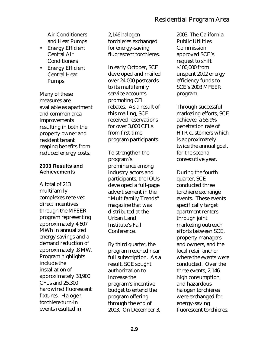Air Conditioners and Heat Pumps

- Energy Efficient Central Air **Conditioners**
- Energy Efficient Central Heat Pumps

Many of these measures are available as apartment and common area improvements resulting in both the property owner and resident tenant reaping benefits from reduced energy costs.

#### **2003 Results and Achievements**

A total of 213 multifamily complexes received direct incentives through the MFEER program representing approximately 4,607 MWh in annualized energy savings and a demand reduction of approximately .8 MW. Program highlights include the installation of approximately 38,900 CFLs and 25,300 hardwired fluorescent fixtures. Halogen torchiere turn-in events resulted in

2,146 halogen torchieres exchanged for energy-saving fluorescent torchieres.

In early October, SCE developed and mailed over 24,000 postcards to its multifamily service accounts promoting CFL rebates. As a result of this mailing, SCE received reservations for over 3,000 CFLs from first-time program participants.

To strengthen the program's prominence among industry actors and participants, the IOUs developed a full-page advertisement in the "Multifamily Trends" magazine that was distributed at the Urban Land Institute's Fall Conference.

By third quarter, the program reached near full subscription. As a result, SCE sought authorization to increase the program's incentive budget to extend the program offering through the end of 2003. On December 3,

2003, The California Public Utilities **Commission** approved SCE's request to shift \$100,000 from unspent 2002 energy efficiency funds to SCE's 2003 MFEER program.

Through successful marketing efforts, SCE achieved a 55.9% penetration rate of HTR customers which is approximately twice the annual goal, for the second consecutive year.

During the fourth quarter, SCE conducted three torchiere exchange events. These events specifically target apartment renters through joint marketing outreach efforts between SCE, property managers and owners, and the local retail anchor where the events were conducted. Over the three events, 2,146 high consumption and hazardous halogen torchieres were exchanged for energy-saving fluorescent torchieres.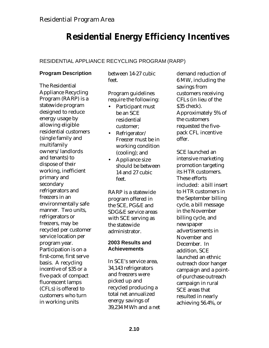# **Residential Energy Efficiency Incentives**

# RESIDENTIAL APPLIANCE RECYCLING PROGRAM (RARP)

# **Program Description**

The Residential Appliance Recycling Program (RARP) is a statewide program designed to reduce energy usage by allowing eligible residential customers (single family and multifamily owners/landlords and tenants) to dispose of their working, inefficient primary and secondary refrigerators and freezers in an environmentally safe manner. Two units, refrigerators or freezers, may be recycled per customer service location per program year. Participation is on a first-come, first serve basis.A recycling incentive of \$35 or a five-pack of compact fluorescent lamps (CFLs) is offered to customers who turn in working units

between 14-27 cubic feet.

Program guidelines require the following:

- Participant must be an SCE residential customer;
- Refrigerator/ Freezer must be in working condition (cooling); and
- Appliance size should be between 14 and 27 cubic feet.

RARP is a statewide program offered in the SCE, PG&E and SDG&E service areas with SCE serving as the statewide administrator.

# **2003 Results and Achievements**

In SCE's service area, 34,143 refrigerators and freezers were picked up and recycled producing a total net annualized energy savings of 39,234 MWh and a net demand reduction of 6 MW, including the savings from customers receiving CFLs (in lieu of the \$35 check). Approximately 5% of the customers requested the fivepack CFL incentive offer.

SCE launched an intensive marketing promotion targeting its HTR customers. These efforts included: a bill insert to HTR customers in the September billing cycle, a bill message in the November billing cycle, and newspaper advertisements in November and December. In addition, SCE launched an ethnic outreach door hanger campaign and a pointof-purchase outreach campaign in rural SCE areas that resulted in nearly achieving 56.4%, or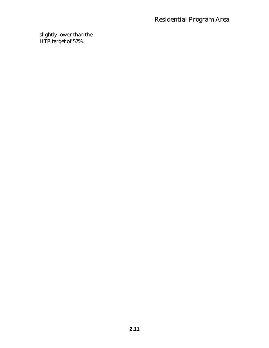slightly lower than the HTR target of 57%.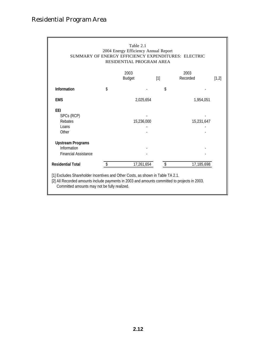|                                                                                                                                                                                | Table 2.1<br>2004 Energy Efficiency Annual Report<br>SUMMARY OF ENERGY EFFICIENCY EXPENDITURES: ELECTRIC<br>RESIDENTIAL PROGRAM AREA |       |                           |
|--------------------------------------------------------------------------------------------------------------------------------------------------------------------------------|--------------------------------------------------------------------------------------------------------------------------------------|-------|---------------------------|
|                                                                                                                                                                                | 2003<br><b>Budget</b>                                                                                                                | $[1]$ | 2003<br>Recorded<br>[1,2] |
| <b>Information</b>                                                                                                                                                             | \$                                                                                                                                   | \$    |                           |
| <b>EMS</b>                                                                                                                                                                     | 2,025,654                                                                                                                            |       | 1,954,051                 |
| <b>EEI</b><br>SPCs (RCP)<br>Rebates<br>Loans<br>Other                                                                                                                          | 15,236,000                                                                                                                           |       | 15,231,647                |
| <b>Upstream Programs</b><br>Information<br><b>Financial Assistance</b>                                                                                                         |                                                                                                                                      |       |                           |
| <b>Residential Total</b>                                                                                                                                                       | 17,261,654                                                                                                                           | \$    | 17,185,698                |
| [1] Excludes Shareholder Incentives and Other Costs, as shown in Table TA 2.1.<br>[2] All Recorded amounts include payments in 2003 and amounts committed to projects in 2003. |                                                                                                                                      |       |                           |

Committed amounts may not be fully realized.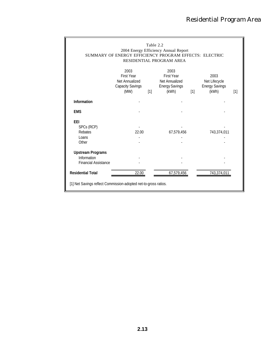|                                                                        | SUMMARY OF ENERGY EFFICIENCY PROGRAM EFFECTS: ELECTRIC                         | Table 2.2 | 2004 Energy Efficiency Annual Report<br>RESIDENTIAL PROGRAM AREA              |     |                                                         |       |
|------------------------------------------------------------------------|--------------------------------------------------------------------------------|-----------|-------------------------------------------------------------------------------|-----|---------------------------------------------------------|-------|
|                                                                        | 2003<br><b>First Year</b><br>Net Annualized<br><b>Capacity Savings</b><br>(MW) | [1]       | 2003<br><b>First Year</b><br>Net Annualized<br><b>Energy Savings</b><br>(kWh) | [1] | 2003<br>Net Lifecycle<br><b>Energy Savings</b><br>(kWh) | $[1]$ |
| Information                                                            |                                                                                |           |                                                                               |     |                                                         |       |
| <b>EMS</b>                                                             |                                                                                |           |                                                                               |     |                                                         |       |
| <b>EEI</b><br>SPCs (RCP)<br>Rebates<br>Loans<br>Other                  | 22.00                                                                          |           | 67,579,456                                                                    |     | 743,374,011                                             |       |
| <b>Upstream Programs</b><br>Information<br><b>Financial Assistance</b> |                                                                                |           |                                                                               |     |                                                         |       |
| <b>Residential Total</b>                                               | 22.00                                                                          |           | 67,579,456                                                                    |     | 743,374,01                                              |       |
| [1] Net Savings reflect Commission-adopted net-to-gross ratios.        |                                                                                |           |                                                                               |     |                                                         |       |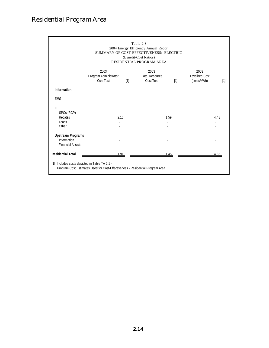|                                                                     |                                            |     | Table 2.3<br>2004 Energy Efficiency Annual Report<br>SUMMARY OF COST-EFFECTIVENESS: ELECTRIC<br>(Benefit-Cost Ratios)<br>RESIDENTIAL PROGRAM AREA |                   |                                              |      |
|---------------------------------------------------------------------|--------------------------------------------|-----|---------------------------------------------------------------------------------------------------------------------------------------------------|-------------------|----------------------------------------------|------|
|                                                                     | 2003<br>Program Administrator<br>Cost Test | [1] | 2003<br><b>Total Resource</b><br>Cost Test                                                                                                        | $\lceil 1 \rceil$ | 2003<br><b>Levelized Cost</b><br>(cents/kWh) | [1]  |
| Information                                                         |                                            |     |                                                                                                                                                   |                   |                                              |      |
| <b>EMS</b>                                                          |                                            |     |                                                                                                                                                   |                   |                                              |      |
| EEI<br>SPCs (RCP)<br>Rebates<br>Loans<br>Other                      | 2.15                                       |     | 1.59                                                                                                                                              |                   |                                              | 4.43 |
| <b>Upstream Programs</b><br>Information<br><b>Financial Assista</b> |                                            |     |                                                                                                                                                   |                   |                                              |      |
| <b>Residential Total</b>                                            | 1.91                                       |     | 1.45                                                                                                                                              |                   |                                              | 4.85 |
| [1] Includes costs depicted in Table TA 2.1 -                       |                                            |     |                                                                                                                                                   |                   |                                              |      |

Program Cost Estimates Used for Cost-Effectiveness - Residential Program Area.

**2.14**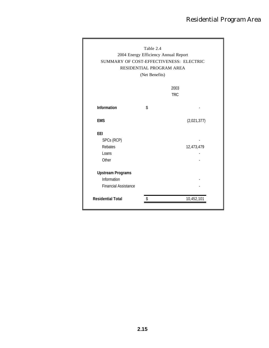|                             | (Net Benefits) | RESIDENTIAL PROGRAM AREA |
|-----------------------------|----------------|--------------------------|
|                             |                | 2003<br><b>TRC</b>       |
| Information                 | \$             |                          |
|                             |                |                          |
| <b>EMS</b>                  |                | (2,021,377)              |
| <b>EEI</b>                  |                |                          |
| SPCs (RCP)                  |                |                          |
| Rebates                     |                | 12,473,479               |
| Loans                       |                |                          |
| Other                       |                |                          |
| <b>Upstream Programs</b>    |                |                          |
| Information                 |                |                          |
| <b>Financial Assistance</b> |                |                          |
| <b>Residential Total</b>    | \$             | 10,452,101               |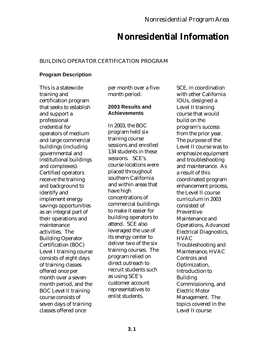# **Nonresidential Information**

# BUILDING OPERATOR CERTIFICATION PROGRAM

# **Program Description**

This is a statewide training and certification program that seeks to establish and support a professional credential for operators of medium and large commercial buildings (including governmental and institutional buildings and complexes). Certified operators receive the training and background to identify and implement energy savings opportunities as an integral part of their operations and maintenance activities. The Building Operator Certification (BOC) Level I training course consists of eight days of training classes offered once per month over a sevenmonth period, and the BOC Level II training course consists of seven days of training classes offered once

per month over a fivemonth period.

### **2003 Results and Achievements**

In 2003, the BOC program held six training course sessions and enrolled 134 students in these sessions. SCE's course locations were placed throughout southern California and within areas that have high concentrations of commercial buildings to make it easier for building operators to attend. SCE also leveraged the use of its energy center to deliver two of the six training courses. The program relied on direct outreach to recruit students such as using SCE's customer account representatives to enlist students.

SCE, in coordination with other California IOUs, designed a Level II training course that would build on the program's success from the prior year. The purpose of the Level II course was to emphasize equipment and troubleshooting and maintenance. As a result of this coordinated program enhancement process, the Level II course curriculum in 2003 consisted of Preventive Maintenance and Operations, Advanced Electrical Diagnostics, **HVAC** Troubleshooting and Maintenance, HVAC Controls and Optimization, Introduction to Building Commissioning, and Electric Motor Management. The topics covered in the Level II course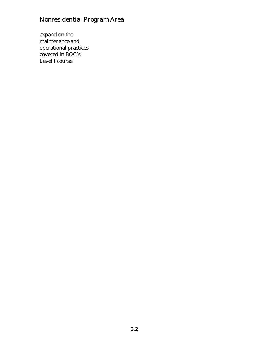expand on the maintenance and operational practices covered in BOC's Level I course.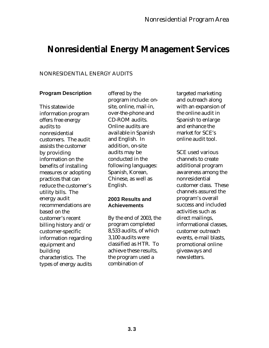# **Nonresidential Energy Management Services**

#### NONRESIDENTIAL ENERGY AUDITS

#### **Program Description**

This statewide information program offers free energy audits to nonresidential customers. The audit assists the customer by providing information on the benefits of installing measures or adopting practices that can reduce the customer's utility bills. The energy audit recommendations are based on the customer's recent billing history and/or customer-specific information regarding equipment and building characteristics. The types of energy audits

offered by the program include: onsite, online, mail-in, over-the-phone and CD-ROM audits. Online audits are available in Spanish and English. In addition, on-site audits may be conducted in the following languages: Spanish, Korean, Chinese, as well as English.

#### **2003 Results and Achievements**

By the end of 2003, the program completed 8,533 audits, of which 3,100 audits were classified as HTR. To achieve these results, the program used a combination of

targeted marketing and outreach along with an expansion of the online audit in Spanish to enlarge and enhance the market for SCE's online audit tool.

SCE used various channels to create additional program awareness among the nonresidential customer class. These channels assured the program's overall success and included activities such as direct mailings, informational classes, customer outreach events, e-mail blasts, promotional online giveaways and newsletters.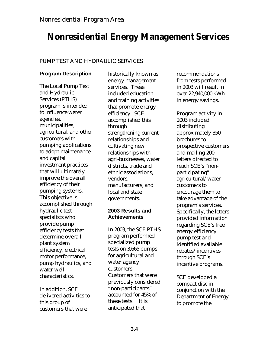# **Nonresidential Energy Management Services**

# PUMP TEST AND HYDRAULIC SERVICES

# **Program Description**

The Local Pump Test and Hydraulic Services (PTHS) program is intended to influence water agencies, municipalities, agricultural, and other customers with pumping applications to adopt maintenance and capital investment practices that will ultimately improve the overall efficiency of their pumping systems. This objective is accomplished through hydraulic test specialists who provide pump efficiency tests that determine overall plant system efficiency, electrical motor performance, pump hydraulics, and water well characteristics.

In addition, SCE delivered activities to this group of customers that were

historically known as energy management services. These included education and training activities that promote energy efficiency. SCE accomplished this through strengthening current relationships and cultivating new relationships with agri-businesses, water districts, trade and ethnic associations, vendors, manufacturers, and local and state governments.

# **2003 Results and Achievements**

In 2003, the SCE PTHS program performed specialized pump tests on 3,665 pumps for agricultural and water agency customers. Customers that were previously considered "non-participants" accounted for 45% of these tests. It is anticipated that

recommendations from tests performed in 2003 will result in over 22,940,000 kWh in energy savings.

Program activity in 2003 included distributing approximately 350 brochures to prospective customers and mailing 200 letters directed to reach SCE's "nonparticipating" agricultural/water customers to encourage them to take advantage of the program's services. Specifically, the letters provided information regarding SCE's free energy efficiency pump test and identified available rebates/incentives through SCE's incentive programs.

SCE developed a compact disc in conjunction with the Department of Energy to promote the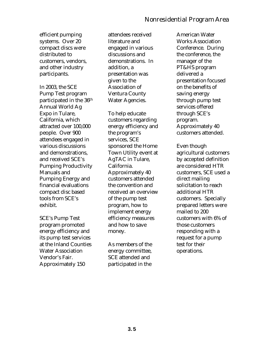efficient pumping systems. Over 20 compact discs were distributed to customers, vendors, and other industry participants.

In 2003, the SCE Pump Test program participated in the 36th Annual World Ag Expo in Tulare, California, which attracted over 100,000 people. Over 900 attendees engaged in various discussions and demonstrations, and received SCE's Pumping Productivity Manuals and Pumping Energy and financial evaluations compact disc based tools from SCE's exhibit.

SCE's Pump Test program promoted energy efficiency and its pump test services at the Inland Counties Water Association Vendor's Fair. Approximately 150

attendees received literature and engaged in various discussions and demonstrations. In addition, a presentation was given to the Association of Ventura County Water Agencies.

To help educate customers regarding energy efficiency and the program's services, SCE sponsored the Home Town Utility event at AgTAC in Tulare, California. Approximately 40 customers attended the convention and received an overview of the pump test program, how to implement energy efficiency measures and how to save money.

As members of the energy committee, SCE attended and participated in the

American Water Works Association Conference. During the conference, the manager of the PT&HS program delivered a presentation focused on the benefits of saving energy through pump test services offered through SCE's program. Approximately 40 customers attended.

Even though agricultural customers by accepted definition are considered HTR customers, SCE used a direct mailing solicitation to reach additional HTR customers. Specially prepared letters were mailed to 200 customers with 6% of those customers responding with a request for a pump test for their operations.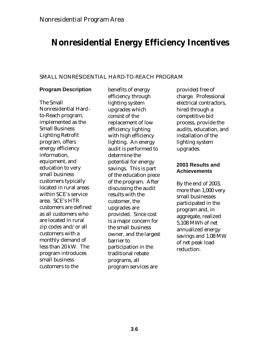# **Nonresidential Energy Efficiency Incentives**

### SMALL NONRESIDENTIAL HARD-TO-REACH PROGRAM

### **Program Description**

The Small Nonresidential Hardto-Reach program, implemented as the Small Business Lighting Retrofit program, offers energy efficiency information, equipment, and education to very small business customers typically located in rural areas within SCE's service area. SCE's HTR customers are defined as all customers who are located in rural zip codes and/or all customers with a monthly demand of less than 20 kW. The program introduces small business customers to the

benefits of energy efficiency through lighting system upgrades which consist of the replacement of low efficiency lighting with high efficiency lighting. An energy audit is performed to determine the potential for energy savings. This is part of the education piece of the program. After discussing the audit results with the customer, the upgrades are provided. Since cost is a major concern for the small business owner, and the largest barrier to participation in the traditional rebate programs, all program services are

provided free of charge. Professional electrical contractors, hired through a competitive bid process, provide the audits, education, and installation of the lighting system upgrades.

#### **2003 Results and Achievements**

By the end of 2003, more than 1,000 very small businesses participated in the program and, in aggregate, realized 5,108 MWh of net annualized energy savings and 1.08 MW of net peak load reduction.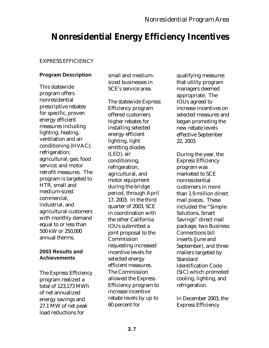# **Nonresidential Energy Efficiency Incentives**

# EXPRESS EFFICIENCY

### **Program Description**

This statewide program offers nonresidential prescriptive rebates for specific, proven energy efficient measures including lighting; heating, ventilation and air conditioning (HVAC); refrigeration; agricultural; gas; food service; and motor retrofit measures. The program is targeted to HTR, small and medium-sized commercial, industrial, and agricultural customers with monthly demand equal to or less than 500 kW or 250,000 annual therms.

#### **2003 Results and Achievements**

The Express Efficiency program realized a total of 123,173 MWh of net annualized energy savings and 27.1 MW of net peak load reductions for

small and mediumsized businesses in SCE's service area.

The statewide Express Efficiency program offered customers higher rebates for installing selected energy efficient lighting, light emitting diodes (LED), air conditioning, refrigeration, agricultural, and motor equipment during the bridge period, through April 17, 2003. In the third quarter of 2003, SCE in coordination with the other California IOUs submitted a joint proposal to the Commission requesting increased incentive levels for selected energy efficient measures. The Commission allowed the Express Efficiency program to increase incentive rebate levels by up to 60 percent for

qualifying measures that utility program managers deemed appropriate. The IOUs agreed to increase incentives on selected measures and began promoting the new rebate levels effective September 22, 2003.

During the year, the Express Efficiency program was marketed to SCE nonresidential customers in more than 1.9 million direct mail pieces. These included the "Simple Solutions, Smart Savings" direct mail package, two Business Connections bill inserts (June and September), and three mailers targeted by **Standard** Identification Code (SIC) which promoted cooling, lighting, and refrigeration.

In December 2003, the Express Efficiency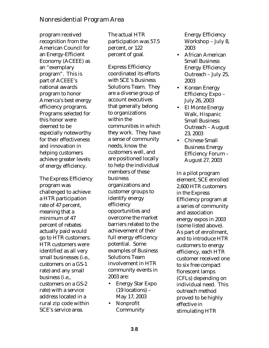program received recognition from the American Council for an Energy-Efficient Economy (ACEEE) as an "exemplary program". This is part of ACEEE's national awards program to honor America's best energy efficiency programs. Programs selected for this honor were deemed to be especially noteworthy for their effectiveness and innovation in helping customers achieve greater levels of energy efficiency.

The Express Efficiency program was challenged to achieve a HTR participation rate of 47 percent, meaning that a minimum of 47 percent of rebates actually paid would go to HTR customers. HTR customers were identified as all very small businesses (i.e., customers on a GS-1 rate) and any small business (i.e., customers on a GS-2 rate) with a service address located in a rural zip code within SCE's service area.

The actual HTR participation was 57.5 percent, or 122 percent of goal.

Express Efficiency coordinated its efforts with SCE's Business Solutions Team. They are a diverse group of account executives that generally belong to organizations within the communities in which they work. They have a sense of community needs, know the customers well, and are positioned locally to help the individual members of these business organizations and customer groups to identify energy efficiency opportunities and overcome the market barriers related to the achievement of their full energy efficiency potential. Some examples of Business Solutions Team involvement in HTR community events in 2003 are:

- Energy Star Expo (19 locations) – May 17, 2003
- Nonprofit Community

Energy Efficiency Workshop – July 8, 2003

- African American Small Business Energy Efficiency Outreach – July 25, 2003
- Korean Energy Efficiency Expo – July 26, 2003
- El Monte Energy Walk, Hispanic Small Business Outreach – August 23, 2003
- Chinese Small Business Energy Efficiency Forum – August 27, 2003

In a pilot program element, SCE enrolled 2,600 HTR customers in the Express Efficiency program at a series of community and association energy expos in 2003 (some listed above). As part of enrollment, and to introduce HTR customers to energy efficiency, each HTR customer received one to six free compact florescent lamps (CFLs) depending on individual need. This outreach method proved to be highly effective in stimulating HTR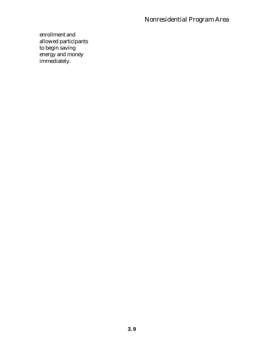# Nonresidential Program Area

enrollment and allowed participants to begin saving energy and money immediately.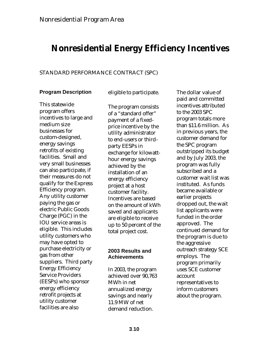# **Nonresidential Energy Efficiency Incentives**

#### STANDARD PERFORMANCE CONTRACT (SPC)

#### **Program Description**

eligible to participate.

This statewide program offers incentives to large and medium size businesses for custom-designed, energy savings retrofits of existing facilities. Small and very small businesses can also participate, if their measures do not qualify for the Express Efficiency program. Any utility customer paying the gas or electric Public Goods Charge (PGC) in the IOU service areas is eligible. This includes utility customers who may have opted to purchase electricity or gas from other suppliers. Third party Energy Efficiency Service Providers (EESPs) who sponsor energy efficiency retrofit projects at utility customer facilities are also

The program consists of a "standard offer" payment of a fixedprice incentive by the utility administrator to end-users or thirdparty EESPs in exchange for kilowatthour energy savings achieved by the installation of an energy efficiency project at a host customer facility. Incentives are based on the amount of kWh saved and applicants are eligible to receive up to 50 percent of the total project cost.

#### **2003 Results and Achievements**

In 2003, the program achieved over 90,763 MWh in net annualized energy savings and nearly 11.9 MW of net demand reduction.

The dollar value of paid and committed incentives attributed to the 2003 SPC program totals more than \$11.6 million. As in previous years, the customer demand for the SPC program outstripped its budget and by July 2003, the program was fully subscribed and a customer wait list was instituted. As funds became available or earlier projects dropped out, the wait list applicants were funded in the order approved. The continued demand for the program is due to the aggressive outreach strategy SCE employs. The program primarily uses SCE customer account representatives to inform customers about the program.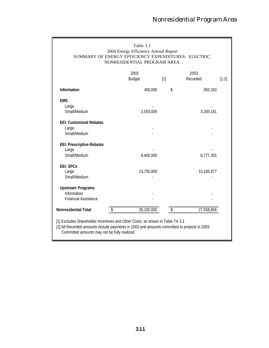| Table 3.1<br>2004 Energy Efficiency Annual Report<br>SUMMARY OF ENERGY EFFICIENCY EXPENDITURES: ELECTRIC<br>NONRESIDENTIAL PROGRAM AREA |                       |       |                  |       |  |  |  |
|-----------------------------------------------------------------------------------------------------------------------------------------|-----------------------|-------|------------------|-------|--|--|--|
|                                                                                                                                         | 2003<br><b>Budget</b> | $[1]$ | 2003<br>Recorded | [1,2] |  |  |  |
| Information                                                                                                                             | 450,000               | \$    | 350,343          |       |  |  |  |
| <b>EMS</b><br>Large<br>Small/Medium                                                                                                     | 3,550,000             |       | 3,265,181        |       |  |  |  |
| <b>EEI: Customized Rebates</b><br>Large<br>Small/Medium                                                                                 |                       |       |                  |       |  |  |  |
| <b>EEI: Prescriptive Rebates</b><br>Large<br>Small/Medium                                                                               | 8,400,000             |       | 8,777,355        |       |  |  |  |
| <b>EEI: SPCs</b><br>Large<br>Small/Medium                                                                                               | 13,750,000            |       | 15,165,977       |       |  |  |  |
| <b>Upstream Programs</b><br>Information<br><b>Financial Assistance</b>                                                                  |                       |       |                  |       |  |  |  |
| <b>Nonresidential Total</b>                                                                                                             | 26,150,000            | \$    | 27,558,856       |       |  |  |  |
|                                                                                                                                         |                       |       |                  |       |  |  |  |

[1] Excludes Shareholder Incentives and Other Costs, as shown in Table TA 3.1.

[2] All Recorded amounts include payments in 2003 and amounts committed to projects in 2003. Committed amounts may not be fully realized.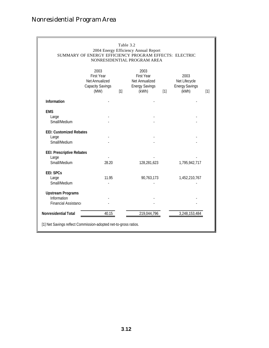# Nonresidential Program Area

|                                  | SUMMARY OF ENERGY EFFICIENCY PROGRAM EFFECTS: ELECTRIC                         | Table 3.2 | 2004 Energy Efficiency Annual Report<br>NONRESIDENTIAL PROGRAM AREA           |       |                                                         |       |
|----------------------------------|--------------------------------------------------------------------------------|-----------|-------------------------------------------------------------------------------|-------|---------------------------------------------------------|-------|
|                                  | 2003<br><b>First Year</b><br>Net Annualized<br><b>Capacity Savings</b><br>(MW) | $[1]$     | 2003<br><b>First Year</b><br>Net Annualized<br><b>Energy Savings</b><br>(kWh) | $[1]$ | 2003<br>Net Lifecycle<br><b>Energy Savings</b><br>(kWh) | $[1]$ |
| Information                      |                                                                                |           |                                                                               |       |                                                         |       |
| <b>EMS</b>                       |                                                                                |           |                                                                               |       |                                                         |       |
| Large                            |                                                                                |           |                                                                               |       |                                                         |       |
| Small/Medium                     |                                                                                |           |                                                                               |       |                                                         |       |
| <b>EEI: Customized Rebates</b>   |                                                                                |           |                                                                               |       |                                                         |       |
| Large                            |                                                                                |           |                                                                               |       |                                                         |       |
| Small/Medium                     |                                                                                |           |                                                                               |       |                                                         |       |
| <b>EEI: Prescriptive Rebates</b> |                                                                                |           |                                                                               |       |                                                         |       |
| Large                            |                                                                                |           |                                                                               |       |                                                         |       |
| Small/Medium                     | 28.20                                                                          |           | 128,281,623                                                                   |       | 1,795,942,717                                           |       |
| <b>EEI: SPCs</b>                 |                                                                                |           |                                                                               |       |                                                         |       |
| Large                            | 11.95                                                                          |           | 90,763,173                                                                    |       | 1,452,210,767                                           |       |
| Small/Medium                     |                                                                                |           |                                                                               |       |                                                         |       |
| <b>Upstream Programs</b>         |                                                                                |           |                                                                               |       |                                                         |       |
| Information                      |                                                                                |           |                                                                               |       |                                                         |       |
| Financial Assistanc              |                                                                                |           |                                                                               |       |                                                         |       |
| <b>Nonresidential Total</b>      | 40.15                                                                          |           | 219,044,796                                                                   |       | 3,248,153,484                                           |       |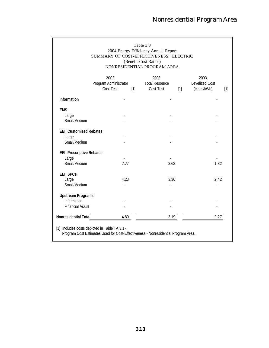| Table 3.3<br>2004 Energy Efficiency Annual Report<br>SUMMARY OF COST-EFFECTIVENESS: ELECTRIC<br>(Benefit-Cost Ratios)<br>NONRESIDENTIAL PROGRAM AREA |                                            |       |                                            |       |                                              |       |  |
|------------------------------------------------------------------------------------------------------------------------------------------------------|--------------------------------------------|-------|--------------------------------------------|-------|----------------------------------------------|-------|--|
|                                                                                                                                                      | 2003<br>Program Administrator<br>Cost Test | $[1]$ | 2003<br><b>Total Resource</b><br>Cost Test | $[1]$ | 2003<br><b>Levelized Cost</b><br>(cents/kWh) | $[1]$ |  |
| Information                                                                                                                                          |                                            |       |                                            |       |                                              |       |  |
| <b>EMS</b><br>Large<br>Small/Medium                                                                                                                  |                                            |       |                                            |       |                                              |       |  |
| <b>EEI: Customized Rebates</b><br>Large<br>Small/Medium                                                                                              |                                            |       |                                            |       |                                              |       |  |
| <b>EEI: Prescriptive Rebates</b><br>Large<br>Small/Medium                                                                                            | 7.77                                       |       | 3.63                                       |       | 1.82                                         |       |  |
| <b>EEI: SPCs</b><br>Large<br>Small/Medium                                                                                                            | 4.23                                       |       | 3.36                                       |       | 2.42                                         |       |  |
| <b>Upstream Programs</b><br>Information<br><b>Financial Assist</b>                                                                                   |                                            |       |                                            |       |                                              |       |  |
| Nonresidential Tota                                                                                                                                  | 4.80                                       |       | 3.19                                       |       | 2.27                                         |       |  |
| [1] Includes costs depicted in Table TA 3.1 -<br>Program Cost Estimates Used for Cost-Effectiveness - Nonresidential Program Area.                   |                                            |       |                                            |       |                                              |       |  |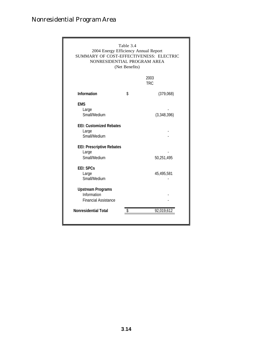# Nonresidential Program Area

| Table 3.4<br>2004 Energy Efficiency Annual Report<br>SUMMARY OF COST-EFFECTIVENESS: ELECTRIC<br>NONRESIDENTIAL PROGRAM AREA<br>(Net Benefits) |    |                    |  |  |
|-----------------------------------------------------------------------------------------------------------------------------------------------|----|--------------------|--|--|
|                                                                                                                                               |    | 2003<br><b>TRC</b> |  |  |
| <b>Information</b>                                                                                                                            | \$ | (379,068)          |  |  |
| <b>EMS</b><br>Large<br>Small/Medium                                                                                                           |    | (3,348,396)        |  |  |
| <b>EEI: Customized Rebates</b><br>Large<br>Small/Medium                                                                                       |    |                    |  |  |
| <b>EEI: Prescriptive Rebates</b><br>Large<br>Small/Medium                                                                                     |    | 50,251,495         |  |  |
| <b>EEI: SPCs</b><br>Large<br>Small/Medium                                                                                                     |    | 45,495,581         |  |  |
| <b>Upstream Programs</b><br>Information<br><b>Financial Assistance</b>                                                                        |    |                    |  |  |
| <b>Nonresidential Total</b>                                                                                                                   | \$ | 92,019,612         |  |  |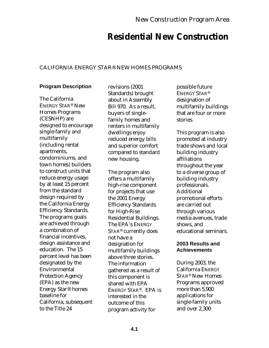# **Residential New Construction**

## CALIFORNIA ENERGY STAR® NEW HOMES PROGRAMS

## **Program Description**

The California ENERGY STAR® New Homes Programs (CESNHP) are designed to encourage single-family and multifamily (including rental apartments, condominiums, and town homes) builders to construct units that reduce energy usage by at least 15 percent from the standard design required by the California Energy Efficiency Standards. The programs goals are achieved through a combination of financial incentives, design assistance and education. The 15 percent level has been designated by the Environmental Protection Agency (EPA) as the new Energy Star® homes baseline for California, subsequent to the Title 24

revisions (2001 Standards) brought about in Assembly Bill 970. As a result, buyers of singlefamily homes and renters in multifamily dwellings enjoy reduced energy bills and superior comfort compared to standard new housing.

The program also offers a multifamily high-rise component for projects that use the 2001 Energy Efficiency Standards for High-Rise Residential Buildings. The EPA's ENERGY STAR® currently does not have a designation for multifamily buildings above three stories. The information gathered as a result of this component is shared with EPA ENERGY STAR®. EPA is interested in the outcome of this program activity for

possible future ENERGY STAR® designation of multifamily buildings that are four or more stories.

This program is also promoted at industry trade shows and local building industry affiliations throughout the year to a diverse group of building industry professionals. Additional promotional efforts are carried out through various media avenues, trade shows, and educational seminars.

### **2003 Results and Achievements**

During 2003, the California ENERGY STAR® New Homes Programs approved more than 5,900 applications for single-family units and over 2,300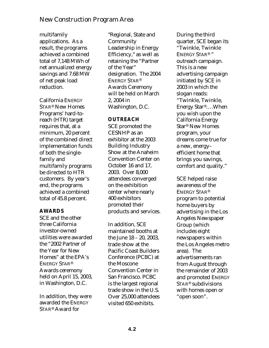multifamily applications. As a result, the programs achieved a combined total of 7,148 MWh of net annualized energy savings and 7.68 MW of net peak load reduction.

California ENERGY STAR® New Homes Programs' hard-toreach (HTR) target requires that, at a minimum, 20 percent of the combined direct implementation funds of both the singlefamily and multifamily programs be directed to HTR customers. By year's end, the programs achieved a combined total of 45.8 percent.

## **AWARDS**

SCE and the other three California investor-owned utilities were awarded the "2002 Partner of the Year for New Homes" at the EPA's ENERGY STAR® Awards ceremony held on April 15, 2003, in Washington, D.C.

In addition, they were awarded the ENERGY STAR® Award for

"Regional, State and **Community** Leadership in Energy Efficiency," as well as retaining the "Partner of the Year" designation. The 2004 ENERGY STAR® Awards Ceremony will be held on March 2, 2004 in Washington, D.C.

### **OUTREACH**

SCE promoted the CESNHP as an exhibitor at the 2003 Building Industry Show at the Anaheim Convention Center on October 16 and 17, 2003. Over 8,000 attendees converged on the exhibition center where nearly 400 exhibitors promoted their products and services.

In addition, SCE maintained booths at the June 18 – 20, 2003, trade show at the Pacific Coast Builders Conference (PCBC) at the Moscone Convention Center in San Francisco. PCBC is the largest regional trade show in the U.S. Over 25,000 attendees visited 650 exhibits.

During the third quarter, SCE began its "Twinkle, Twinkle ENERGY STAR® " outreach campaign. This is a new advertising campaign initiated by SCE in 2003 in which the slogan reads: "Twinkle, Twinkle, Energy Star®….When you wish upon the California Energy Star® New Homes program, your dreams come true for a new, energy– efficient home that brings you savings, comfort and quality."

SCE helped raise awareness of the ENERGY STAR® program to potential home buyers by advertising in the Los Angeles Newspaper Group (which includes eight newspapers within the Los Angeles metro area). The advertisements ran from August through the remainder of 2003 and promoted ENERGY STAR® subdivisions with homes open or "open soon".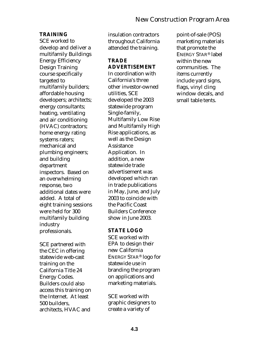### **TRAINING**

SCE worked to develop and deliver a multifamily Buildings Energy Efficiency Design Training course specifically targeted to multifamily builders; affordable housing developers; architects; energy consultants; heating, ventilating and air conditioning (HVAC) contractors; home energy rating systems raters; mechanical and plumbing engineers; and building department inspectors. Based on an overwhelming response, two additional dates were added. A total of eight training sessions were held for 300 multifamily building industry professionals.

SCE partnered with the CEC in offering statewide web-cast training on the California Title 24 Energy Codes. Builders could also access this training on the Internet. At least 500 builders, architects, HVAC and

insulation contractors throughout California attended the training.

### **TRADE ADVERTISEMENT**

In coordination with California's three other investor-owned utilities, SCE developed the 2003 statewide program Single-family, Multifamily Low Rise and Multifamily High Rise applications, as well as the Design Assistance Application. In addition, a new statewide trade advertisement was developed which ran in trade publications in May, June, and July 2003 to coincide with the Pacific Coast Builders Conference show in June 2003.

#### **STATE LOGO**

SCE worked with EPA to design their new California ENERGY STAR® logo for statewide use in branding the program on applications and marketing materials.

SCE worked with graphic designers to create a variety of

point-of-sale (POS) marketing materials that promote the ENERGY STAR® label within the new communities. The items currently include yard signs, flags, vinyl cling window decals, and small table tents.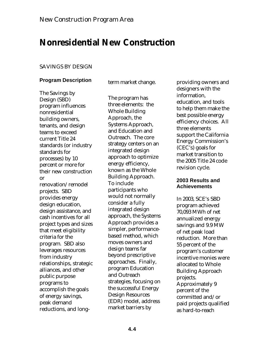# **Nonresidential New Construction**

### SAVINGS BY DESIGN

## **Program Description**

term market change.

The Savings by Design (SBD) program influences nonresidential building owners, tenants, and design teams to exceed current Title 24 standards (or industry standards for processes) by 10 percent or more for their new construction or renovation/remodel projects. SBD provides energy design education, design assistance, and cash incentives for all project types and sizes that meet eligibility criteria for the program. SBD also leverages resources from industry relationships, strategic alliances, and other public purpose programs to accomplish the goals of energy savings, peak demand reductions, and long-

The program has three elements: the Whole Building Approach, the Systems Approach, and Education and Outreach. The core strategy centers on an integrated design approach to optimize energy efficiency, known as the Whole Building Approach. To include participants who would not normally consider a fully integrated design approach, the Systems Approach provides a simpler, performancebased method, which moves owners and design teams far beyond prescriptive approaches. Finally, program Education and Outreach strategies, focusing on the successful Energy Design Resources (EDR) model, address market barriers by

providing owners and designers with the information, education, and tools to help them make the best possible energy efficiency choices. All three elements support the California Energy Commission's (CEC's) goals for market transition to the 2005 Title 24 code revision cycle.

#### **2003 Results and Achievements**

In 2003, SCE's SBD program achieved 70,093 MWh of net annualized energy savings and 9.9 MW of net peak load reduction. More than 55 percent of the program's customer incentive monies were allocated to Whole Building Approach projects. Approximately 9 percent of the committed and/or paid projects qualified as hard-to-reach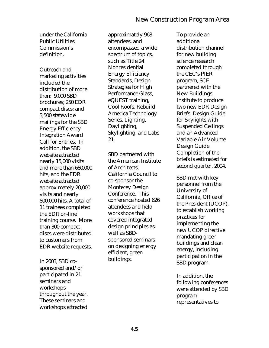under the California Public Utilities Commission's definition.

Outreach and marketing activities included the distribution of more than: 9,000 SBD brochures; 250 EDR compact discs; and 3,500 statewide mailings for the SBD Energy Efficiency Integration Award Call for Entries. In addition, the SBD website attracted nearly 15,000 visits and more than 680,000 hits, and the EDR website attracted approximately 20,000 visits and nearly 800,000 hits. A total of 11 trainees completed the EDR on-line training course. More than 300 compact discs were distributed to customers from EDR website requests.

In 2003, SBD cosponsored and/or participated in 21 seminars and workshops throughout the year. These seminars and workshops attracted

approximately 968 attendees, and encompassed a wide spectrum of topics, such as Title 24 Nonresidential Energy Efficiency Standards, Design Strategies for High Performance Glass, eQUEST training, Cool Roofs, Rebuild America Technology Series, Lighting, Daylighting, Skylighting, and Labs 21.

SBD partnered with the American Institute of Architects, California Council to co-sponsor the Monterey Design Conference. This conference hosted 626 attendees and held workshops that covered integrated design principles as well as SBDsponsored seminars on designing energy efficient, green buildings.

To provide an additional distribution channel for new building science research completed through the CEC's PIER program, SCE partnered with the New Buildings Institute to produce two new EDR Design Briefs: Design Guide for Skylights with Suspended Ceilings and an Advanced Variable Air Volume Design Guide. Completion of the briefs is estimated for second quarter, 2004.

SBD met with key personnel from the University of California, Office of the President (UCOP), to establish working practices for implementing the new UCOP directive mandating green buildings and clean energy, including participation in the SBD program.

In addition, the following conferences were attended by SBD program representatives to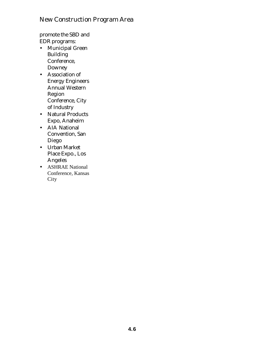promote the SBD and EDR programs:

- Municipal Green Building Conference, Downey
- Association of Energy Engineers Annual Western Region Conference, City of Industry
- Natural Products Expo, Anaheim
- AIA National Convention, San Diego
- Urban Market Place Expo., Los Angeles
- ASHRAE National Conference, Kansas **City**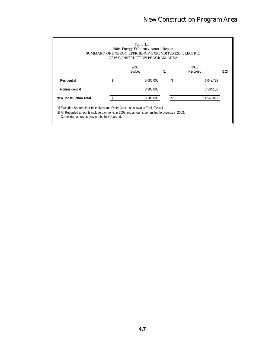| Table 4.1<br>2004 Energy Efficiency Annual Report<br>SUMMARY OF ENERGY EFFICIENCY EXPENDITURES: ELECTRIC<br>NEW CONSTRUCTION PROGRAM AREA                                                                                      |    |                       |                   |                  |       |  |  |
|--------------------------------------------------------------------------------------------------------------------------------------------------------------------------------------------------------------------------------|----|-----------------------|-------------------|------------------|-------|--|--|
|                                                                                                                                                                                                                                |    | 2003<br><b>Budget</b> | $\lceil 1 \rceil$ | 2003<br>Recorded | [1.2] |  |  |
| Residential                                                                                                                                                                                                                    | \$ | 5.000.000             | \$                | 6.042.725        |       |  |  |
| Nonresidential                                                                                                                                                                                                                 |    | 8.900.000             |                   | 8.504.166        |       |  |  |
| <b>New Construction Total</b>                                                                                                                                                                                                  |    | 13.900.000            |                   | 14.546.891       |       |  |  |
| [1] Excludes Shareholder Incentives and Other Costs, as shown in Table TA 4.1.<br>[2] All Recorded amounts include payments in 2003 and amounts committed to projects in 2003.<br>Committed amounts may not be fully realized. |    |                       |                   |                  |       |  |  |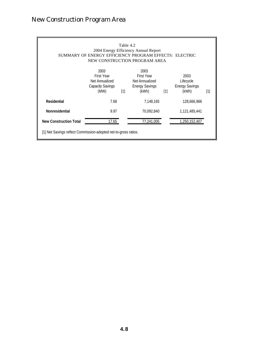| Table 4.2<br>2004 Energy Efficiency Annual Report<br>SUMMARY OF ENERGY EFFICIENCY PROGRAM EFFECTS: ELECTRIC<br>NEW CONSTRUCTION PROGRAM AREA |                                                                         |     |                                                                               |     |                                                     |                   |  |
|----------------------------------------------------------------------------------------------------------------------------------------------|-------------------------------------------------------------------------|-----|-------------------------------------------------------------------------------|-----|-----------------------------------------------------|-------------------|--|
|                                                                                                                                              | 2003<br><b>First Year</b><br>Net Annualized<br>Capacity Savings<br>(MW) | [1] | 2003<br><b>First Year</b><br>Net Annualized<br><b>Energy Savings</b><br>(kWh) | [1] | 2003<br>Lifecycle<br><b>Energy Savings</b><br>(kWh) | $\lceil 1 \rceil$ |  |
| Residential                                                                                                                                  | 7.68                                                                    |     | 7.148.165                                                                     |     | 128,666,966                                         |                   |  |
| Nonresidential                                                                                                                               | 9.97                                                                    |     | 70,092,840                                                                    |     | 1,121,485,441                                       |                   |  |
| <b>New Construction Total</b>                                                                                                                | 17.65                                                                   |     | 77,241,005                                                                    |     | 1,250,152,407                                       |                   |  |
| [1] Net Savings reflect Commission-adopted net-to-gross ratios.                                                                              |                                                                         |     |                                                                               |     |                                                     |                   |  |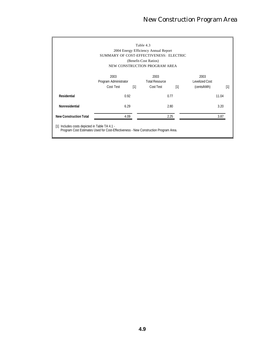| Table 4.3<br>2004 Energy Efficiency Annual Report                                                                                    |                       |       |                               |                   |                |       |  |
|--------------------------------------------------------------------------------------------------------------------------------------|-----------------------|-------|-------------------------------|-------------------|----------------|-------|--|
| SUMMARY OF COST-EFFECTIVENESS: ELECTRIC                                                                                              |                       |       |                               |                   |                |       |  |
|                                                                                                                                      |                       |       | (Benefit-Cost Ratios)         |                   |                |       |  |
|                                                                                                                                      |                       |       | NEW CONSTRUCTION PROGRAM AREA |                   |                |       |  |
|                                                                                                                                      | 2003                  |       | 2003                          |                   | 2003           |       |  |
|                                                                                                                                      | Program Administrator |       | <b>Total Resource</b>         |                   | Levelized Cost |       |  |
|                                                                                                                                      | Cost Test             | $[1]$ | Cost Test                     | $\lceil 1 \rceil$ | (cents/kWh)    | [1]   |  |
| Residential                                                                                                                          | 0.92                  |       |                               | 0.77              |                | 11.04 |  |
| Nonresidential                                                                                                                       | 6.29                  |       |                               | 2.80              |                | 3.20  |  |
| <b>New Construction Total</b>                                                                                                        | 4.09                  |       |                               | 2.25              |                | 3.87  |  |
| [1] Includes costs depicted in Table TA 4.1 -<br>Program Cost Estimates Used for Cost-Effectiveness - New Construction Program Area. |                       |       |                               |                   |                |       |  |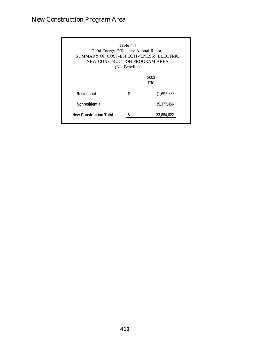| Table 4.4<br>2004 Energy Efficiency Annual Report<br>SUMMARY OF COST-EFFECTIVENESS: ELECTRIC<br>NEW CONSTRUCTION PROGRAM AREA<br>(Net Benefits) |    |              |  |  |  |
|-------------------------------------------------------------------------------------------------------------------------------------------------|----|--------------|--|--|--|
|                                                                                                                                                 |    | 2003<br>TRC. |  |  |  |
| Residential                                                                                                                                     | \$ | (1,692,835)  |  |  |  |
| <b>Nonresidential</b>                                                                                                                           |    | 35,377,456   |  |  |  |
| <b>New Construction Total</b>                                                                                                                   |    | 33.684.622   |  |  |  |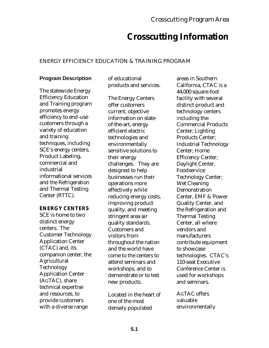# **Crosscutting Information**

# ENERGY EFFICIENCY EDUCATION & TRAINING PROGRAM

# **Program Description**

The statewide Energy Efficiency Education and Training program promotes energy efficiency to end-use customers through a variety of education and training techniques, including SCE's energy centers, Product Labeling, commercial and industrial informational services and the Refrigeration and Thermal Testing Center (RTTC).

## **ENERGY CENTERS**

SCE is home to two distinct energy centers. The Customer Technology Application Center (CTAC) and, its companion center, the Agricultural Technology Application Center (AGTAC), share technical expertise and resources, to provide customers with a diverse range

of educational products and services.

The Energy Centers offer customers current, objective information on stateof-the-art, energy efficient electric technologies and environmentally sensitive solutions to their energy challenges. They are designed to help businesses run their operations more effectively while reducing energy costs, improving product quality, and meeting stringent area air quality standards. Customers and visitors from throughout the nation and the world have come to the centers to attend seminars and workshops, and to demonstrate or to test new products.

Located in the heart of one of the most densely populated

areas in Southern California, CTAC is a 44,000 square-foot facility with several distinct product and technology centers including the: Commercial Products Center; Lighting Products Center; Industrial Technology Center; Home Efficiency Center; Daylight Center, Foodservice Technology Center; Wet Cleaning **Demonstration** Center, EMF & Power Quality Center, and the Refrigeration and Thermal Testing Center, all where vendors and manufacturers contribute equipment to showcase technologies. CTAC's 110-seat Executive Conference Center is used for workshops and seminars.

AGTAC offers valuable environmentally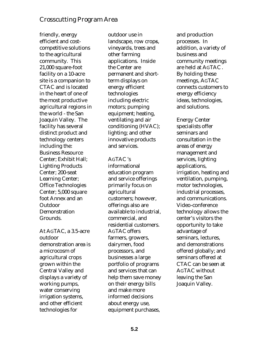friendly, energy efficient and costcompetitive solutions to the agricultural community. This 21,000 square-foot facility on a 10-acre site is a companion to CTAC and is located in the heart of one of the most productive agricultural regions in the world - the San Joaquin Valley. The facility has several distinct product and technology centers including the: Business Resource Center; Exhibit Hall; Lighting Products Center; 200-seat Learning Center; Office Technologies Center; 5,000 square foot Annex and an Outdoor Demonstration Grounds.

At AGTAC, a 3.5-acre outdoor demonstration area is a microcosm of agricultural crops grown within the Central Valley and displays a variety of working pumps, water conserving irrigation systems, and other efficient technologies for

outdoor use in landscape, row crops, vineyards, trees and other farming applications. Inside the Center are permanent and shortterm displays on energy efficient technologies including electric motors; pumping equipment; heating, ventilating and air conditioning (HVAC); lighting; and other innovative products and services.

#### AGTAC 's

informational education program and service offerings primarily focus on agricultural customers; however, offerings also are available to industrial, commercial, and residential customers. AGTAC offers farmers, growers, dairymen, food processors, and businesses a large portfolio of programs and services that can help them save money on their energy bills and make more informed decisions about energy use, equipment purchases,

and production processes. In addition, a variety of business and community meetings are held at AGTAC . By holding these meetings, AGTAC connects customers to energy efficiency ideas, technologies, and solutions.

Energy Center specialists offer seminars and consultation in the areas of energy management and services, lighting applications, irrigation, heating and ventilation, pumping, motor technologies, industrial processes, and communications. Video-conference technology allows the center's visitors the opportunity to take advantage of seminars, lectures, and demonstrations offered globally; and seminars offered at CTAC can be seen at AGTAC without leaving the San Joaquin Valley.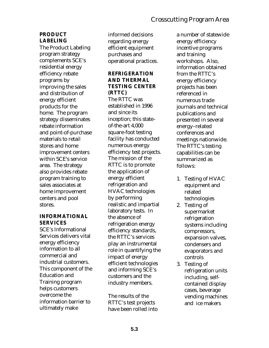### **PRODUCT LABELING**

The Product Labeling program strategy complements SCE's residential energy efficiency rebate programs by improving the sales and distribution of energy efficient products for the home. The program strategy disseminates rebate information and point-of-purchase materials to retail stores and home improvement centers within SCE's service area. The strategy also provides rebate program training to sales associates at home improvement centers and pool stores.

#### **INFORMATIONAL SERVICES**

SCE's Informational Services delivers vital energy efficiency information to all commercial and industrial customers. This component of the Education and Training program helps customers overcome the information barrier to ultimately make

informed decisions regarding energy efficient equipment purchases and operational practices.

### **REFRIGERATION AND THERMAL TESTING CENTER (RTTC)**

The RTTC was established in 1996 and since its inception; this stateof-the-art 4,000 square-foot testing facility has conducted numerous energy efficiency test projects. The mission of the RTTC is to promote the application of energy efficient refrigeration and HVAC technologies by performing realistic and impartial laboratory tests. In the absence of refrigeration energy efficiency standards, the RTTC's services play an instrumental role in quantifying the impact of energy efficient technologies and informing SCE's customers and the industry members.

The results of the RTTC's test projects have been rolled into

a number of statewide energy efficiency incentive programs and training workshops. Also, information obtained from the RTTC's energy efficiency projects has been referenced in numerous trade journals and technical publications and presented in several energy–related conferences and meetings nationwide. The RTTC's testing capabilities can be summarized as follows:

- 1. Testing of HVAC equipment and related technologies
- 2. Testing of supermarket refrigeration systems including compressors, expansion valves, condensers and evaporators and controls
- 3. Testing of refrigeration units including, selfcontained display cases, beverage vending machines and ice makers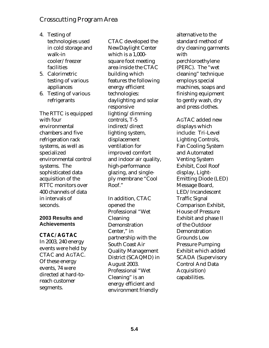- 4. Testing of technologies used in cold storage and walk-in cooler/freezer facilities
- 5. Calorimetric testing of various appliances
- 6. Testing of various refrigerants

The RTTC is equipped with four environmental chambers and five refrigeration rack systems, as well as specialized environmental control systems. The sophisticated data acquisition of the RTTC monitors over 400 channels of data in intervals of seconds.

#### **2003 Results and Achievements**

#### **CTAC/ AGTAC**

In 2003, 240 energy events were held by CTAC and AGTAC. Of these energy events, 74 were directed at hard-toreach customer segments.

CTAC developed the NewDaylight Center which is a 1,000 square foot meeting area inside the CTAC building which features the following energy efficient technologies: daylighting and solar responsive lighting/dimming controls, T-5 indirect/direct lighting system, displacement ventilation for improved comfort and indoor air quality, high-performance glazing, and singleply membrane "Cool Roof."

In addition, CTAC opened the Professional "Wet Cleaning Demonstration Center," in partnership with the South Coast Air Quality Management District (SCAQMD) in August 2003. Professional "Wet Cleaning" is an energy efficient and environment friendly

alternative to the standard method of dry cleaning garments with perchloroethylene (PERC). The "wet cleaning" technique employs special machines, soaps and finishing equipment to gently wash, dry and press clothes.

AGTAC added new displays which include: Tri-Level Lighting Controls, Fan Cooling System and Automated Venting System Exhibit, Cool Roof display, Light-Emitting Diode (LED) Message Board, LED/Incandescent Traffic Signal Comparison Exhibit, House of Pressure Exhibit and phase II of the Outdoor Demonstration Grounds Low Pressure Pumping Exhibit which added SCADA (Supervisory Control And Data Acquisition) capabilities.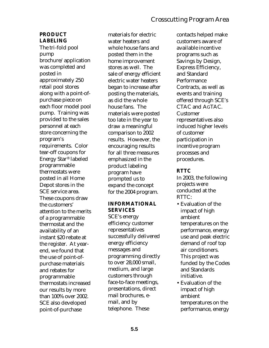## **PRODUCT LABELING**

The tri-fold pool pump brochure/application was completed and posted in approximately 250 retail pool stores along with a point-ofpurchase piece on each floor model pool pump. Training was provided to the sales personnel at each store concerning the program's requirements. Color tear-off coupons for Energy Star® labeled programmable thermostats were posted in all Home Depot stores in the SCE service area. These coupons draw the customers' attention to the merits of a programmable thermostat and the availability of an instant \$20 rebate at the register. At yearend, we found that the use of point-ofpurchase materials and rebates for programmable thermostats increased our results by more than 100% over 2002. SCE also developed point-of-purchase

materials for electric water heaters and whole house fans and posted them in the home improvement stores as well. The sale of energy efficient electric water heaters began to increase after posting the materials, as did the whole house fans. The materials were posted too late in the year to draw a meaningful comparison to 2002 results. However, the encouraging results for all three measures emphasized in the product labeling program have prompted us to expand the concept for the 2004 program.

### **INFORMATIONAL SERVICES**

SCE's energy efficiency customer representatives successfully delivered energy efficiency messages and programming directly to over 28,000 small, medium, and large customers through face-to-face meetings, presentations, direct mail brochures, email, and by telephone. These

contacts helped make customers aware of available incentive programs such as Savings by Design, Express Efficiency, and Standard **Performance** Contracts, as well as events and training offered through SCE's CTAC and AGTAC. Customer representatives also induced higher levels of customer participation in incentive program processes and procedures.

### **RTTC**

In 2003, the following projects were conducted at the RTTC:

- Evaluation of the impact of high ambient temperatures on the performance, energy use and peak electric demand of roof top air conditioners. This project was funded by the Codes and Standards initiative.
- Evaluation of the impact of high ambient temperatures on the performance, energy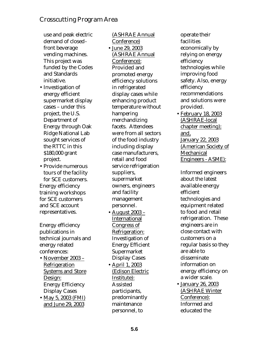use and peak electric demand of closedfront beverage vending machines. This project was funded by the Codes and Standards initiative.

- Investigation of energy efficient supermarket display cases – under this project, the U.S. Department of Energy through Oak Ridge National Lab sought services of the RTTC in this \$180,000 grant project.
- Provide numerous tours of the facility for SCE customers. Energy efficiency training workshops for SCE customers and SCE account representatives.

Energy efficiency publications in technical journals and energy related conferences:

- November 2003 Refrigeration Systems and Store Design: Energy Efficiency Display Cases
- May 5, 2003 (FMI) and June 29, 2003

(ASHRAE Annual Conference) • June 29, 2003 (ASHRAE Annual Conference): Provided and promoted energy efficiency solutions in refrigerated display cases while enhancing product temperature without hampering merchandizing facets. Attendees were from all sectors of the food industry including display case manufacturers, retail and food service refrigeration suppliers, supermarket owners, engineers and facility management personnel.

- August 2003 International Congress of Refrigeration: Investigation of Energy Efficient **Supermarket** Display Cases
- April 1, 2003 (Edison Electric Institute): Assisted participants, predominantly maintenance personnel, to

operate their facilities economically by relying on energy efficiency technologies while improving food safety. Also, energy efficiency recommendations and solutions were provided.

• February 18, 2003 (ASHRAE-local chapter meeting); and, January 22, 2003 (American Society of **Mechanical** Engineers - ASME):

Informed engineers about the latest available energy efficient technologies and equipment related to food and retail refrigeration. These engineers are in close contact with customers on a regular basis so they are able to disseminate information on energy efficiency on a wider scale.

• January 26, 2003 (ASHRAE Winter Conference): Informed and educated the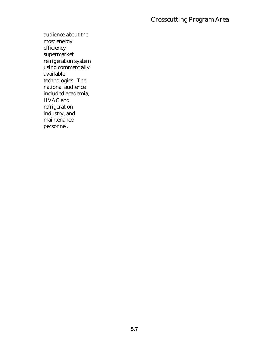audience about the most energy efficiency supermarket refrigeration system using commercially available technologies. The national audience included academia, HVAC and refrigeration industry, and maintenance personnel.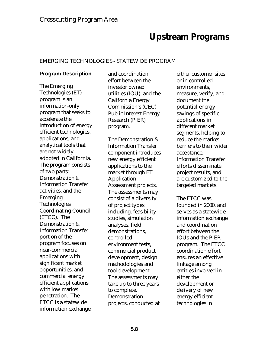# **Upstream Programs**

#### EMERGING TECHNOLOGIES - STATEWIDE PROGRAM

### **Program Description**

The Emerging Technologies (ET) program is an information-only program that seeks to accelerate the introduction of energy efficient technologies, applications, and analytical tools that are not widely adopted in California. The program consists of two parts: Demonstration & Information Transfer activities, and the Emerging Technologies Coordinating Council (ETCC). The Demonstration & Information Transfer portion of the program focuses on near-commercial applications with significant market opportunities, and commercial energy efficient applications with low market penetration. The ETCC is a statewide information exchange

and coordination effort between the investor owned utilities (IOU), and the California Energy Commission's (CEC) Public Interest Energy Research (PIER) program.

The Demonstration & Information Transfer component introduces new energy efficient applications to the market through ET Application Assessment projects. The assessments may consist of a diversity of project types including: feasibility studies, simulation analyses, field demonstrations, controlled environment tests, commercial product development, design methodologies and tool development. The assessments may take up to three years to complete. Demonstration projects, conducted at

either customer sites or in controlled environments, measure, verify, and document the potential energy savings of specific applications in different market segments, helping to reduce the market barriers to their wider acceptance. Information Transfer efforts disseminate project results, and are customized to the targeted markets.

The ETCC was founded in 2000, and serves as a statewide information exchange and coordination effort between the IOUs and the PIER program. The ETCC coordination effort ensures an effective linkage among entities involved in either the development or delivery of new energy efficient technologies in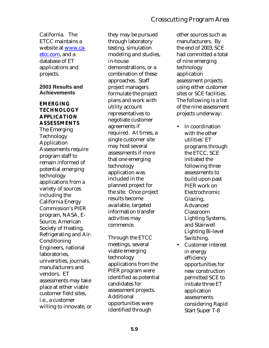California. The ETCC maintains a website at www.caetcc.com, and a database of ET applications and projects.

#### **2003 Results and Achievements**

## **EMERGING TECHNOLOGY APPLICATION ASSESSMENTS**

The Emerging Technology Application Assessments require program staff to remain informed of potential emerging technology applications from a variety of sources including the California Energy Commission's PIER program, NASA, E-Source, American Society of Heating, Refrigerating and Air-Conditioning Engineers, national laboratories, universities, journals, manufacturers and vendors. ET assessments may take place at either viable customer field sites, i.e., a customer willing to innovate, or

they may be pursued through laboratory testing, simulation modeling and studies, in-house demonstrations, or a combination of these approaches. Staff project managers formulate the project plans and work with utility account representatives to negotiate customer agreements if required. At times, a single customer site may host several assessments if more that one emerging technology application was included in the planned project for the site. Once project results become available, targeted information transfer activities may commence.

Through the ETCC meetings, several viable emerging technology applications from the PIER program were identified as potential candidates for assessment projects. Additional opportunities were identified through

other sources such as manufacturers. By the end of 2003, SCE had committed a total of nine emerging technology application assessment projects using either customer sites or SCE facilities. The following is a list of the nine assessment projects underway:

- In coordination with the other utilities' ET programs through the ETCC, SCE initiated the following three assessments to build upon past PIER work on Electrochromic Glazing, Advanced Classroom Lighting Systems, and Stairwell Lighting Bi-level Switching.
- Customer interest in energy efficiency opportunities for new construction permitted SCE to initiate three ET application assessments considering Rapid Start Super T-8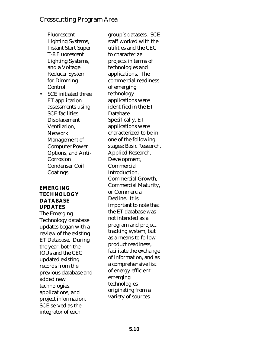Fluorescent Lighting Systems, Instant Start Super T-8 Fluorescent Lighting Systems, and a Voltage Reducer System for Dimming Control.

• SCE initiated three ET application assessments using SCE facilities: Displacement Ventilation, Network Management of Computer Power Options, and Anti-Corrosion Condenser Coil Coatings.

#### **EMERGING TECHNOLOGY DATABASE UPDATES**

The Emerging Technology database updates began with a review of the existing ET Database. During the year, both the IOUs and the CEC updated existing records from the previous database and added new technologies, applications, and project information. SCE served as the integrator of each

group's datasets. SCE staff worked with the utilities and the CEC to characterize projects in terms of technologies and applications. The commercial readiness of emerging technology applications were identified in the ET Database. Specifically, ET applications were characterized to be in one of the following stages: Basic Research, Applied Research, Development, Commercial Introduction, Commercial Growth, Commercial Maturity, or Commercial Decline. It is important to note that the ET database was not intended as a program and project tracking system, but as a means to follow product readiness, facilitate the exchange of information, and as a comprehensive list of energy efficient emerging technologies originating from a variety of sources.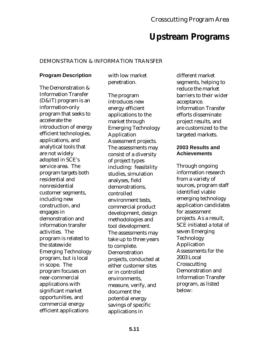# **Upstream Programs**

#### DEMONSTRATION & INFORMATION TRANSFER

### **Program Description**

The Demonstration & Information Transfer (D&IT) program is an information-only program that seeks to accelerate the introduction of energy efficient technologies, applications, and analytical tools that are not widely adopted in SCE's service area. The program targets both residential and nonresidential customer segments, including new construction, and engages in demonstration and information transfer activities. The program is related to the statewide Emerging Technology program, but is local in scope. The program focuses on near-commercial applications with significant market opportunities, and commercial energy efficient applications

with low market penetration.

The program introduces new energy efficient applications to the market through Emerging Technology Application Assessment projects. The assessments may consist of a diversity of project types including: feasibility studies, simulation analyses, field demonstrations, controlled environment tests, commercial product development, design methodologies and tool development. The assessments may take up to three years to complete. Demonstration projects, conducted at either customer sites or in controlled environments, measure, verify, and document the potential energy savings of specific applications in

different market segments, helping to reduce the market barriers to their wider acceptance. Information Transfer efforts disseminate project results, and are customized to the targeted markets.

#### **2003 Results and Achievements**

Through ongoing information research from a variety of sources, program staff identified viable emerging technology application candidates for assessment projects. As a result, SCE initiated a total of seven Emerging Technology Application Assessments for the 2003 Local **Crosscutting** Demonstration and Information Transfer program, as listed below: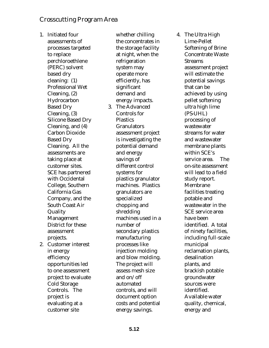1. Initiated four assessments of processes targeted to replace perchloroethlene (PERC) solvent based dry cleaning: (1) Professional Wet Cleaning, (2) Hydrocarbon Based Dry Cleaning, (3) Silicone Based Dry Cleaning, and (4) Carbon Dioxide Based Dry Cleaning. All the assessments are taking place at customer sites. SCE has partnered with Occidental College, Southern California Gas Company, and the South Coast Air Quality Management District for these assessment projects. 2. Customer interest in energy efficiency opportunities led to one assessment project to evaluate Cold Storage Controls. The project is evaluating at a

customer site

whether chilling the concentrates in the storage facility at night, when the refrigeration system may operate more efficiently, has significant demand and energy impacts. 3. The Advanced Controls for **Plastics** Granulators assessment project is investigating the potential demand and energy savings of different control systems for plastics granulator machines. Plastics granulators are specialized chopping and shredding machines used in a number of secondary plastics manufacturing processes like injection molding and blow molding. The project will assess mesh size and on/off automated controls, and will document option costs and potential energy savings.

4. The Ultra High Lime-Pellet Softening of Brine Concentrate Waste **Streams** assessment project will estimate the potential savings that can be achieved by using pellet softening ultra high lime (PS-UHL) processing of wastewater streams for water and wastewater membrane plants within SCE's service area. The on-site assessment will lead to a field study report. Membrane facilities treating potable and wastewater in the SCE service area have been identified. A total of ninety facilities, including full-scale municipal reclamation plants, desalination plants, and brackish potable groundwater sources were identified. Available water quality, chemical, energy and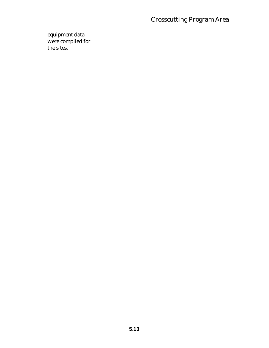equipment data were compiled for the sites.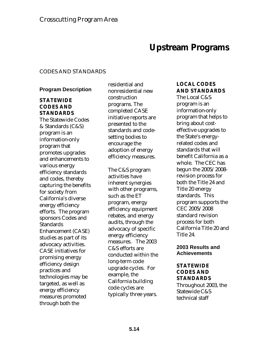# **Upstream Programs**

#### CODES AND STANDARDS

### **Program Description**

## **STATEWIDE CODES AND STANDARDS**

The Statewide Codes & Standards (C&S) program is an information-only program that promotes upgrades and enhancements to various energy efficiency standards and codes, thereby capturing the benefits for society from California's diverse energy efficiency efforts. The program sponsors Codes and **Standards** Enhancement (CASE) studies as part of its advocacy activities. CASE initiatives for promising energy efficiency design practices and technologies may be targeted, as well as energy efficiency measures promoted through both the

residential and nonresidential new construction programs. The completed CASE initiative reports are presented to the standards and codesetting bodies to encourage the adoption of energy efficiency measures.

The C&S program activities have inherent synergies with other programs, such as the ET program, energy efficiency equipment rebates, and energy audits, through the advocacy of specific energy efficiency measures. The 2003 C&S efforts are conducted within the long-term code upgrade cycles. For example, the California building code cycles are typically three years.

## **LOCAL CODES AND STANDARDS**

The Local C&S program is an information-only program that helps to bring about costeffective upgrades to the State's energyrelated codes and standards that will benefit California as a whole. The CEC has begun the 2005/2008 revision process for both the Title 24 and Title 20 energy standards. This program supports the CEC 2005/2008 standard revision process for both California Title 20 and Title 24.

#### **2003 Results and Achievements**

### **STATEWIDE CODES AND STANDARDS**

Throughout 2003, the Statewide C&S technical staff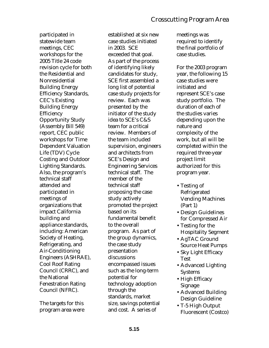participated in statewide team meetings, CEC workshops for the 2005 Title 24 code revision cycle for both the Residential and Nonresidential Building Energy Efficiency Standards, CEC's Existing Building Energy Efficiency Opportunity Study (Assembly Bill 549) report, CEC public workshops for Time Dependent Valuation Life (TDV) Cycle Costing and Outdoor Lighting Standards. Also, the program's technical staff attended and participated in meetings of organizations that impact California building and appliance standards, including: American Society of Heating, Refrigerating, and Air-Conditioning Engineers (ASHRAE), Cool Roof Rating Council (CRRC), and the National Fenestration Rating Council (NFRC).

The targets for this program area were

established at six new case studies initiated in 2003. SCE exceeded that goal. As part of the process of identifying likely candidates for study, SCE first assembled a long list of potential case study projects for review. Each was presented by the initiator of the study idea to SCE's C&S team for a critical review. Members of the team included supervision, engineers and architects from SCE's Design and Engineering Services technical staff. The member of the technical staff proposing the case study actively promoted the project based on its fundamental benefit to the overall program. As part of the group dynamics, the case study presentation discussions encompassed issues such as the long-term potential for technology adoption through the standards, market size, savings potential and cost. A series of

meetings was required to identify the final portfolio of case studies.

For the 2003 program year, the following 15 case studies were initiated and represent SCE's case study portfolio. The duration of each of the studies varies depending upon the nature and complexity of the work, but all will be completed within the required three-year project limit authorized for this program year.

- Testing of Refrigerated Vending Machines (Part 1)
- Design Guidelines for Compressed Air
- Testing for the Hospitality Segment
- AgTAC Ground Source Heat Pumps
- Sky Light Efficacy Test
- Advanced Lighting Systems
- High Efficacy Signage
- Advanced Building Design Guideline
- T-5 High Output Fluorescent (Costco)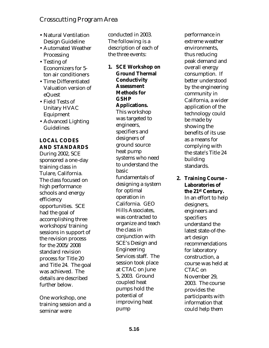- Natural Ventilation Design Guideline
- Automated Weather Processing
- Testing of Economizers for 5 ton air conditioners
- Time Differentiated Valuation version of eQuest
- Field Tests of Unitary HVAC Equipment
- Advanced Lighting Guidelines

# **LOCAL CODES AND STANDARDS**

During 2002, SCE sponsored a one-day training class in Tulare, California. The class focused on high performance schools and energy efficiency opportunities. SCE had the goal of accomplishing three workshops/training sessions in support of the revision process for the 2005/2008 standard revision process for Title 20 and Title 24. The goal was achieved. The details are described further below.

One workshop, one training session and a seminar were

conducted in 2003. The following is a description of each of the three events:

**1. SCE Workshop on Ground Thermal Conductivity Assessment Methods for GSHP Applications.** This workshop was targeted to engineers, specifiers and designers of ground source heat pump systems who need to understand the basic fundamentals of designing a system for optimal operation in California. GEO Hills Associates, was contracted to organize and teach the class in conjunction with SCE's Design and Engineering Services staff. The session took place at CTAC on June 5, 2003. Ground coupled heat pumps hold the potential of improving heat pump

performance in extreme weather environments, thus reducing peak demand and overall energy consumption. If better understood by the engineering community in California, a wider application of the technology could be made by showing the benefits of its use as a means for complying with the state's Title 24 building standards.

#### **2. Training Course - Laboratories of the 21st Century.**

In an effort to help designers, engineers and specifiers understand the latest state-of-theart design recommendations for laboratory construction, a course was held at CTAC on November 29, 2003. The course provides the participants with information that could help them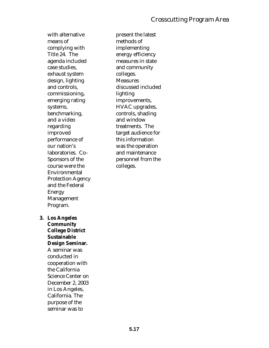with alternative means of complying with Title 24. The agenda included case studies, exhaust system design, lighting and controls, commissioning, emerging rating systems, benchmarking, and a video regarding improved performance of our nation's laboratories. Co-Sponsors of the course were the Environmental Protection Agency and the Federal Energy Management Program.

**3. Los Angeles Community College District Sustainable Design Seminar.** A seminar was conducted in cooperation with the California Science Center on December 2, 2003 in Los Angeles, California. The purpose of the seminar was to

present the latest methods of implementing energy efficiency measures in state and community colleges. Measures discussed included lighting improvements, HVAC upgrades, controls, shading and window treatments. The target audience for this information was the operation and maintenance personnel from the colleges.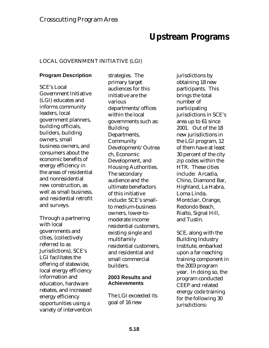# **Upstream Programs**

## LOCAL GOVERNMENT INITIATIVE (LGI)

### **Program Description**

SCE's Local Government Initiative (LGI) educates and informs community leaders, local government planners, building officials, builders, building owners, small business owners, and consumers about the economic benefits of energy efficiency in the areas of residential and nonresidential new construction, as well as small business, and residential retrofit and surveys.

Through a partnering with local governments and cities, (collectively referred to as Jurisdictions), SCE's LGI facilitates the offering of statewide, local energy efficiency information and education, hardware rebates, and increased energy efficiency opportunities using a variety of intervention

strategies. The primary target audiences for this initiative are the various departments/offices within the local governments such as: Building Departments, **Community** Development/Outrea ch, Economic Development, and Housing Authorities. The secondary audience and the ultimate benefactors of this initiative include: SCE's smallto medium-business owners, lower-tomoderate income residential customers, existing single and multifamily residential customers, and residential and small commercial builders.

### **2003 Results and Achievements**

The LGI exceeded its goal of 16 new

jurisdictions by obtaining 18 new participants. This brings the total number of participating jurisdictions in SCE's area up to 61 since 2001. Out of the 18 new jurisdictions in the LGI program, 12 of them have at least 30 percent of the city zip codes within the HTR. These cities include: Arcadia, Chino, Diamond Bar, Highland, La Habra, Loma Linda, Montclair, Orange, Redondo Beach, Rialto, Signal Hill, and Tustin.

SCE, along with the Building Industry Institute, embarked upon a far-reaching training component in the 2003 program year. In doing so, the program conducted CEEP and related energy code training for the following 30 jurisdictions: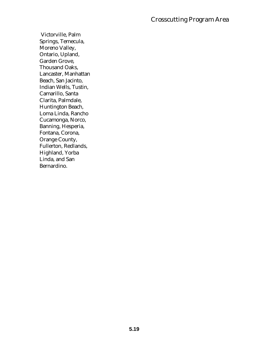Victorville, Palm Springs, Temecula, Moreno Valley, Ontario, Upland, Garden Grove, Thousand Oaks, Lancaster, Manhattan Beach, San Jacinto, Indian Wells, Tustin, Camarillo, Santa Clarita, Palmdale, Huntington Beach, Loma Linda, Rancho Cucamonga, Norco, Banning, Hesperia, Fontana, Corona, Orange County, Fullerton, Redlands, Highland, Yorba Linda, and San Bernardino.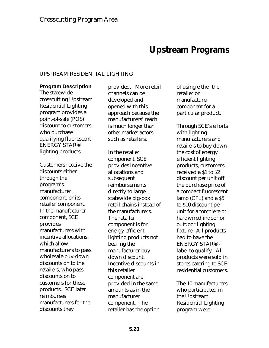# **Upstream Programs**

#### UPSTREAM RESIDENTIAL LIGHTING

#### **Program Description**

The statewide crosscutting Upstream Residential Lighting program provides a point-of-sale (POS) discount to customers who purchase qualifying fluorescent ENERGY STAR® lighting products.

Customers receive the discounts either through the program's manufacturer component, or its retailer component. In the manufacturer component, SCE provides manufacturers with incentive allocations, which allow manufacturers to pass wholesale buy-down discounts on to the retailers, who pass discounts on to customers for these products. SCE later reimburses manufacturers for the discounts they

provided. More retail channels can be developed and opened with this approach because the manufacturers' reach is much longer than other market actors such as retailers.

In the retailer component, SCE provides incentive allocations and subsequent reimbursements directly to large statewide big-box retail chains instead of the manufacturers. The retailer component is for energy efficient lighting products not bearing the manufacturer buydown discount. Incentive discounts in this retailer component are provided in the same amounts as in the manufacturer component. The retailer has the option

of using either the retailer or manufacturer component for a particular product.

Through SCE's efforts with lighting manufacturers and retailers to buy down the cost of energy efficient lighting products, customers received a \$1 to \$2 discount per unit off the purchase price of a compact fluorescent lamp (CFL) and a \$5 to \$10 discount per unit for a torchiere or hardwired indoor or outdoor lighting fixture. All products had to have the ENERGY STAR® label to qualify. All products were sold in stores catering to SCE residential customers.

The 10 manufacturers who participated in the Upstream Residential Lighting program were: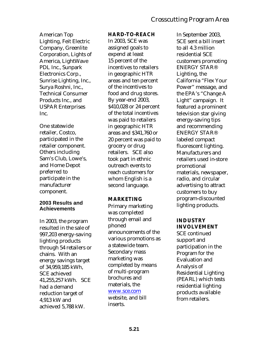## Crosscutting Program Area

American Top Lighting, Feit Electric Company, Greenlite Corporation, Lights of America, LightWave PDL Inc., Sunpark Electronics Corp., Sunrise Lighting, Inc., Surya Roshni, Inc., Technical Consumer Products Inc., and USPAR Enterprises Inc.

One statewide retailer, Costco, participated in the retailer component. Others including Sam's Club, Lowe's, and Home Depot preferred to participate in the manufacturer component.

### **2003 Results and Achievements**

In 2003, the program resulted in the sale of 997,203 energy-saving lighting products through 54 retailers or chains. With an energy savings target of 34,959,185 kWh, SCE achieved 41,255,257 kWh. SCE had a demand reduction target of 4,913 kW and achieved 5,788 kW.

### **HARD-TO-REACH**

In 2003, SCE was assigned goals to expend at least 15 percent of the incentives to retailers in geographic HTR areas and ten percent of the incentives to food and drug stores. By year-end 2003, \$410,028 or 24 percent of the total incentives was paid to retailers in geographic HTR areas and \$341,760 or 20 percent was paid to grocery or drug retailers. SCE also took part in ethnic outreach events to reach customers for whom English is a second language.

### **MARKETING**

Primary marketing was completed through email and phoned announcements of the various promotions as a statewide team. Secondary mass marketing was completed by means of multi-program brochures and materials, the

### www.sce.com

website, and bill inserts.

In September 2003, SCE sent a bill insert to all 4.3 million residential SCE customers promoting ENERGY STAR® Lighting, the California "Flex Your Power" message, and the EPA's "Change A Light" campaign. It featured a prominent television star giving energy-saving tips and recommending ENERGY STAR® labeled compact fluorescent lighting. Manufacturers and retailers used in-store promotional materials, newspaper, radio, and circular advertising to attract customers to buy program-discounted lighting products.

## **INDUSTRY INVOLVEMENT**

SCE continued support and participation in the Program for the Evaluation and Analysis of Residential Lighting (PEARL) which tests residential lighting products available from retailers.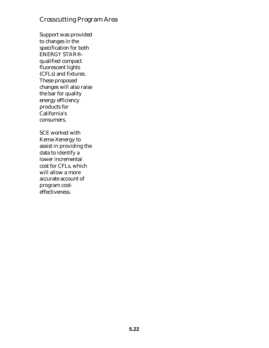## Crosscutting Program Area

Support was provided to changes in the specification for both ENERGY STAR®– qualified compact fluorescent lights (CFLs) and fixtures. These proposed changes will also raise the bar for quality energy efficiency products for California's consumers.

SCE worked with Kema-Xenergy to assist in providing the data to identify a lower incremental cost for CFLs, which will allow a more accurate account of program costeffectiveness.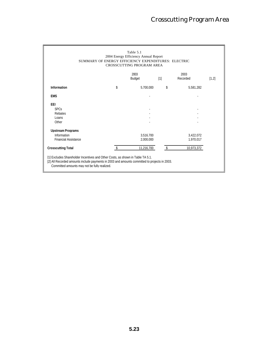|                             | SUMMARY OF ENERGY EFFICIENCY EXPENDITURES: ELECTRIC | Table 5.1<br>2004 Energy Efficiency Annual Report<br>CROSSCUTTING PROGRAM AREA |                   |                  |       |
|-----------------------------|-----------------------------------------------------|--------------------------------------------------------------------------------|-------------------|------------------|-------|
|                             |                                                     | 2003<br><b>Budget</b>                                                          | $\lceil 1 \rceil$ | 2003<br>Recorded | [1,2] |
| <b>Information</b>          | \$                                                  | 5.700.000                                                                      | \$                | 5.581.282        |       |
| <b>EMS</b>                  |                                                     |                                                                                |                   |                  |       |
| <b>EEI</b>                  |                                                     |                                                                                |                   |                  |       |
| <b>SPCs</b>                 |                                                     |                                                                                |                   |                  |       |
| Rebates                     |                                                     |                                                                                |                   |                  |       |
| Loans                       |                                                     |                                                                                |                   |                  |       |
| Other                       |                                                     |                                                                                |                   |                  |       |
| <b>Upstream Programs</b>    |                                                     |                                                                                |                   |                  |       |
| Information                 |                                                     | 3.516.700                                                                      |                   | 3.422.072        |       |
| <b>Financial Assistance</b> |                                                     | 2.000.000                                                                      |                   | 1.970.017        |       |
| <b>Crosscutting Total</b>   |                                                     | 11,216,700                                                                     |                   | 10,973,372       |       |

[2] All Recorded amounts include payments in 2003 and amounts committed to projects in 2003.

Committed amounts may not be fully realized.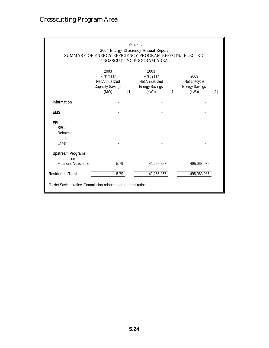## Crosscutting Program Area

| Table 5.2<br>2004 Energy Efficiency Annual Report<br>SUMMARY OF ENERGY EFFICIENCY PROGRAM EFFECTS: ELECTRIC<br><b>CROSSCUTTING PROGRAM AREA</b> |                                                                                |       |                                                                               |       |                                                         |                   |  |
|-------------------------------------------------------------------------------------------------------------------------------------------------|--------------------------------------------------------------------------------|-------|-------------------------------------------------------------------------------|-------|---------------------------------------------------------|-------------------|--|
|                                                                                                                                                 | 2003<br><b>First Year</b><br>Net Annualized<br><b>Capacity Savings</b><br>(MW) | $[1]$ | 2003<br><b>First Year</b><br>Net Annualized<br><b>Energy Savings</b><br>(kWh) | $[1]$ | 2003<br>Net Lifecycle<br><b>Energy Savings</b><br>(kWh) | $\lceil 1 \rceil$ |  |
| <b>Information</b>                                                                                                                              |                                                                                |       |                                                                               |       |                                                         |                   |  |
| <b>EMS</b>                                                                                                                                      |                                                                                |       |                                                                               |       |                                                         |                   |  |
| EEI<br><b>SPCs</b><br>Rebates<br>Loans<br>Other                                                                                                 |                                                                                |       |                                                                               |       |                                                         |                   |  |
| <b>Upstream Programs</b><br>Information<br><b>Financial Assistance</b>                                                                          | 5.79                                                                           |       | 41,255,257                                                                    |       | 495,063,085                                             |                   |  |
| <b>Residential Total</b>                                                                                                                        | 5.79                                                                           |       | 41,255,257                                                                    |       | 495,063,085                                             |                   |  |
| [1] Net Savings reflect Commission-adopted net-to-gross ratios.                                                                                 |                                                                                |       |                                                                               |       |                                                         |                   |  |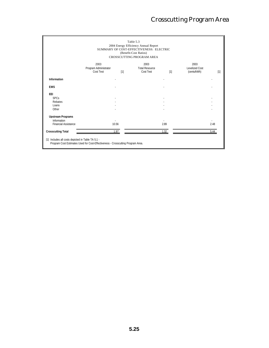|                             |                                            |      | 2004 Energy Efficiency Annual Report<br>SUMMARY OF COST-EFFECTIVENESS: ELECTRIC<br>(Benefit-Cost Ratios)<br>CROSSCUTTING PROGRAM AREA |      |                                       |      |
|-----------------------------|--------------------------------------------|------|---------------------------------------------------------------------------------------------------------------------------------------|------|---------------------------------------|------|
|                             | 2003<br>Program Administrator<br>Cost Test | [1]  | 2003<br><b>Total Resource</b><br>Cost Test                                                                                            | [1]  | 2003<br>Levelized Cost<br>(cents/kWh) | [1]  |
| Information                 |                                            |      |                                                                                                                                       |      |                                       |      |
| <b>EMS</b>                  |                                            |      |                                                                                                                                       |      |                                       |      |
| <b>EEI</b>                  |                                            |      |                                                                                                                                       |      |                                       |      |
| <b>SPCs</b>                 |                                            |      |                                                                                                                                       |      |                                       |      |
| Rebates                     |                                            |      |                                                                                                                                       |      |                                       |      |
| Loans                       |                                            |      |                                                                                                                                       |      |                                       |      |
| Other                       |                                            |      |                                                                                                                                       |      |                                       |      |
| <b>Upstream Programs</b>    |                                            |      |                                                                                                                                       |      |                                       |      |
| Information                 |                                            |      |                                                                                                                                       |      |                                       |      |
| <b>Financial Assistance</b> | 10.56                                      |      |                                                                                                                                       | 2.89 |                                       | 2.48 |
| <b>Crosscutting Total</b>   |                                            | 1.97 |                                                                                                                                       | 1.32 |                                       | 5.44 |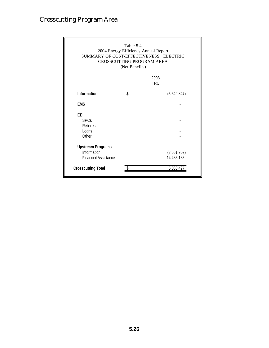## Crosscutting Program Area

| Table 5.4<br>2004 Energy Efficiency Annual Report<br>SUMMARY OF COST-EFFECTIVENESS: ELECTRIC<br><b>CROSSCUTTING PROGRAM AREA</b><br>(Net Benefits) |    |                                        |  |  |  |  |
|----------------------------------------------------------------------------------------------------------------------------------------------------|----|----------------------------------------|--|--|--|--|
|                                                                                                                                                    |    | 2003<br><b>TRC</b>                     |  |  |  |  |
| Information                                                                                                                                        | \$ | (5,642,847)                            |  |  |  |  |
| <b>FMS</b>                                                                                                                                         |    |                                        |  |  |  |  |
| FFI.<br><b>SPCs</b><br>Rebates<br>Loans<br>Other                                                                                                   |    |                                        |  |  |  |  |
| <b>Upstream Programs</b><br>Information<br><b>Financial Assistance</b><br><b>Crosscutting Total</b>                                                |    | (3,501,909)<br>14,483,183<br>5,338,427 |  |  |  |  |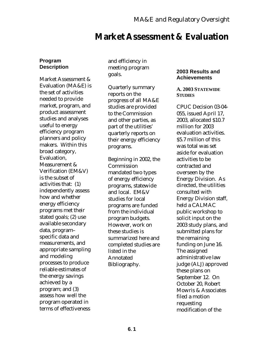## **Market Assessment & Evaluation**

### **Program Description**

Market Assessment & Evaluation (MA&E) is the set of activities needed to provide market, program, and product assessment studies and analyses useful to energy efficiency program planners and policy makers. Within this broad category, Evaluation, Measurement & Verification (EM&V) is the subset of activities that: (1) independently assess how and whether energy efficiency programs met their stated goals; (2) use available secondary data, program– specific data and measurements, and appropriate sampling and modeling processes to produce reliable estimates of the energy savings achieved by a program; and (3) assess how well the program operated in terms of effectiveness

and efficiency in meeting program goals.

Quarterly summary reports on the progress of all MA&E studies are provided to the Commission and other parties, as part of the utilities' quarterly reports on their energy efficiency programs.

Beginning in 2002, the Commission mandated two types of energy efficiency programs, statewide and local. EM&V studies for local programs are funded from the individual program budgets. However, work on these studies is summarized here and completed studies are listed in the Annotated Bibliography.

### **2003 Results and Achievements**

### **A. 2003 STATEWIDE STUDIES**

CPUC Decision 03-04- 055, issued April 17, 2003, allocated \$10.7 million for 2003 evaluation activities. \$5.7 million of this was total was set aside for evaluation activities to be contracted and overseen by the Energy Division. As directed, the utilities consulted with Energy Division staff, held a CALMAC public workshop to solicit input on the 2003 study plans, and submitted plans for the remaining funding on June 16. The assigned administrative law judge (ALJ) approved these plans on September 12. On October 20, Robert Mowris & Associates filed a motion requesting modification of the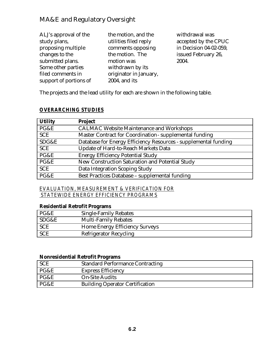| ALJ's approval of the  | the motion, and the    | withdrawal was         |
|------------------------|------------------------|------------------------|
| study plans,           | utilities filed reply  | accepted by the CPUC   |
| proposing multiple     | comments opposing      | in Decision 04-02-059, |
| changes to the         | the motion. The        | issued February 26,    |
| submitted plans.       | motion was             | 2004.                  |
| Some other parties     | withdrawn by its       |                        |
| filed comments in      | originator in January, |                        |
| support of portions of | 2004, and its          |                        |

The projects and the lead utility for each are shown in the following table.

## *OVERARCHING STUDIES*

| <b>Utility</b> | <b>Project</b>                                                  |
|----------------|-----------------------------------------------------------------|
| PG&E           | <b>CALMAC Website Maintenance and Workshops</b>                 |
| <b>SCE</b>     | Master Contract for Coordination - supplemental funding         |
| SDG&E          | Database for Energy Efficiency Resources - supplemental funding |
| <b>SCE</b>     | <b>Update of Hard-to-Reach Markets Data</b>                     |
| PG&E           | <b>Energy Efficiency Potential Study</b>                        |
| PG&E           | New Construction Saturation and Potential Study                 |
| <b>SCE</b>     | Data Integration Scoping Study                                  |
| PG&E           | Best Practices Database - supplemental funding                  |

*EVALUATION, MEASUREMENT & VERIFICATION FOR STATEWIDE ENERGY EFFICIENCY PROGRAMS*

## **Residential Retrofit Programs**

| PG&E       | <b>Single-Family Rebates</b>          |
|------------|---------------------------------------|
| SDG&E      | <b>Multi-Family Rebates</b>           |
| <b>SCE</b> | <b>Home Energy Efficiency Surveys</b> |
| <b>SCE</b> | <b>Refrigerator Recycling</b>         |

## **Nonresidential Retrofit Programs**

| <b>SCE</b> | <b>Standard Performance Contracting</b> |
|------------|-----------------------------------------|
| PG&E       | <b>Express Efficiency</b>               |
| PG&E       | <b>On-Site Audits</b>                   |
| PG&E       | <b>Building Operator Certification</b>  |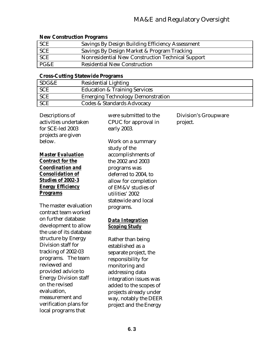## **New Construction Programs**

| <b>SCE</b> | Savings By Design Building Efficiency Assessment  |
|------------|---------------------------------------------------|
| <b>SCE</b> | Savings By Design Market & Program Tracking       |
| <b>SCE</b> | Nonresidential New Construction Technical Support |
| PG&E       | <b>Residential New Construction</b>               |

## **Cross-Cutting Statewide Programs**

|            | . . |                                          |
|------------|-----|------------------------------------------|
| SDG&E      |     | <b>Residential Lighting</b>              |
| <b>SCE</b> |     | <b>Education &amp; Training Services</b> |
| <b>SCE</b> |     | <b>Emerging Technology Demonstration</b> |
| <b>SCE</b> |     | Codes & Standards Advocacy               |

| Descriptions of<br>activities undertaken<br>for SCE-led 2003<br>projects are given | were submitted to the<br>CPUC for approval in<br>early 2003. | Division's Groupware<br>project. |
|------------------------------------------------------------------------------------|--------------------------------------------------------------|----------------------------------|
| below.                                                                             | Work on a summary                                            |                                  |
| <b>Master Evaluation</b>                                                           | study of the<br>accomplishments of                           |                                  |
| <b>Contract for the</b>                                                            | the 2002 and 2003                                            |                                  |
| <b>Coordination and</b>                                                            | programs was                                                 |                                  |
| <b>Consolidation of</b>                                                            | deferred to 2004, to                                         |                                  |
| <b>Studies of 2002-3</b>                                                           | allow for completion                                         |                                  |
| <b>Energy Efficiency</b>                                                           | of EM&V studies of                                           |                                  |
| <b>Programs</b>                                                                    | utilities' 2002                                              |                                  |
| The master evaluation                                                              | statewide and local                                          |                                  |
| contract team worked                                                               | programs.                                                    |                                  |
| on further database                                                                | <b>Data Integration</b>                                      |                                  |
| development to allow                                                               | <b>Scoping Study</b>                                         |                                  |
| the use of its database                                                            |                                                              |                                  |
| structure by Energy                                                                | Rather than being                                            |                                  |
| Division staff for                                                                 | established as a                                             |                                  |
| tracking of 2002-03<br>programs. The team                                          | separate project, the                                        |                                  |
| reviewed and                                                                       | responsibility for                                           |                                  |
| provided advice to                                                                 | monitoring and<br>addressing data                            |                                  |
| <b>Energy Division staff</b>                                                       | integration issues was                                       |                                  |
| on the revised                                                                     | added to the scopes of                                       |                                  |
| evaluation,                                                                        | projects already under                                       |                                  |
| measurement and                                                                    | way, notably the DEER                                        |                                  |
| verification plans for                                                             | project and the Energy                                       |                                  |
| local programs that                                                                |                                                              |                                  |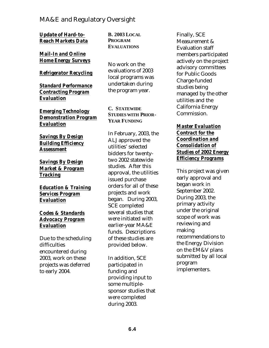*Update of Hard-to-Reach Markets Data*

*Mail-In and Online Home Energy Surveys*

### *Refrigerator Recycling*

*Standard Performance Contracting Program Evaluation*

*Emerging Technology Demonstration Program Evaluation*

*Savings By Design Building Efficiency Assessment* 

*Savings By Design Market & Program Tracking* 

*Education & Training Services Program Evaluation*

### *Codes & Standards Advocacy Program Evaluation*

Due to the scheduling difficulties encountered during 2003, work on these projects was deferred to early 2004.

**B. 2003 LOCAL PROGRAM EVALUATIONS**

No work on the evaluations of 2003 local programs was undertaken during the program year.

**C. STATEWIDE STUDIES WITH PRIOR-YEAR FUNDING**

In February, 2003, the ALJ approved the utilities' selected bidders for twentytwo 2002 statewide studies. After this approval, the utilities issued purchase orders for all of these projects and work began. During 2003, SCE completed several studies that were initiated with earlier-year MA&E funds. Descriptions of these studies are provided below.

In addition, SCE participated in funding and providing input to some multiplesponsor studies that were completed during 2003.

Finally, SCE Measurement & Evaluation staff members participated actively on the project advisory committees for Public Goods Charge-funded studies being managed by the other utilities and the California Energy Commission.

### *Master Evaluation Contract for the Coordination and Consolidation of Studies of 2002 Energy Efficiency Programs*

This project was given early approval and began work in September 2002. During 2003, the primary activity under the original scope of work was reviewing and making recommendations to the Energy Division on the EM&V plans submitted by all local program implementers.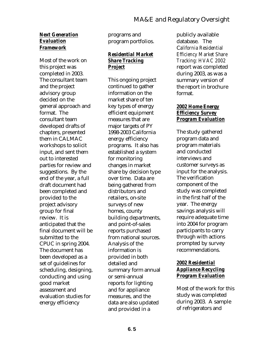### *Next Generation Evaluation Framework*

Most of the work on this project was completed in 2003. The consultant team and the project advisory group decided on the general approach and format. The consultant team developed drafts of chapters, presented them in CALMAC workshops to solicit input, and sent them out to interested parties for review and suggestions. By the end of the year, a full draft document had been completed and provided to the project advisory group for final review. It is anticipated that the final document will be submitted to the CPUC in spring 2004. The document has been developed as a set of guidelines for scheduling, designing, conducting and using good market assessment and evaluation studies for energy efficiency

programs and program portfolios.

### *Residential Market Share Tracking Project*

This ongoing project continued to gather information on the market share of ten key types of energy efficient equipment measures that are major targets of PY 1998-2003 California energy efficiency programs. It also has established a system for monitoring changes in market share by decision type over time. Data are being gathered from distributors and retailers, on-site surveys of new homes, county building departments, and point-of-sales reports purchased from national sources. Analysis of the information is provided in both detailed and summary form annual or semi-annual reports for lighting and for appliance measures, and the data are also updated and provided in a

publicly available database. The C*alifornia Residential Efficiency Market Share Tracking: HVAC 2002*  report was completed during 2003, as was a summary version of the report in brochure format.

### *2002 Home Energy Efficiency Survey Program Evaluation*

The study gathered program data and program materials and conducted interviews and customer surveys as input for the analysis. The verification component of the study was completed in the first half of the year. The energy savings analysis will require adequate time into 2004 for program participants to carry through with actions prompted by survey recommendations.

## *2002 Residential Appliance Recycling Program Evaluation*

Most of the work for this study was completed during 2003. A sample of refrigerators and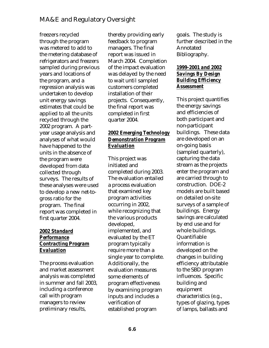freezers recycled through the program was metered to add to the metering database of refrigerators and freezers sampled during previous years and locations of the program, and a regression analysis was undertaken to develop unit energy savings estimates that could be applied to all the units recycled through the 2002 program. A partyear usage analysis and analyses of what would have happened to the units in the absence of the program were developed from data collected through surveys. The results of these analyses were used to develop a new net-togross ratio for the program. The final report was completed in first quarter 2004.

## *2002 Standard Performance Contracting Program Evaluation*

The process evaluation and market assessment analysis was completed in summer and fall 2003, including a conference call with program managers to review preliminary results,

thereby providing early feedback to program managers. The final report was issued in March 2004. Completion of the impact evaluation was delayed by the need to wait until sampled customers completed installation of their projects. Consequently, the final report was completed in first quarter 2004.

## *2002 Emerging Technology Demonstration Program Evaluation*

This project was initiated and completed during 2003. The evaluation entailed a process evaluation that examined key program activities occurring in 2002, while recognizing that the various products developed, implemented, and evaluated by the ET program typically require more than a single year to complete. Additionally, the evaluation measures some elements of program effectiveness by examining program inputs and includes a verification of established program

goals. The study is further described in the Annotated Bibliography.

## *1999-2001 and 2002 Savings By Design Building Efficiency Assessment*

This project quantifies the energy savings and efficiencies of both participant and non-participant buildings. These data are developed on an on-going basis (sampled quarterly), capturing the data stream as the projects enter the program and are carried through to construction. DOE-2 models are built based on detailed on-site surveys of a sample of buildings. Energy savings are calculated by end use and for whole buildings. Quantifiable information is developed on the changes in building efficiency attributable to the SBD program influences. Specific building and equipment characteristics (e.g., types of glazing, types of lamps, ballasts and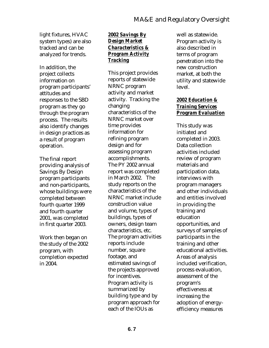light fixtures, HVAC system types) are also tracked and can be analyzed for trends.

In addition, the project collects information on program participants' attitudes and responses to the SBD program as they go through the program process. The results also identify changes in design practices as a result of program operation.

The final report providing analysis of Savings By Design program participants and non-participants, whose buildings were completed between fourth quarter 1999 and fourth quarter 2001, was completed in first quarter 2003.

Work then began on the study of the 2002 program, with completion expected in 2004.

## *2002 Savings By Design Market Characteristics & Program Activity Tracking*

This project provides reports of statewide NRNC program activity and market activity. Tracking the changing characteristics of the NRNC market over time provides information for refining program design and for assessing program accomplishments. The PY 2002 annual report was completed in March 2002. The study reports on the characteristics of the NRNC market include construction value and volume, types of buildings, types of owners, design team characteristics, etc. The program activities reports include number, square footage, and estimated savings of the projects approved for incentives. Program activity is summarized by building type and by program approach for each of the IOUs as

well as statewide. Program activity is also described in terms of program penetration into the new construction market, at both the utility and statewide level.

## *2002 Education & Training Services Program Evaluation*

This study was initiated and completed in 2003. Data collection activities included review of program materials and participation data, interviews with program managers and other individuals and entities involved in providing the training and education opportunities, and surveys of samples of participants in the training and other educational activities. Areas of analysis included verification, process evaluation, assessment of the program's effectiveness at increasing the adoption of energyefficiency measures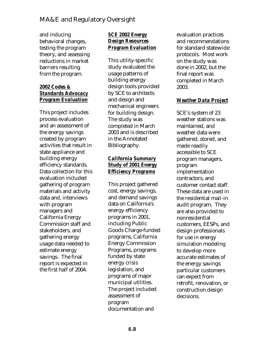and inducing behavioral changes, testing the program theory, and assessing reductions in market barriers resulting from the program.

## *2002 Codes & Standards Advocacy Program Evaluation*

This project includes process evaluation and an assessment of the energy savings created by program activities that result in state appliance and building energy efficiency standards. Data collection for this evaluation included gathering of program materials and activity data and, interviews with program managers and California Energy Commission staff and stakeholders, and gathering energy usage data needed to estimate energy savings. The final report is expected in the first half of 2004.

## *SCE 2002 Energy Design Resources Program Evaluation*

This utility-specific study evaluated the usage patterns of building energy design tools provided by SCE to architects and design and mechanical engineers for building design. The study was completed in March 2003 and is described in the Annotated Bibliography.

## *California Summary Study of 2001 Energy Efficiency Programs*

This project gathered cost, energy savings, and demand savings data on California's energy efficiency programs in 2001, including Public Goods Charge-funded programs, California Energy Commission Programs, programs funded by state energy crisis legislation, and programs of major municipal utilities. The project included assessment of program documentation and

evaluation practices and recommendations for standard statewide protocols. Most work on the study was done in 2002, but the final report was completed in March 2003.

## *Weather Data Project*

SCE's system of 23 weather stations was maintained, and weather data were gathered, stored, and made readily accessible to SCE program managers, program implementation contractors, and customer contact staff. These data are used in the residential mail-in audit program. They are also provided to nonresidential customers, EESPs, and design professionals for use in energy simulation modeling to develop more accurate estimates of the energy savings particular customers can expect from retrofit, renovation, or construction design decisions.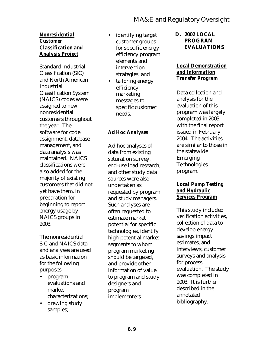### *Nonresidential Customer Classification and Analysis Project*

Standard Industrial Classification (SIC) and North American Industrial Classification System (NAICS) codes were assigned to new nonresidential customers throughout the year. The software for code assignment, database management, and data analysis was maintained. NAICS classifications were also added for the majority of existing customers that did not yet have them, in preparation for beginning to report energy usage by NAICS groups in 2003.

The nonresidential SIC and NAICS data and analyses are used as basic information for the following purposes:

- program evaluations and market characterizations;
- drawing study samples;
- identifying target customer groups for specific energy efficiency program elements and intervention strategies; and
- tailoring energy efficiency marketing messages to specific customer needs.

## *Ad Hoc Analyses*

Ad hoc analyses of data from existing saturation survey, end-use load research, and other study data sources were also undertaken as requested by program and study managers. Such analyses are often requested to estimate market potential for specific technologies, identify high-potential market segments to whom program marketing should be targeted, and provide other information of value to program and study designers and program implementers.

**D. 2002 LOCAL PROGRAM EVALUATIONS**

### *Local Demonstration and Information Transfer Program*

Data collection and analysis for the evaluation of this program was largely completed in 2003, with the final report issued in February 2004. The activities are similar to those in the statewide Emerging **Technologies** program.

### *Local Pump Testing and Hydraulic Services Program*

This study included verification activities, collection of data to develop energy savings impact estimates, and interviews, customer surveys and analysis for process evaluation. The study was completed in 2003. It is further described in the annotated bibliography.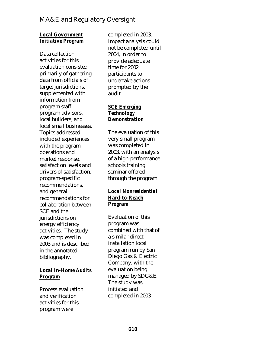## *Local Government Initiative Program*

Data collection activities for this evaluation consisted primarily of gathering data from officials of target jurisdictions, supplemented with information from program staff, program advisors, local builders, and local small businesses. Topics addressed included experiences with the program operations and market response, satisfaction levels and drivers of satisfaction, program-specific recommendations, and general recommendations for collaboration between SCE and the jurisdictions on energy efficiency activities. The study was completed in 2003 and is described in the annotated bibliography.

## *Local In-Home Audits Program*

Process evaluation and verification activities for this program were

completed in 2003. Impact analysis could not be completed until 2004, in order to provide adequate time for 2002 participants to undertake actions prompted by the audit.

### *SCE Emerging Technology Demonstration*

The evaluation of this very small program was completed in 2003, with an analysis of a high-performance schools training seminar offered through the program.

## *Local Nonresidential Hard-to-Reach Program*

Evaluation of this program was combined with that of a similar direct installation local program run by San Diego Gas & Electric Company, with the evaluation being managed by SDG&E. The study was initiated and completed in 2003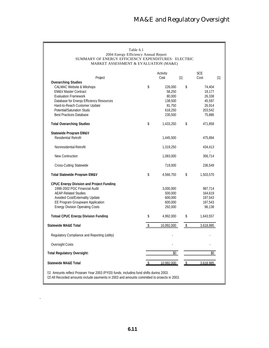| Table 6.1<br>2004 Energy Efficiency Annual Report<br>SUMMARY OF ENERGY EFFICIENCY EXPENDITURES: ELECTRIC<br>MARKET ASSESSMENT & EVALUATION (MA&E)                                      |    |            |     |            |     |  |
|----------------------------------------------------------------------------------------------------------------------------------------------------------------------------------------|----|------------|-----|------------|-----|--|
|                                                                                                                                                                                        |    | Activity   |     | <b>SCE</b> |     |  |
| Project<br><b>Overarching Studies</b>                                                                                                                                                  |    | Cost       | [1] | Cost       | [1] |  |
| <b>CALMAC Website &amp; Wkshops</b>                                                                                                                                                    | \$ | 226,000    | \$  | 74,404     |     |  |
| <b>EM&amp;V Master Contract</b>                                                                                                                                                        |    | 58,250     |     | 19,177     |     |  |
| <b>Evaluation Framework</b>                                                                                                                                                            |    | 80,000     |     | 26,338     |     |  |
| Database for Energy Efficiency Resources                                                                                                                                               |    | 138,500    |     | 45,597     |     |  |
| Hard-to-Reach Customer Update                                                                                                                                                          |    | 81,750     |     | 26,914     |     |  |
| Potential/Saturation Study                                                                                                                                                             |    | 618,250    |     | 203,542    |     |  |
| <b>Best Practices Database</b>                                                                                                                                                         |    | 230,500    |     | 75,886     |     |  |
| <b>Total Overarching Studies</b>                                                                                                                                                       | \$ | 1,433,250  | \$  | 471,858    |     |  |
|                                                                                                                                                                                        |    |            |     |            |     |  |
| Statewide Program EM&V                                                                                                                                                                 |    |            |     |            |     |  |
| Residential Retrofi                                                                                                                                                                    |    | 1,445,500  |     | 475,894    |     |  |
| Nonresidential Retrofit                                                                                                                                                                |    | 1.319.250  |     | 434,413    |     |  |
| New Contruction                                                                                                                                                                        |    | 1,083,000  |     | 356,714    |     |  |
| Cross-Cutting Statewide                                                                                                                                                                |    | 719,000    |     | 236,549    |     |  |
| <b>Total Statewide Program EM&amp;V</b>                                                                                                                                                | \$ | 4,566,750  | \$  | 1,503,570  |     |  |
| <b>CPUC Energy Division and Project Funding</b>                                                                                                                                        |    |            |     |            |     |  |
| 1998-2002 PGC Financial Audit                                                                                                                                                          |    | 3,000,000  |     | 987,714    |     |  |
| <b>AEAP-Related Studies</b>                                                                                                                                                            |    | 500,000    |     | 164,619    |     |  |
| Avoided Cost/Externality Update                                                                                                                                                        |    | 600,000    |     | 197,543    |     |  |
| <b>EE Program Groupware Application</b>                                                                                                                                                |    | 600,000    |     | 197,543    |     |  |
| <b>Energy Division Operating Costs</b>                                                                                                                                                 |    | 292,000    |     | 96,138     |     |  |
| <b>Totoal CPUC Energy Division Funding</b>                                                                                                                                             | \$ | 4,992,000  | \$  | 1,643,557  |     |  |
| <b>Statewide MA&amp;E Total</b>                                                                                                                                                        | \$ | 10,992,000 | \$  | 3,618,985  |     |  |
| Regulatory Compliance and Reporting (utility)                                                                                                                                          |    |            |     |            |     |  |
| Oversight Costs                                                                                                                                                                        |    |            |     |            |     |  |
| <b>Total Regulatory Oversight:</b>                                                                                                                                                     |    | \$0        |     | \$0        |     |  |
| <b>Statewide MA&amp;E Total</b>                                                                                                                                                        |    | 10.992.000 |     | 3.618.985  |     |  |
| [1] Amounts reflect Program Year 2003 (PY03) funds, including fund shifts during 2003.<br>[2] All Recorded amounts include payments in 2003 and amounts committed to proiects in 2003. |    |            |     |            |     |  |

.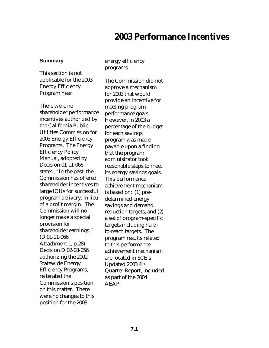## **2003 Performance Incentives**

### **Summary**

This section is not applicable for the 2003 Energy Efficiency Program Year.

There were no shareholder performance incentives authorized by the California Public Utilities Commission for 2003 Energy Efficiency Programs. The Energy Efficiency Policy Manual, adopted by Decision 01-11-066 stated, "In the past, the Commission has offered shareholder incentives to large IOUs for successful program delivery, in lieu of a profit margin. The Commission will no longer make a special provision for shareholder earnings." (D.01-11-066, Attachment 1, p.28) Decision D.02-03-056, authorizing the 2002 Statewide Energy Efficiency Programs, reiterated the Commission's position on this matter. There were no changes to this position for the 2003

energy efficiency programs.

The Commission did not approve a mechanism for 2003 that would provide an incentive for meeting program performance goals. However, in 2003 a percentage of the budget for each savings program was made payable upon a finding that the program administrator took reasonable steps to meet its energy savings goals. This performance achievement mechanism is based on: (1) predetermined energy savings and demand reduction targets, and (2) a set of program-specific targets including hardto-reach targets. The program results related to this performance achievement mechanism are located in SCE's Updated 2003 4th Quarter Report, included as part of the 2004 AEAP.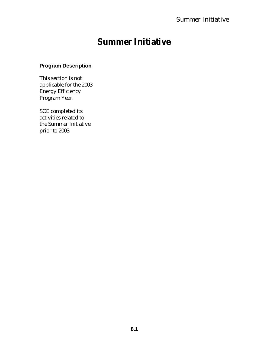## **Summer Initiative**

## **Program Description**

This section is not applicable for the 2003 Energy Efficiency Program Year.

SCE completed its activities related to the Summer Initiative prior to 2003.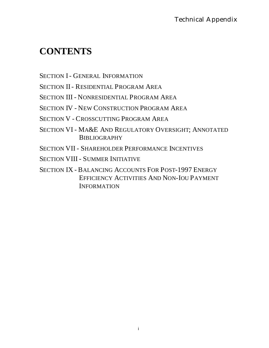## **CONTENTS**

SECTION I- GENERAL INFORMATION

SECTION II- RESIDENTIAL PROGRAM AREA

SECTION III - NONRESIDENTIAL PROGRAM AREA

SECTION IV - NEW CONSTRUCTION PROGRAM AREA

SECTION V - CROSSCUTTING PROGRAM AREA

SECTION VI - MA&E AND REGULATORY OVERSIGHT; ANNOTATED **BIBLIOGRAPHY** 

SECTION VII - SHAREHOLDER PERFORMANCE INCENTIVES

SECTION VIII - SUMMER INITIATIVE

SECTION IX - BALANCING ACCOUNTS FOR POST-1997 ENERGY EFFICIENCY ACTIVITIES AND NON-IOU PAYMENT INFORMATION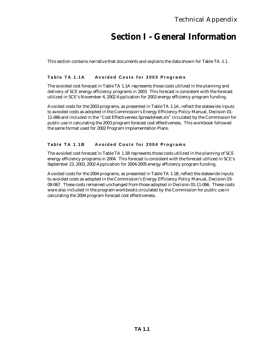## **Section I - General Information**

This section contains narrative that documents and explains the data shown for Table TA-1.1.

### **Table TA 1.1A Avoided Costs for 2003 Programs**

The avoided cost forecast in Table TA 1.1A represents those costs utilized in the planning and delivery of SCE energy efficiency programs in 2003. This forecast is consistent with the forecast utilized in SCE's November 4, 2002 Application for 2003 energy efficiency program funding.

Avoided costs for the 2003 programs, as presented in Table TA 1.1A, reflect the statewide inputs to avoided costs as adopted in the Commission's Energy Efficiency Policy Manual, Decision 01- 11-066 and included in the "Cost Effectiveness Spreadsheet.xls" circulated by the Commission for public use in calculating the 2003 program forecast cost effectiveness. This workbook followed the same format used for 2002 Program Implementation Plans.

### **Table TA 1.1B Avoided Costs for 2004 Programs**

The avoided cost forecast in Table TA 1.1B represents those costs utilized in the planning of SCE energy efficiency programs in 2004. This forecast is consistent with the forecast utilized in SCE's September 23, 2003, 2002 Application for 2004-2005 energy efficiency program funding.

Avoided costs for the 2004 programs, as presented in Table TA 1.1B, reflect the statewide inputs to avoided costs as adopted in the Commission's Energy Efficiency Policy Manual, Decision 03- 08-067. These costs remained unchanged from those adopted in Decision 01-11-066. These costs were also included in the program workbooks circulated by the Commission for public use in calculating the 2004 program forecast cost effectiveness.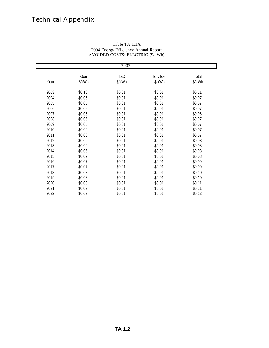| 2003 |               |               |                    |                 |  |  |  |  |  |
|------|---------------|---------------|--------------------|-----------------|--|--|--|--|--|
| Year | Gen<br>\$/kWh | T&D<br>\$/kWh | Env.Ext.<br>\$/kWh | Total<br>\$/kWh |  |  |  |  |  |
| 2003 | \$0.10        | \$0.01        | \$0.01             | \$0.11          |  |  |  |  |  |
| 2004 | \$0.06        | \$0.01        | \$0.01             | \$0.07          |  |  |  |  |  |
| 2005 | \$0.05        | \$0.01        | \$0.01             | \$0.07          |  |  |  |  |  |
| 2006 | \$0.05        | \$0.01        | \$0.01             | \$0.07          |  |  |  |  |  |
| 2007 | \$0.05        | \$0.01        | \$0.01             | \$0.06          |  |  |  |  |  |
| 2008 | \$0.05        | \$0.01        | \$0.01             | \$0.07          |  |  |  |  |  |
| 2009 | \$0.05        | \$0.01        | \$0.01             | \$0.07          |  |  |  |  |  |
| 2010 | \$0.06        | \$0.01        | \$0.01             | \$0.07          |  |  |  |  |  |
| 2011 | \$0.06        | \$0.01        | \$0.01             | \$0.07          |  |  |  |  |  |
| 2012 | \$0.06        | \$0.01        | \$0.01             | \$0.08          |  |  |  |  |  |
| 2013 | \$0.06        | \$0.01        | \$0.01             | \$0.08          |  |  |  |  |  |
| 2014 | \$0.06        | \$0.01        | \$0.01             | \$0.08          |  |  |  |  |  |
| 2015 | \$0.07        | \$0.01        | \$0.01             | \$0.08          |  |  |  |  |  |
| 2016 | \$0.07        | \$0.01        | \$0.01             | \$0.09          |  |  |  |  |  |
| 2017 | \$0.07        | \$0.01        | \$0.01             | \$0.09          |  |  |  |  |  |
| 2018 | \$0.08        | \$0.01        | \$0.01             | \$0.10          |  |  |  |  |  |
| 2019 | \$0.08        | \$0.01        | \$0.01             | \$0.10          |  |  |  |  |  |
| 2020 | \$0.08        | \$0.01        | \$0.01             | \$0.11          |  |  |  |  |  |
| 2021 | \$0.09        | \$0.01        | \$0.01             | \$0.11          |  |  |  |  |  |
| 2022 | \$0.09        | \$0.01        | \$0.01             | \$0.12          |  |  |  |  |  |

#### Table TA 1.1A 2004 Energy Efficiency Annual Report AVOIDED COSTS: ELECTRIC (\$/kWh)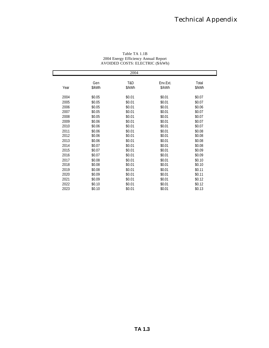| 2004 |               |               |                    |                 |  |  |  |  |  |
|------|---------------|---------------|--------------------|-----------------|--|--|--|--|--|
| Year | Gen<br>\$/kWh | T&D<br>\$/kWh | Env.Ext.<br>\$/kWh | Total<br>\$/kWh |  |  |  |  |  |
| 2004 | \$0.05        | \$0.01        | \$0.01             | \$0.07          |  |  |  |  |  |
| 2005 | \$0.05        | \$0.01        | \$0.01             | \$0.07          |  |  |  |  |  |
| 2006 | \$0.05        | \$0.01        | \$0.01             | \$0.06          |  |  |  |  |  |
| 2007 | \$0.05        | \$0.01        | \$0.01             | \$0.07          |  |  |  |  |  |
| 2008 | \$0.05        | \$0.01        | \$0.01             | \$0.07          |  |  |  |  |  |
| 2009 | \$0.06        | \$0.01        | \$0.01             | \$0.07          |  |  |  |  |  |
| 2010 | \$0.06        | \$0.01        | \$0.01             | \$0.07          |  |  |  |  |  |
| 2011 | \$0.06        | \$0.01        | \$0.01             | \$0.08          |  |  |  |  |  |
| 2012 | \$0.06        | \$0.01        | \$0.01             | \$0.08          |  |  |  |  |  |
| 2013 | \$0.06        | \$0.01        | \$0.01             | \$0.08          |  |  |  |  |  |
| 2014 | \$0.07        | \$0.01        | \$0.01             | \$0.08          |  |  |  |  |  |
| 2015 | \$0.07        | \$0.01        | \$0.01             | \$0.09          |  |  |  |  |  |
| 2016 | \$0.07        | \$0.01        | \$0.01             | \$0.09          |  |  |  |  |  |
| 2017 | \$0.08        | \$0.01        | \$0.01             | \$0.10          |  |  |  |  |  |
| 2018 | \$0.08        | \$0.01        | \$0.01             | \$0.10          |  |  |  |  |  |
| 2019 | \$0.08        | \$0.01        | \$0.01             | \$0.11          |  |  |  |  |  |
| 2020 | \$0.09        | \$0.01        | \$0.01             | \$0.11          |  |  |  |  |  |
| 2021 | \$0.09        | \$0.01        | \$0.01             | \$0.12          |  |  |  |  |  |
| 2022 | \$0.10        | \$0.01        | \$0.01             | \$0.12          |  |  |  |  |  |
| 2023 | \$0.10        | \$0.01        | \$0.01             | \$0.13          |  |  |  |  |  |

Table TA 1.1B 2004 Energy Efficiency Annual Report AVOIDED COSTS: ELECTRIC (\$/kWh)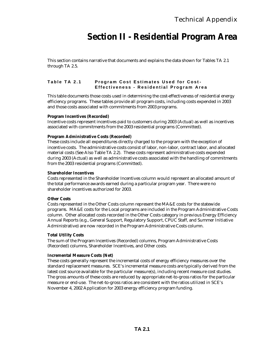## **Section II - Residential Program Area**

This section contains narrative that documents and explains the data shown for Tables TA 2.1 through TA 2.5.

### **Table TA 2.1 Program Cost Estimates Used for Cost - Effectiveness - Residential Program Area**

This table documents those costs used in determining the cost-effectiveness of residential energy efficiency programs. These tables provide all program costs, including costs expended in 2003 and those costs associated with commitments from 2003 programs.

### **Program Incentives (Recorded)**

Incentive costs represent incentives paid to customers during 2003 (Actual) as well as incentives associated with commitments from the 2003 residential programs (Committed).

### **Program Administrative Costs (Recorded)**

These costs include all expenditures directly charged to the program with the exception of incentive costs. The administrative costs consist of labor, non-labor, contract labor, and allocated material costs (See Also Table TA 2.2). These costs represent administrative costs expended during 2003 (Actual) as well as administrative costs associated with the handling of commitments from the 2003 residential programs (Committed).

#### **Shareholder Incentives**

Costs represented in the Shareholder Incentives column would represent an allocated amount of the total performance awards earned during a particular program year. There were no shareholder incentives authorized for 2003.

#### **Other Costs**

Costs represented in the Other Costs column represent the MA&E costs for the statewide programs. MA&E costs for the Local programs are included in the Program Administrative Costs column. Other allocated costs recorded in the Other Costs category in previous Energy Efficiency Annual Reports (e.g., General Support, Regulatory Support, CPUC Staff, and Summer Initiative Administrative) are now recorded in the Program Administrative Costs column.

#### **Total Utility Costs**

The sum of the Program Incentives (Recorded) columns, Program Administrative Costs (Recorded) columns, Shareholder Incentives, and Other costs.

#### **Incremental Measure Costs (Net)**

These costs generally represent the incremental costs of energy efficiency measures over the standard replacement measures. SCE's incremental measure costs are typically derived from the latest cost source available for the particular measure(s), including recent measure cost studies. The gross amounts of these costs are reduced by appropriate net-to-gross ratios for the particular measure or end-use. The net-to-gross ratios are consistent with the ratios utilized in SCE's November 4, 2002 Application for 2003 energy efficiency program funding.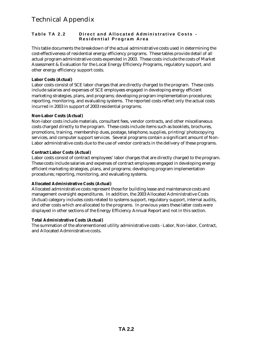### **Table TA 2.2 Direct and Allocated Administrative Costs - Residential Program Area**

This table documents the breakdown of the actual administrative costs used in determining the cost-effectiveness of residential energy efficiency programs. These tables provide detail of all actual program administrative costs expended in 2003. These costs include the costs of Market Assessment & Evaluation for the Local Energy Efficiency Programs, regulatory support, and other energy efficiency support costs.

### **Labor Costs (Actual)**

Labor costs consist of SCE labor charges that are directly charged to the program. These costs include salaries and expenses of SCE employees engaged in developing energy efficient marketing strategies, plans, and programs; developing program implementation procedures; reporting, monitoring, and evaluating systems. The reported costs reflect only the actual costs incurred in 2003 in support of 2003 residential programs.

### **Non-Labor Costs (Actual)**

Non-labor costs include materials, consultant fees, vendor contracts, and other miscellaneous costs charged directly to the program. These costs include items such as booklets, brochures, promotions, training, membership dues, postage, telephone, supplies, printing/photocopying services, and computer support services. Several programs contain a significant amount of Non-Labor administrative costs due to the use of vendor contracts in the delivery of these programs.

### **Contract Labor Costs (Actual)**

Labor costs consist of contract employees' labor charges that are directly charged to the program. These costs include salaries and expenses of contract employees engaged in developing energy efficient marketing strategies, plans, and programs; developing program implementation procedures; reporting, monitoring, and evaluating systems.

### **Allocated Administrative Costs (Actual)**

Allocated administrative costs represent those for building lease and maintenance costs and management oversight expenditures. In addition, the 2003 Allocated Administrative Costs (Actual) category includes costs related to systems support, regulatory support, internal audits, and other costs which are allocated to the programs. In previous years these latter costs were displayed in other sections of the Energy Efficiency Annual Report and not in this section.

### **Total Administrative Costs (Actual)**

The summation of the aforementioned utility administrative costs - Labor, Non-labor, Contract, and Allocated Administrative costs.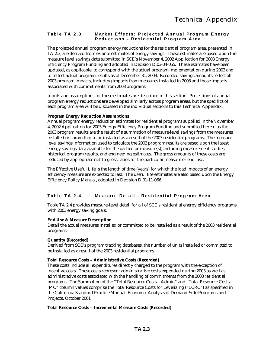### **Table TA 2.3 Market Effects: Projected Annual Program Energy Reductions - Residential Program Area**

The projected annual program energy reductions for the residential program area, presented in TA 2.3, are derived from ex ante estimates of energy savings. These estimates are based upon the measure level savings data submitted in SCE's November 4, 2002 Application for 2003 Energy Efficiency Program Funding and adopted in Decision D.03-04-055. These estimates have been updated, as applicable, to correspond with the actual program implementation during 2003 and to reflect actual program results as of December 31, 2003. Recorded savings amounts reflect all 2003 program impacts, including impacts from measures installed in 2003 and those impacts associated with commitments from 2003 programs.

Inputs and assumptions for these estimates are described in this section. Projections of annual program energy reductions are developed similarly across program areas, but the specifics of each program area will be discussed in the individual sections to this Technical Appendix.

### **Program Energy Reduction Assumptions**

Annual program energy reduction estimates for residential programs supplied in the November 4, 2002 Application for 2003 Energy Efficiency Program Funding and submitted herein as the 2003 program results are the result of a summation of measure-level savings from the measures installed or committed to be installed as a result of the 2003 residential programs. The measurelevel savings information used to calculate the 2003 program results are based upon the latest energy savings data available for the particular measure(s), including measurement studies, historical program results, and engineering estimates. The gross amounts of these costs are reduced by appropriate net-to-gross ratios for the particular measure or end-use.

The Effective Useful Life is the length of time (years) for which the load impacts of an energy efficiency measure are expected to last. The useful life estimates are also based upon the Energy Efficiency Policy Manual, adopted in Decision D.01-11-066.

### **Table TA 2.4 Measure Detail - Residential Program Area**

Table TA 2.4 provides measure-level detail for all of SCE's residential energy efficiency programs with 2003 energy saving goals.

### **End Use & Measure Description**

Detail the actual measures installed or committed to be installed as a result of the 2003 residential programs.

### **Quantity (Recorded)**

Derived from SCE's program tracking databases, the number of units installed or committed to be installed as a result of the 2003 residential programs.

#### **Total Resource Costs – Administrative Costs (Recorded)**

These costs include all expenditures directly charged to the program with the exception of incentive costs. These costs represent administrative costs expended during 2003 as well as administrative costs associated with the handling of commitments from the 2003 residential programs. The Summation of the "Total Resource Costs – Admin" and "Total Resource Costs – IMC" column values comprise the Total Resource Costs for Levelizing ("LCRC") as specified in the California Standard Practice Manual: Economic Analysis of Demand-Side Programs and Projects, October 2001.

#### **Total Resource Costs – Incremental Measure Costs (Recorded)**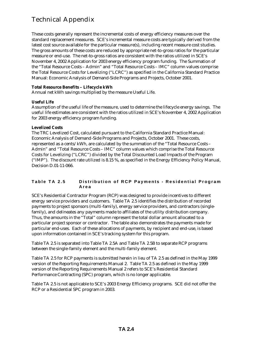These costs generally represent the incremental costs of energy efficiency measures over the standard replacement measures. SCE's incremental measure costs are typically derived from the latest cost source available for the particular measure(s), including recent measure cost studies. The gross amounts of these costs are reduced by appropriate net-to-gross ratios for the particular measure or end-use. The net-to-gross ratios are consistent with the ratios utilized in SCE's November 4, 2002 Application for 2003 energy efficiency program funding. The Summation of the "Total Resource Costs – Admin" and "Total Resource Costs – IMC" column values comprise the Total Resource Costs for Levelizing ("LCRC") as specified in the California Standard Practice Manual: Economic Analysis of Demand-Side Programs and Projects, October 2001.

### **Total Resource Benefits – Lifecycle kWh**

Annual net kWh savings multiplied by the measure Useful Life.

### **Useful Life**

Assumption of the useful life of the measure, used to determine the lifecycle energy savings. The useful life estimates are consistent with the ratios utilized in SCE's November 4, 2002 Application for 2003 energy efficiency program funding.

### **Levelized Costs**

The TRC Levelized Cost, calculated pursuant to the California Standard Practice Manual: Economic Analysis of Demand-Side Programs and Projects, October 2001. These costs, represented as a cents/kWh, are calculated by the summation of the "Total Resource Costs – Admin" and "Total Resource Costs – IMC" column values which comprise the Total Resource Costs for Levelizing ("LCRC") divided by the Total Discounted Load Impacts of the Program ("IMP"). The discount rate utilized is 8.15 %, as specified in the Energy Efficiency Policy Manual, Decision D.01-11-066.

### **Table TA 2.5 Distribution of RCP Payme nts - Residential Program Area**

SCE's Residential Contractor Program (RCP) was designed to provide incentives to different energy service providers and customers. Table TA 2.5 identifies the distribution of recorded payments to project sponsors (multi-family), energy service providers, and contractors (singlefamily), and delineates any payments made to affiliates of the utility distribution company. Thus, the amounts in the "Total" column represent the total dollar amount allocated to a particular project sponsor or contractor. The table also demonstrates the payments made for particular end-uses. Each of these allocations of payments, by recipient and end-use, is based upon information contained in SCE's tracking system for this program.

Table TA 2.5 is separated into Table TA 2.5A and Table TA 2.5B to separate RCP programs between the single-family element and the multi-family element.

Table TA 2.5 for RCP payments is submitted herein in lieu of TA 2.5 as defined in the May 1999 version of the Reporting Requirements Manual 2. Table TA 2.5 as defined in the May 1999 version of the Reporting Requirements Manual 2 refers to SCE's Residential Standard Performance Contracting (SPC) program, which is no longer applicable.

Table TA 2.5 is not applicable to SCE's 2003 Energy Efficiency programs. SCE did not offer the RCP or a Residential SPC program in 2003.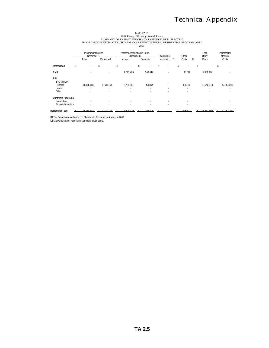# Table TA 2.1<br>2004 Energy Efficiency Annual Report<br>PROGRAM COST ESTIMATES USED FOR COST-EFFICIENCY EXPENDITURES: ELECTRIC<br>2003<br>2003 - 2003

|                            |    | Program Incentives<br>(Recorded) [1] |           |   | Program Administrative Costs<br>(Recorded) |    |                          | Shareholder |            |     | Other   |       | Total<br>Utility | Incremental<br>Measure |   |
|----------------------------|----|--------------------------------------|-----------|---|--------------------------------------------|----|--------------------------|-------------|------------|-----|---------|-------|------------------|------------------------|---|
|                            |    | Actual                               | Committed |   | Actual                                     |    | Committed                |             | Incentives | [1] | Costs   | $[2]$ | Costs            | Costs                  |   |
| Information                | \$ | $\sim$                               | ¢         | ¢ | ٠                                          | \$ | ٠                        | \$          |            | \$  |         | \$    |                  | \$                     |   |
| <b>FMS</b>                 |    |                                      |           |   | 1 713 409                                  |    | 240.642                  |             |            |     | 67326   |       | 2021377          |                        |   |
| EEI                        |    |                                      |           |   |                                            |    |                          |             |            |     |         |       |                  |                        |   |
| SPCs (RCP)                 |    | ٠                                    |           |   |                                            |    | ٠                        |             | ٠          |     | $\sim$  |       |                  |                        |   |
| Rehates                    |    | 11 168 681                           | 1 228 141 |   | 2 780 961                                  |    | 53 864                   |             | ٠          |     | 408 566 |       | 15 640 213       | 17 964 291             |   |
| Loans                      |    | $\sim$                               | $\sim$    |   | $\sim$                                     |    | $\sim$                   |             | ٠          |     | ٠       |       | ٠                |                        | ٠ |
| Other                      |    | $\sim$                               |           |   | $\sim$                                     |    | $\overline{\phantom{a}}$ |             | ٠          |     | ٠       |       | $\sim$           |                        | ٠ |
| <b>Unstream Programs</b>   |    |                                      |           |   |                                            |    |                          |             |            |     |         |       |                  |                        |   |
| Information                |    | $\sim$                               |           |   | $\sim$                                     |    | ٠                        |             |            |     |         |       |                  |                        |   |
| <b>Financial Assistano</b> |    | $\sim$                               | $\sim$    |   | ٠                                          |    | ٠                        |             | ٠          |     | $\sim$  |       | ٠                |                        | ٠ |
| <b>Residential Total</b>   |    | 11 168 681                           | 228 141   |   | 4 4 9 4 3 7 0                              |    | 294 505                  |             |            |     | 475 892 |       | 17 661 590       | 17 964 291             |   |

[1] The Commission authorized no Shareholder Performance Awards in 2003. [2] Statewide Market Assessment and Evaluation costs.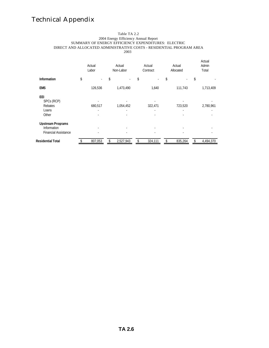#### Table TA 2.2 2004 Energy Efficiency Annual Report SUMMARY OF ENERGY EFFICIENCY EXPENDITURES: ELECTRIC DIRECT AND ALLOCATED ADMINISTRATIVE COSTS - RESIDENTIAL PROGRAM AREA 2003

|                             | Actual<br>Labor | Actual<br>Non-Labor            | Actual<br>Contract | Actual<br>Allocated | Actual<br>Admin<br>Total |
|-----------------------------|-----------------|--------------------------------|--------------------|---------------------|--------------------------|
| <b>Information</b>          | \$<br>$\sim$    | \$<br>$\overline{\phantom{a}}$ | \$<br>$\sim$       | \$                  | \$                       |
| <b>EMS</b>                  | 126,536         | 1,473,490                      | 1,640              | 111,743             | 1,713,409                |
| EEI                         |                 |                                |                    |                     |                          |
| SPCs (RCP)                  |                 |                                |                    |                     |                          |
| Rebates                     | 680,517         | 1,054,452                      | 322,471            | 723,520             | 2,780,961                |
| Loans                       |                 |                                |                    |                     |                          |
| Other                       |                 |                                |                    |                     |                          |
| <b>Upstream Programs</b>    |                 |                                |                    |                     |                          |
| Information                 |                 |                                |                    |                     |                          |
| <b>Financial Assistance</b> |                 |                                |                    |                     |                          |
| <b>Residential Total</b>    | \$<br>807,053   | \$<br>2,527,943                | \$<br>324,111      | \$<br>835,264       | \$<br>4,494,370          |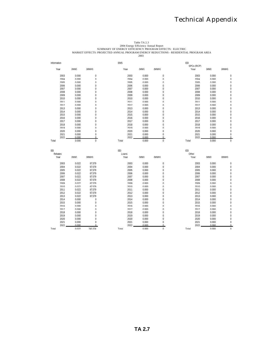# Table TA 2.3<br>2004 Energy Efficiency Annual Report<br>MARKET EFFECTS: PROJECTED ANNUAL PROGRAM ENEGRY REDUCTIONS - RESIDENTIAL PROGRAM AREA<br>2003<br>2003 2003

| Information   |                |                   | <b>FMS</b>           |                |                  | FFI<br>SPCs (RCP) |                |                      |
|---------------|----------------|-------------------|----------------------|----------------|------------------|-------------------|----------------|----------------------|
| Year          | (MW)           | (MWH)             | Year                 | (MW)           | (MWH)            | Year              | (MW)           | (MWH)                |
| 2003          | 0.000          | $\mathbf 0$       | 2003                 | 0.000          | $\mathbf 0$      | 2003              | 0.000          | $\mathbf 0$          |
| 2004          | U UUU          | $\cap$            | 2004                 | n nnn          | $\Omega$         | 2004              | U UUU          | $\cap$               |
| 2005          | U UUU          | $\cup$            | 2005                 | U UUU          | $\Omega$         | 2005              | U UUU          | $\cap$               |
| 2006          | U UUU          | $\cup$            | 2006                 | U UUU          | $\Omega$         | 2006              | n nnn          | $\cap$               |
| 2007          | 0.000          | $\mathbf 0$       | 2007                 | 0.000          | $\mathbf{0}$     | 2007              | 0.000          | $\mathbf 0$          |
| 2008          | 0.000          | $\mathbf{0}$      | 2008                 | 0.000          | $\mathbf{0}$     | 2008              | 0.000          | $\mathbf 0$          |
| 2009          | 0.000          | $\mathbf 0$       | 2009                 | 0.000          | $\mathbf{0}$     | 2009              | 0.000          | $\mathbf 0$          |
| 2010          | 0.000          | $\mathbf{0}$      | 2010                 | 0.000          | $\mathbf{0}$     | 2010              | 0.000          | $\mathbf{0}$         |
| 2011          | U UUU          | $\cup$            | 2011                 | U UUU          | $\Omega$         | 2011              | U UUU          | $\cap$               |
| 2012          | U UUU          | $\Omega$          | 2012                 | n nnn          | $\Omega$         | 2012              | U UUU          | $\cap$               |
| 2013          | 0.000          | $\Omega$          | 2013                 | 0.000          | $\Omega$         | 2013              | n nnn          | $\Omega$             |
| 2014          | 0.000          | $\Omega$          | 2014                 | 0.000          | $\Omega$         | 2014              | n nnn          | $\Omega$             |
| 2015          | 0.000          | $\mathbf{0}$      | 2015                 | 0.000          | $\mathbf{0}$     | 2015              | 0.000          | $\mathbf 0$          |
| 2016          | 0.000          | $\mathbf{0}$      | 2016                 | 0.000          | $\mathbf{0}$     | 2016              | 0.000          | $\mathbf 0$          |
| 2017          | 0.000          | $\mathbf{0}$      | 2017                 | 0.000          | $\mathbf{0}$     | 2017              | 0.000          | $\mathbf{0}$         |
| 2018          | 0.000          | $\overline{0}$    | 2018                 | 0.000          | $\mathbf{0}$     | 2018              | 0.000          | $\mathbf{0}$         |
| 2019          | 0.000          | $\Omega$          | 2019                 | 0.000          | $\Omega$         | 2019              | n nnn          | $\cap$               |
| 2020          | 0.000          | $\cap$            | 2020                 | 0.000          | $\cap$           | 2020              | n nnn          | $\cap$               |
| 2021          | 0.000          | $\Omega$          | 2021                 | 0.000          | $\Omega$         | 2021              | n nnn          | $\Omega$             |
| 2022          | 0.000          | $\Omega$          | 2022                 | 0.000          | $\Omega$         | 2022              | 0.000          | $\Omega$             |
| Total         | 0.000          | $\mathbf 0$       | Total                | 0.000          | $\mathbf 0$      | Total             | 0.000          | $\mathbf{0}$         |
|               |                |                   |                      |                |                  |                   |                |                      |
| EEI           |                |                   | EEI                  |                |                  | EEI               |                |                      |
| Rehates       |                |                   | I nans               |                |                  | Other             |                |                      |
| Year          | (MW)           | (MWH)             | Year                 | (MW)           | (MWH)            | Year              | (MW)           | (MWH)                |
| 2003          | 0.022          | 67.579            | 2003                 | 0.000          | $\mathbf{0}$     | 2003              | 0.000          | $\mathbf 0$          |
| 2004          | 0.022          | 67.579            | 2004                 | 0.000          | $\mathbf{0}$     | 2004              | 0.000          | $\bf 0$              |
| 2005          | 0.022          | 67.579            | 2005                 | 0.000          | $\mathbf{0}$     | 2005              | 0.000          | $\mathbf 0$          |
| 2006          | 0.022          | 67.579            | 2006                 | 0.000          | $\mathbf{0}$     | 2006              | 0.000          | $\mathbf 0$          |
| 2007          | 0.022          | 67579             | 2007                 | 0.000          | $\Omega$         | 2007              | n nnn          | $\Omega$             |
| 2008          | 0.022          | 67579             | 2008                 | 0.000          | $\Omega$         | 2008              | n nnn          | $\Omega$             |
| 2009          | 0.022          | 67579             | 2009                 | 0.000          | $\cap$           | 2009              | n nnn          | $\cap$               |
| 2010          | 0.022          | 67579             | 2010                 | 0.000          | $\cap$           | 2010              | n nnn          | $\cap$               |
| 2011          | 0.022          | 67.579            | 2011                 | 0.000          | $\mathbf{0}$     | 2011              | 0.000          | $\mathbf 0$          |
| 2012          | 0.022          | 67.579            | 2012                 | 0.000          | $\mathbf{0}$     | 2012              | 0.000          | $\mathbf 0$          |
| 2013          | 0.022          | 67.579            | 2013                 | 0.000          | $\mathbf{0}$     | 2013              | 0.000          | $\mathbf 0$          |
| 2014          | 0.000          | $\mathbf{0}$      | 2014                 | 0.000          | $\mathbf{0}$     | 2014              | 0.000          | $\mathbf 0$          |
| 2015          |                |                   |                      |                |                  |                   |                |                      |
|               | n nnn          | $\cap$            | 2015                 | 0.000          | $\cap$           | 2015              | n nnn          | $\cap$               |
| 2016          | U UUU          | $\Omega$          | 2016                 | 0.000          | $\cap$           | 2016              | n nnn          | $\cap$               |
| 2017          | U UUU          | $\Omega$          | 2017                 | U UUU          | $\Omega$         | 2017              | n nnn          | $\cap$               |
| 2018          | 0.000          | $\mathbf{0}$      | 2018                 | 0.000          | $\mathbf{0}$     | 2018              | 0.000          | $\mathbf 0$          |
| 2019          | 0.000          | $\mathbf{0}$      | 2019                 | 0.000          | $\mathbf{0}$     | 2019              | 0.000          | $\mathbf 0$          |
| 2020          | 0.000          | $\mathbf{0}$      | 2020                 | 0.000          | $\mathbf{0}$     | 2020              | 0.000          | $\mathbf 0$          |
| 2021          | 0.000          | $\Omega$          | 2021                 | 0.000          | $\Omega$         | 2021              | 0.000          | $\mathbf{0}$         |
| 2022<br>Total | 0.000<br>0.022 | $\cap$<br>743 374 | <b>2022</b><br>Total | 0.000<br>n nnn | $\cap$<br>$\cap$ | 2022<br>Total     | 0.000<br>0.000 | $\Omega$<br>$\Omega$ |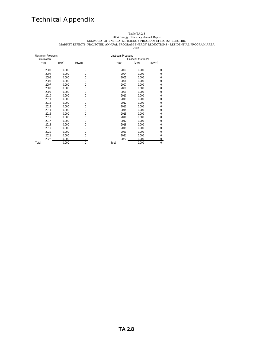#### Table TA 2.3

2004 Energy Efficiency Annual Report

SUMMARY OF ENERGY EFFICIENCY PROGRAM EFFECTS: ELECTRIC

MARKET EFFECTS: PROJECTED ANNUAL PROGRAM ENERGY REDUCTIONS - RESIDENTIAL PROGRAM AREA 

| Upstream Programs |       |          | <b>Upstream Programs</b>    |       |              |  |  |  |  |
|-------------------|-------|----------|-----------------------------|-------|--------------|--|--|--|--|
| Information       |       |          | <b>Financial Assistance</b> |       |              |  |  |  |  |
| Year              | (MW)  | (MWH)    | Year                        | (MW)  | (MWH)        |  |  |  |  |
| 2003              | 0.000 | $\Omega$ | 2003                        | 0.000 | $\Omega$     |  |  |  |  |
| 2004              | 0.000 | $\Omega$ | 2004                        | 0.000 | $\Omega$     |  |  |  |  |
| 2005              | 0.000 | $\Omega$ | 2005                        | 0.000 | $\Omega$     |  |  |  |  |
| 2006              | 0.000 | $\Omega$ | 2006                        | 0.000 | $\Omega$     |  |  |  |  |
| 2007              | 0.000 | $\Omega$ | 2007                        | 0.000 | $\Omega$     |  |  |  |  |
| 2008              | 0.000 | 0        | 2008                        | 0.000 | 0            |  |  |  |  |
| 2009              | 0.000 | $\Omega$ | 2009                        | 0.000 | 0            |  |  |  |  |
| 2010              | 0.000 | $\Omega$ | 2010                        | 0.000 | 0            |  |  |  |  |
| 2011              | 0.000 | 0        | 2011                        | 0.000 | 0            |  |  |  |  |
| 2012              | 0.000 | 0        | 2012                        | 0.000 | 0            |  |  |  |  |
| 2013              | 0.000 | $\Omega$ | 2013                        | 0.000 | 0            |  |  |  |  |
| 2014              | 0.000 | $\Omega$ | 2014                        | 0.000 | 0            |  |  |  |  |
| 2015              | 0.000 | $\Omega$ | 2015                        | 0.000 | $\Omega$     |  |  |  |  |
| 2016              | 0.000 | $\Omega$ | 2016                        | 0.000 | $\Omega$     |  |  |  |  |
| 2017              | 0.000 | $\Omega$ | 2017                        | 0.000 | 0            |  |  |  |  |
| 2018              | 0.000 | $\Omega$ | 2018                        | 0.000 | $\Omega$     |  |  |  |  |
| 2019              | 0.000 | $\Omega$ | 2019                        | 0.000 | 0            |  |  |  |  |
| 2020              | 0.000 | $\Omega$ | 2020                        | 0.000 | 0            |  |  |  |  |
| 2021              | 0.000 | 0        | 2021                        | 0.000 | 0            |  |  |  |  |
| 2022              | 0.000 | $\Omega$ | 2022                        | 0.000 | 0            |  |  |  |  |
| Total             | 0.000 | $\Omega$ | Total                       | 0.000 | $\mathbf{0}$ |  |  |  |  |

**TA 2.8**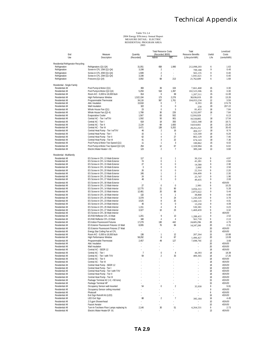|                                                |                                                                      |                      | <b>Total Resource Costs</b>      |                             | Total                    |                | Levelized          |
|------------------------------------------------|----------------------------------------------------------------------|----------------------|----------------------------------|-----------------------------|--------------------------|----------------|--------------------|
| End<br>Use                                     | Measure                                                              | Quantity             | (Recorded, \$000)                | IMC                         | <b>Resource Benefits</b> | Useful<br>Life | Costs              |
|                                                | Description                                                          | (Recorded)           | Admin                            |                             | (Lifecycle kWh)          |                | (cents/kWh)        |
| Residential Refrigerator Recycling             |                                                                      |                      |                                  |                             |                          |                |                    |
| Refrigeration                                  | Refrigerators (Q1-Q4)                                                | 31,051               | 658                              | 1,990                       | 212,098,203              | 6              | 1.63               |
| Refrigeration                                  | Screw-in CFL 15W (Q1-Q4)<br>Screw-in CFL 20W (Q1-Q4)                 | 3,198<br>1,599       | $\overline{2}$<br>$\overline{2}$ |                             | 709,188<br>565,135       | 9<br>9         | 0.40<br>0.40       |
| Refrigeration<br>Refrigeration                 | Screw-in CFL 23W (Q1-Q4)                                             | 3,198                | 3                                |                             | 1,041,621                | 9              | 0.40               |
| Refrigeration                                  | Freezers (Q1-Q4)                                                     | 3,092                | 68                               | 213                         | 21,762,609               | 6              | 1.68               |
|                                                |                                                                      |                      |                                  |                             |                          |                |                    |
| Residential - Single Family<br>Residential All | Pool Pump & Motor (Q1)                                               | 393                  | 39                               | 104                         | 7,661,468                | 15             | 3.30               |
| Residential All                                | Pool Pump & Motor (Q2-Q4)                                            | 5,259                | 518                              | 1,397                       | 102,523,306              | 15             | 3.30               |
| Residential All                                | Room A/C - 5,000 to 18,000 btuh                                      | 814                  | 6                                | 69                          | 1,207,511                | 15             | 11.00              |
| Residential All                                | High Performance Window                                              | 1,522,194            | 173                              | 2,276                       | 38,036,019               | 20             | 13.26              |
| Residential All                                | Programmable Thermostat                                              | 34,116               | 567                              | 1,761                       | 104,053,234              | 12             | 3.59               |
| Residential All<br>Residential All             | Attic Insulation<br>Wall Insulation                                  | 15,918<br>322        | $\mathbf 0$<br>0                 | 7<br>$\mathbf 0$            | 8,393<br>258             | 20<br>20       | 174.79<br>207.22   |
| Residential All                                | Whole House Fan (Q1)                                                 | 23                   | $\bf 0$                          | 3                           | 81,453                   | 18             | 7.84               |
| Residential All                                | Whole House Fan (Q2-4)                                               | 1,788                | 30                               | 226                         | 6,332,097                | 18             | 7.84               |
| Residential All                                | <b>Evaporative Cooler</b>                                            | 1,567                | 83                               | 502                         | 12,916,929               | 7              | 6.13               |
| Residential All                                | Central AC - Tier I w/TXV                                            | 1,592                | 50                               | 901                         | 10,518,805               | 18             | 17.54              |
| Residential All                                | Central AC - Tier I                                                  | 619                  | 18                               | 350                         | 3,822,348                | 18             | 18.71              |
| Residential All<br>Residential All             | Central AC - Tier II<br>Central AC - Tier III                        | 2,134<br>3,471       | 69<br>138                        | 1,683<br>5,202              | 14,614,661               | 18<br>18       | 23.26<br>35.43     |
| Residential All                                | Central Heat Pump - Tier I w/TXV                                     | 46                   | $\overline{2}$                   | 16                          | 29,251,251<br>404,157    | 18             | 8.74               |
| Residential All                                | Central Heat Pump - Tier I                                           | 15                   | $\mathbf{1}$                     | 5                           | 123,169                  | 18             | 9.29               |
| Residential All                                | Central Heat Pump - Tier II                                          | 62                   | 4                                | 27                          | 802,129                  | 18             | 7.46               |
| Residential All                                | Central Heat Pump - Tier III                                         | 41                   | 3                                | 22                          | 674,143                  | 18             | 7.36               |
| Residential All                                | Pool Pump & Motor Two Speed (Q1)                                     | 11                   | 1                                | 3                           | 100,862                  | 15             | 6.02               |
| Residential All<br>Residential All             | Pool Pump & Motor Two Speed (Q2-Q4)<br>Electric Water Heater > 91    | 254<br>123           | 12<br>$\overline{2}$             | 67<br>$\overline{7}$        | 2,328,984<br>389,248     | 15<br>13       | 6.02<br>3.68       |
|                                                |                                                                      |                      |                                  |                             |                          |                |                    |
| Residential - Multifamily                      |                                                                      |                      |                                  |                             |                          |                |                    |
| Residential All                                | ES Screw-in CFL 13 Watt-Exterior                                     | 117                  | $\boldsymbol{0}$                 | $\mathbf{1}$                | 30,124                   | 9              | 4.97               |
| Residential All<br>Residential All             | ES Screw-in CFL 14 Watt-Exterior<br>ES Screw-in CFL 15 Watt-Exterior | 74<br>27             | 0<br>0                           | $\mathbf{1}$<br>$\mathbf 0$ | 41,281                   | 9<br>9         | 2.84<br>2.90       |
| Residential All                                | ES Screw-in CFL 18 Watt-Exterior                                     | 3                    | 0                                | $\bf 0$                     | 14,580<br>2,060          | 9              | 2.50               |
| Residential All                                | ES Screw-in CFL 20 Watt-Exterior                                     | 26                   | $\mathbf 0$                      | $\mathbf{0}$                | 22,314                   | 9              | 2.20               |
| Residential All                                | ES Screw-in CFL 23 Watt-Exterior                                     | 245                  | 1                                | $\overline{2}$              | 194,499                  | 9              | 2.30               |
| Residential All                                | ES Screw-in CFL 25 Watt-Exterior                                     | 24                   | 0                                | $\mathbf 0$                 | 25,747                   | 9              | 1.96               |
| Residential All                                | ES Screw-in CFL 27 Watt-Exterior                                     | 48                   | 0                                | $\bf 0$                     | 49,435                   | 9              | 2.00               |
| Residential All                                | ES Screw-in CFL 30 Watt-Exterior                                     | L                    |                                  |                             |                          | 9              | #DIV/0!            |
| Residential All<br>Residential All             | ES Screw-in CFL 13 Watt-Interior<br>ES Screw-in CFL 14 Watt-Interior | 27<br>12,775         | $\mathbf{0}$<br>21               | $\bf 0$<br>90               | 2,981                    | 9<br>9         | 10.25<br>5.28      |
| Residential All                                | ES Screw-in CFL 15 Watt-Interior                                     | 12,481               | 20                               | 88                          | 3,056,311<br>2,875,622   | 9              | 5.44               |
| Residential All                                | ES Screw-in CFL 18 Watt-Interior                                     | 132                  | $\mathbf 0$                      | $\overline{1}$              | 38,868                   | 9              | 4.48               |
| Residential All                                | ES Screw-in CFL 20 Watt-Interior                                     | 3,378                | 9                                | 24                          | 1,243,320                | 9              | 3.78               |
| Residential All                                | ES Screw-in CFL 23 Watt-Interior                                     | 3,525                | 8                                | 25                          | 1,200,119                | 9              | 4.01               |
| Residential All                                | ES Screw-in CFL 24 Watt-Interior                                     | 40                   | $\bf{0}$                         | $\bf 0$                     | 13,250                   | 9              | 4.09               |
| Residential All                                | ES Screw-in CFL 25 Watt-Interior                                     | 1,151                | 4<br>10                          | 8<br>23                     | 530,381                  | 9<br>9         | 3.23<br>3.32       |
| Residential All<br>Residential All             | ES Screw-in CFL 27 Watt-Interior<br>ES Screw-in CFL 30 Watt-Interior | 3,327                |                                  |                             | 1,469,459                | 9              | #DIV/0!            |
| Residential All                                | ES R30 Reflector CFL 15 Watt                                         | 1,201                | 9                                | 13                          | 1,288,433                | 9              | 2.52               |
| Residential All                                | ES R40 Reflector CFL 23 Watt                                         | 340                  | $\overline{4}$                   | $\overline{4}$              | 561,718                  | 9              | 2.13               |
| Residential All                                | <b>ES Indoor Fluorescent Fixtures</b>                                | 17,279               | 130                              | 442                         | 24,605,296               | 20             | 4.79               |
| Residential All                                | ES Exterior Fluorescent Fixtures 13 Watt                             | 8,095                | 76                               | 84                          | 14,247,200               | 20             | 2.31               |
| Residential All                                | ES Exterior Fluorescent Fixtures 27 Watt                             | ÷,<br>÷              |                                  | ä,                          | $\overline{\phantom{a}}$ | 20             | #DIV/0!            |
| Residential All<br>Residential All             | Energy Star Ceiling Fan w/ CFL<br>Room A/C - 5,000 to 18,000 btuh    | 136                  | $\mathbf{1}$                     | 12                          | 207,264                  | 15<br>15       | #DIV/0!<br>10.88   |
| Residential All                                | High Performance Window                                              | 58,292               | 8                                | 87                          | 1,496,427                | 20             | 13.09              |
| Residential All                                | Programmable Thermostat                                              | 2,457                | 49                               | 127                         | 7,698,760                | 12             | 3.66               |
| Residential All                                | Attic Insulation                                                     |                      |                                  |                             |                          | 20             | #DIV/0!            |
| Residential All                                | Wall Insulation                                                      |                      |                                  |                             |                          | 20             | #DIV/0!            |
| Residential All                                | Central AC - SEER 12                                                 |                      |                                  |                             |                          | 18             | #DIV/0!            |
| Residential All<br>Residential All             | Central AC - Tier I<br>Central AC - Tier I with TXV                  | $\overline{7}$<br>59 | 0<br>$\overline{2}$              | $\overline{4}$<br>33        | 44,393<br>400,365        | 18<br>18       | 18.39<br>17.26     |
| Residential All                                | Central AC - Tier II                                                 |                      |                                  |                             | $\overline{\phantom{m}}$ | 18             | #DIV/0!            |
| Residential All                                | Central AC - Tier III                                                |                      |                                  |                             |                          | 18             | #DIV/0!            |
| Residential All                                | Central Heat Pump - SEER 12                                          |                      |                                  |                             |                          | 18             | #DIV/0!            |
| Residential All                                | Central Heat Pump - Tier I                                           |                      |                                  |                             |                          | 18             | #DIV/0!            |
| Residential All                                | Central Heat Pump - Tier I with TXV                                  |                      |                                  |                             |                          | 18             | #DIV/0!            |
| Residential All                                | Central Heat Pump - Tier II                                          |                      |                                  |                             |                          | 18             | #DIV/0!            |
| Residential All<br>Residential All             | Central Heat Pump - Tier III<br>Package Terminal AC (>2, <50 tons)   |                      |                                  |                             |                          | 18<br>15       | #DIV/0!<br>#DIV/0! |
| Residential All                                | Package Terminal HP                                                  |                      |                                  |                             |                          | 15             | #DIV/0!            |
| Residential All                                | Occupancy Sensor wall mounted                                        | 54                   | $\bf 0$                          | $\overline{2}$              | 35,930                   | 8              | 9.81               |
| Residential All                                | Occupancy Sensor ceiling mounted                                     |                      |                                  |                             |                          | 8              | #DIV/0!            |
| Residential All                                | Photocell                                                            |                      | ł.                               |                             |                          | 8              | #DIV/0!            |
| Residential All                                | Exit Sign Retrofit Kit (LED)                                         |                      |                                  |                             |                          | 16             | #DIV/0!            |
| Residential All                                | <b>LED Exit Sign</b>                                                 | 88<br>$\overline{a}$ | $\overline{\mathbf{c}}$          | $\overline{7}$              | 395,184                  | 16             | 4.45               |
| Residential All<br>Residential All             | 2.0 gpm Showerhead<br><b>Faucet Aerator</b>                          |                      |                                  |                             |                          | 10<br>10       | #DIV/0!<br>#DIV/0! |
| Residential All                                | Turn-In-Torchiere Floor Lamps replacing ha                           | 2,146                | 30                               | 51                          | 4,264,531                | 9              | 2.73               |
| Residential All                                | Electric Water Heater EF .91                                         |                      |                                  |                             |                          | 13             | #DIV/0!            |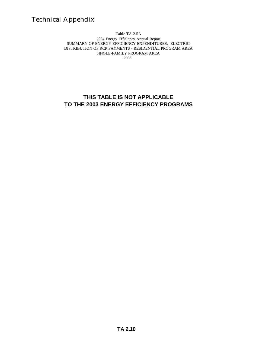Table TA 2.5A 2004 Energy Efficiency Annual Report SUMMARY OF ENERGY EFFICIENCY EXPENDITURES: ELECTRIC DISTRIBUTION OF RCP PAYMENTS - RESIDENTIAL PROGRAM AREA SINGLE-FAMILY PROGRAM AREA 2003

### **THIS TABLE IS NOT APPLICABLE TO THE 2003 ENERGY EFFICIENCY PROGRAMS**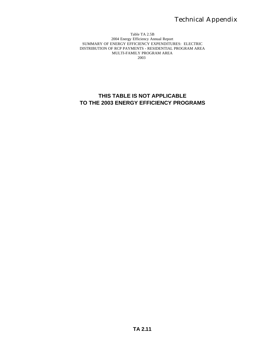#### Table TA 2.5B 2004 Energy Efficiency Annual Report SUMMARY OF ENERGY EFFICIENCY EXPENDITURES: ELECTRIC DISTRIBUTION OF RCP PAYMENTS - RESIDENTIAL PROGRAM AREA MULTI-FAMILY PROGRAM AREA 2003

### **THIS TABLE IS NOT APPLICABLE TO THE 2003 ENERGY EFFICIENCY PROGRAMS**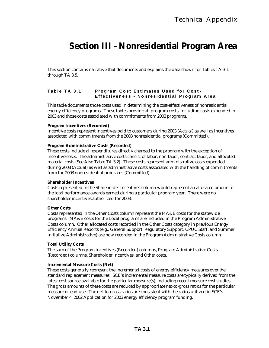### **Section III - Nonresidential Program Area**

This section contains narrative that documents and explains the data shown for Tables TA 3.1 through TA 3.5.

### **Table TA 3.1 Program Cost Estimates Used for Cost - Effectiveness - Nonresidential Program Area**

This table documents those costs used in determining the cost-effectiveness of nonresidential energy efficiency programs. These tables provide all program costs, including costs expended in 2003 and those costs associated with commitments from 2003 programs.

#### **Program Incentives (Recorded)**

Incentive costs represent incentives paid to customers during 2003 (Actual) as well as incentives associated with commitments from the 2003 nonresidential programs (Committed).

#### **Program Administrative Costs (Recorded)**

These costs include all expenditures directly charged to the program with the exception of incentive costs. The administrative costs consist of labor, non-labor, contract labor, and allocated material costs (See Also Table TA 3.2). These costs represent administrative costs expended during 2003 (Actual) as well as administrative costs associated with the handling of commitments from the 2003 nonresidential programs (Committed).

#### **Shareholder Incentives**

Costs represented in the Shareholder Incentives column would represent an allocated amount of the total performance awards earned during a particular program year. There were no shareholder incentives authorized for 2003.

#### **Other Costs**

Costs represented in the Other Costs column represent the MA&E costs for the statewide programs. MA&E costs for the Local programs are included in the Program Administrative Costs column. Other allocated costs recorded in the Other Costs category in previous Energy Efficiency Annual Reports (e.g., General Support, Regulatory Support, CPUC Staff, and Summer Initiative Administrative) are now recorded in the Program Administrative Costs column.

#### **Total Utility Costs**

The sum of the Program Incentives (Recorded) columns, Program Administrative Costs (Recorded) columns, Shareholder Incentives, and Other costs.

#### **Incremental Measure Costs (Net)**

These costs generally represent the incremental costs of energy efficiency measures over the standard replacement measures. SCE's incremental measure costs are typically derived from the latest cost source available for the particular measure(s), including recent measure cost studies. The gross amounts of these costs are reduced by appropriate net-to-gross ratios for the particular measure or end-use. The net-to-gross ratios are consistent with the ratios utilized in SCE's November 4, 2002 Application for 2003 energy efficiency program funding.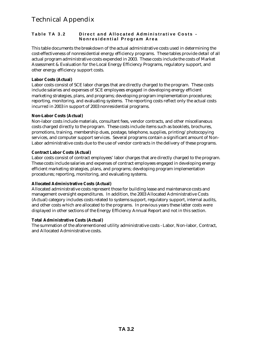### **Table TA 3.2 Direct and Allocated Administrati ve Costs - Nonresidential Program Area**

This table documents the breakdown of the actual administrative costs used in determining the cost-effectiveness of nonresidential energy efficiency programs. These tables provide detail of all actual program administrative costs expended in 2003. These costs include the costs of Market Assessment & Evaluation for the Local Energy Efficiency Programs, regulatory support, and other energy efficiency support costs.

### **Labor Costs (Actual)**

Labor costs consist of SCE labor charges that are directly charged to the program. These costs include salaries and expenses of SCE employees engaged in developing energy efficient marketing strategies, plans, and programs; developing program implementation procedures; reporting, monitoring, and evaluating systems. The reporting costs reflect only the actual costs incurred in 2003 in support of 2003 nonresidential programs.

### **Non-Labor Costs (Actual)**

Non-labor costs include materials, consultant fees, vendor contracts, and other miscellaneous costs charged directly to the program. These costs include items such as booklets, brochures, promotions, training, membership dues, postage, telephone, supplies, printing/photocopying services, and computer support services. Several programs contain a significant amount of Non-Labor administrative costs due to the use of vendor contracts in the delivery of these programs.

### **Contract Labor Costs (Actual)**

Labor costs consist of contract employees' labor charges that are directly charged to the program. These costs include salaries and expenses of contract employees engaged in developing energy efficient marketing strategies, plans, and programs; developing program implementation procedures; reporting, monitoring, and evaluating systems.

### **Allocated Adminis trative Costs (Actual)**

Allocated administrative costs represent those for building lease and maintenance costs and management oversight expenditures. In addition, the 2003 Allocated Administrative Costs (Actual) category includes costs related to systems support, regulatory support, internal audits, and other costs which are allocated to the programs. In previous years these latter costs were displayed in other sections of the Energy Efficiency Annual Report and not in this section.

### **Total Administrative Costs (Actual)**

The summation of the aforementioned utility administrative costs - Labor, Non-labor, Contract, and Allocated Administrative costs.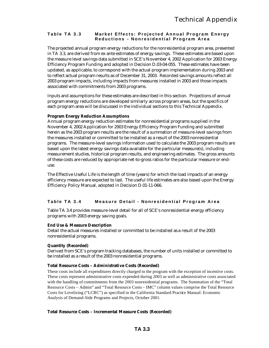### **Table TA 3.3 Market Effects: Projected Annual Program Energy Reductions - Nonresidential Program Area**

The projected annual program energy reductions for the nonresidential program area, presented in TA 3.3, are derived from ex ante estimates of energy savings. These estimates are based upon the measure level savings data submitted in SCE's November 4, 2002 Application for 2003 Energy Efficiency Program Funding and adopted in Decision D.03-04-055. These estimates have been updated, as applicable, to correspond with the actual program implementation during 2003 and to reflect actual program results as of December 31, 2003. Recorded savings amounts reflect all 2003 program impacts, including impacts from measures installed in 2003 and those impacts associated with commitments from 2003 programs.

Inputs and assumptions for these estimates are described in this section. Projections of annual program energy reductions are developed similarly across program areas, but the specifics of each program area will be discussed in the individual sections to this Technical Appendix.

### **Program Energy Reduction Assumptions**

Annual program energy reduction estimates for nonresidential programs supplied in the November 4, 2002 Application for 2003 Energy Efficiency Program Funding and submitted herein as the 2003 program results are the result of a summation of measure-level savings from the measures installed or committed to be installed as a result of the 2003 nonresidential programs. The measure-level savings information used to calculate the 2003 program results are based upon the latest energy savings data available for the particular measure(s), including measurement studies, historical program results, and engineering estimates. The gross amounts of these costs are reduced by appropriate net-to-gross ratios for the particular measure or enduse.

The Effective Useful Life is the length of time (years) for which the load impacts of an energy efficiency measure are expected to last. The useful life estimates are also based upon the Energy Efficiency Policy Manual, adopted in Decision D.01-11-066.

### **Table TA 3.4 Measure Detail - Nonresidential Program Area**

Table TA 3.4 provides measure-level detail for all of SCE's nonresidential energy efficiency programs with 2003 energy saving goals.

#### **End Use & Measure Description**

Detail the actual measures installed or committed to be installed as a result of the 2003 nonresidential programs.

### **Quantity (Recorded)**

Derived from SCE's program tracking databases, the number of units installed or committed to be installed as a result of the 2003 nonresidential programs.

### **Total Resource Costs – Administrative Costs (Recorded)**

These costs include all expenditures directly charged to the program with the exception of incentive costs. These costs represent administrative costs expended during 2003 as well as administrative costs associated with the handling of commitments from the 2003 nonresidential programs. The Summation of the "Total Resource Costs – Admin" and "Total Resource Costs – IMC" column values comprise the Total Resource Costs for Levelizing ("LCRC") as specified in the California Standard Practice Manual: Economic Analysis of Demand-Side Programs and Projects, October 2001.

### **Total Resource Costs – Incremental Measure Costs (Recorded)**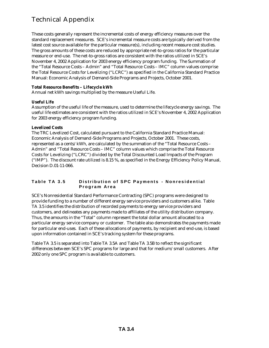These costs generally represent the incremental costs of energy efficiency measures over the standard replacement measures. SCE's incremental measure costs are typically derived from the latest cost source available for the particular measure(s), including recent measure cost studies. The gross amounts of these costs are reduced by appropriate net-to-gross ratios for the particular measure or end-use. The net-to-gross ratios are consistent with the ratios utilized in SCE's November 4, 2002 Application for 2003 energy efficiency program funding. The Summation of the "Total Resource Costs – Admin" and "Total Resource Costs – IMC" column values comprise the Total Resource Costs for Levelizing ("LCRC") as specified in the California Standard Practice Manual: Economic Analysis of Demand-Side Programs and Projects, October 2001.

### **Total Resource Benefits – Lifecycle kWh**

Annual net kWh savings multiplied by the measure Useful Life.

### **Useful Life**

Assumption of the useful life of the measure, used to determine the lifecycle energy savings. The useful life estimates are consistent with the ratios utilized in SCE's November 4, 2002 Application for 2003 energy efficiency program funding.

### **Levelized Costs**

The TRC Levelized Cost, calculated pursuant to the California Standard Practice Manual: Economic Analysis of Demand-Side Programs and Projects, October 2001. These costs, represented as a cents/kWh, are calculated by the summation of the "Total Resource Costs – Admin" and "Total Resource Costs – IMC" column values which comprise the Total Resource Costs for Levelizing ("LCRC") divided by the Total Discounted Load Impacts of the Program ("IMP"). The discount rate utilized is 8.15 %, as specified in the Energy Efficiency Policy Manual, Decision D.01-11-066.

### **Table TA 3.5 Distribution of SPC Payments - Nonresidential Program Area**

SCE's Nonresidential Standard Performance Contracting (SPC) programs were designed to provide funding to a number of different energy service providers and customers alike. Table TA 3.5 identifies the distribution of recorded payments to energy service providers and customers, and delineates any payments made to affiliates of the utility distribution company. Thus, the amounts in the "Total" column represent the total dollar amount allocated to a particular energy service company or customer. The table also demonstrates the payments made for particular end-uses. Each of these allocations of payments, by recipient and end-use, is based upon information contained in SCE's tracking system for these programs.

Table TA 3.5 is separated into Table TA 3.5A and Table TA 3.5B to reflect the significant differences between SCE's SPC programs for large and that for medium/small customers. After 2002 only one SPC program is available to customers.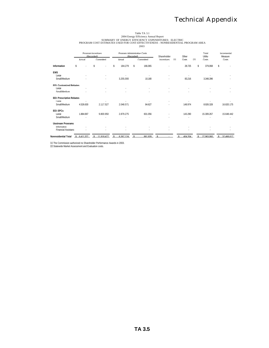### Table TA 3.1<br>2004 Energy Efficiency Annual Report<br>PROGRAM COST ESTIMATES USED FOR COST-EFFECTIVENESS - NONRESIDENTIAL PROGRAM AREA<br>PROGRAM COST ESTIMATES USED FOR COST-EFFECTIVENESS - NONRESIDENTIAL PROGRAM AREA 2003

|                                  |              | Program Incentives<br>(Recorded) |                 | Program Administrative Costs<br>(Recorded) | Shareholder        | Other        | Total<br>Utility | Incremental<br>Measure      |
|----------------------------------|--------------|----------------------------------|-----------------|--------------------------------------------|--------------------|--------------|------------------|-----------------------------|
|                                  | Actual       | Committed                        | Actual          | Committed                                  | Incentives<br>[1]  | Costs<br>[2] | Costs            | Costs                       |
| Information                      | \$           | \$<br>٠                          | \$<br>184.279   | \$<br>166.065                              |                    | 28.725       | 379.068<br>\$    | \$                          |
| <b>FMS</b>                       |              |                                  |                 |                                            |                    |              |                  |                             |
| Large                            |              |                                  |                 |                                            |                    |              |                  |                             |
| Small/Medium                     |              |                                  | 3.255.000       | 10.180                                     |                    | 83.216       | 3.348.396        |                             |
| <b>FFI: Customized Rebates</b>   |              |                                  |                 |                                            |                    |              |                  |                             |
| Large                            |              |                                  |                 |                                            |                    |              |                  |                             |
| Small/Medium                     |              |                                  |                 |                                            |                    |              |                  |                             |
| <b>EEI: Prescriptive Rebates</b> |              |                                  |                 |                                            |                    |              |                  |                             |
| I arge                           |              |                                  |                 |                                            |                    |              |                  |                             |
| Small/Medium                     | 4526630      | 2 117 527                        | 2048571         | 84 627                                     |                    | 148 974      | 8926328          | 16 820 175                  |
| EEI: SPCs                        |              |                                  |                 |                                            |                    |              |                  |                             |
| Large                            | 1884 697     | 9800950                          | 2879275         | 601 056                                    |                    | 143 290      | 15 309 267       | 15 648 442                  |
| Small/Medium                     |              |                                  |                 |                                            |                    |              |                  |                             |
| <b>Unstream Programs</b>         |              |                                  |                 |                                            |                    |              |                  |                             |
| Information                      |              |                                  |                 |                                            |                    |              |                  |                             |
| <b>Financial Assistanc</b>       |              |                                  |                 |                                            |                    |              |                  |                             |
| Nonresidential Total             | \$ 6.411 327 | 11 918 477<br>$\hat{\mathbf{r}}$ | 8 367 124<br>-¢ | 861 928                                    | $\hat{\mathbf{r}}$ | 404 204      | 27 963 060<br>¢. | 32 468 617<br>$\mathcal{L}$ |

[1] The Commission authorized no Shareholder Performance Awards in 2003. [2] Statewide Market Assessment and Evaluation costs.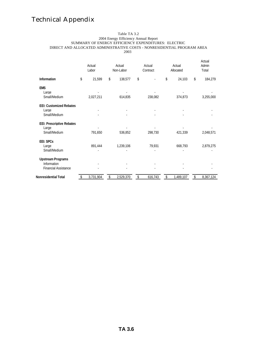#### Table TA 3.2 2004 Energy Efficiency Annual Report SUMMARY OF ENERGY EFFICIENCY EXPENDITURES: ELECTRIC DIRECT AND ALLOCATED ADMINISTRATIVE COSTS - NONRESIDENTIAL PROGRAM AREA 2003

|                                                                        | Actual<br>Labor |    | Actual<br>Non-Labor |    | Actual<br>Contract | Actual<br>Allocated |    | Actual<br>Admin<br>Total |
|------------------------------------------------------------------------|-----------------|----|---------------------|----|--------------------|---------------------|----|--------------------------|
| <b>Information</b>                                                     | \$<br>21,599    | \$ | 138,577             | \$ |                    | \$<br>24,103        | \$ | 184,279                  |
| <b>EMS</b><br>Large<br>Small/Medium                                    | 2,027,211       |    | 614,835             |    | 238,082            | 374,873             |    | 3,255,000                |
| <b>EEI: Customized Rebates</b><br>Large<br>Small/Medium                |                 |    |                     |    |                    |                     |    |                          |
| <b>EEI: Prescriptive Rebates</b><br>Large<br>Small/Medium              | 791,650         |    | 536,852             |    | 298,730            | 421,339             |    | 2,048,571                |
| <b>EEI: SPCs</b><br>Large<br>Small/Medium                              | 891,444         |    | 1,239,106           |    | 79,931             | 668,793             |    | 2,879,275                |
| <b>Upstream Programs</b><br>Information<br><b>Financial Assistance</b> |                 |    |                     |    |                    |                     |    |                          |
| <b>Nonresidential Total</b>                                            | 3,731,904       | S  | 2,529,370           | S  | 616,743            | \$<br>1,489,107     | S  | 8,367,124                |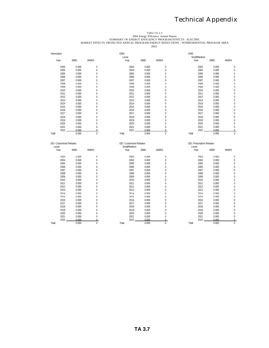Table TA 3.3<br>2004 Energy Efficiency Annual Report<br>MARKET EFFECTS: PROJECTED ANNUAL PROGRAM ENERGY REDUCTIONS - NONRESIDENTIAL PROGRAM AREA

| Information                      |       |                | <b>EMS</b><br>Large                     |       |              | <b>EMS</b><br>Small/Medium         |       |                |
|----------------------------------|-------|----------------|-----------------------------------------|-------|--------------|------------------------------------|-------|----------------|
| Year                             | (MW)  | (MWH)          | Year                                    | (MW)  | (MWH)        | Year                               | (MW)  | (MWH)          |
| 2003                             | 0.000 | $\mathbf 0$    | 2003                                    | 0.000 | $\mathbf 0$  | 2003                               | 0.000 | $\mathbf{0}$   |
| 2004                             | 0.000 | $\mathbf{0}$   | 2004                                    | 0.000 | $\mathbf 0$  | 2004                               | 0.000 | $\overline{0}$ |
| 2005                             | 0.000 | 0              | 2005                                    | 0.000 | $\theta$     | 2005                               | 0.000 | $\overline{0}$ |
| 2006                             | 0.000 | 0              | 2006                                    | 0.000 | 0            | 2006                               | 0.000 | $\mathbf 0$    |
| 2007                             | 0.000 | $\Omega$       | 2007                                    | 0.000 | $\Omega$     | 2007                               | 0.000 | $\Omega$       |
| 2008                             | 0.000 | $\Omega$       | 2008                                    | 0.000 | $\Omega$     | 2008                               | 0.000 | $\Omega$       |
| 2009                             | 0.000 | $\Omega$       | 2009                                    | U UUU | $\Omega$     | 2009                               | U UUU | $\Omega$       |
| 2010                             | 0.000 | $\Omega$       | 2010                                    | 0.000 | $\Omega$     | 2010                               | 0.000 | $\mathbf 0$    |
| 2011                             | 0.000 | $\mathbf{0}$   | 2011                                    | 0.000 | 0            | 2011                               | 0.000 | $\overline{0}$ |
| 2012                             | 0.000 | $\Omega$       | 2012                                    | 0.000 | $\Omega$     | 2012                               | 0.000 | $\overline{0}$ |
| 2013                             | 0.000 | $\overline{0}$ | 2013                                    | 0.000 | $\theta$     | 2013                               | 0.000 | $\overline{0}$ |
| 2014                             | 0.000 | 0              | 2014                                    | 0.000 | $\theta$     | 2014                               | 0.000 | $\Omega$       |
| 2015                             | 0.000 | $\overline{0}$ | 2015                                    | 0.000 | 0            | 2015                               | 0.000 | $\overline{0}$ |
| 2016                             | 0.000 | $\mathbf{0}$   | 2016                                    | 0.000 | $\Omega$     | 2016                               | 0.000 | $\mathbf 0$    |
| 2017                             | 0.000 | 0              | 2017                                    | 0.000 | $\Omega$     | 2017                               | 0.000 | $\overline{0}$ |
| 2018                             | 0.000 | $\Omega$       | 2018                                    | 0.000 | $\Omega$     | 2018                               | 0.000 | $\Omega$       |
| 2019                             | 0.000 | $\Omega$       | 2019                                    | 0.000 | $\Omega$     | 2019                               | U UUU | $\Omega$       |
| 2020                             | 0.000 | $\Omega$       | 2020                                    | 0.000 | $\Omega$     | 2020                               | 0.000 | $\cup$         |
| 2021                             | 0.000 | $\mathbf{0}$   | 2021                                    | 0.000 | $\mathbf{0}$ | 2021                               | 0.000 | $\mathbf{0}$   |
| 2022                             | 0.000 | $\Omega$       | 2022                                    | 0.000 | $\Omega$     | 2022                               | 0.000 | $\Omega$       |
| Total                            | 0.000 | $\mathbf 0$    | Total                                   | 0.000 | $\mathbf 0$  | Total                              | 0.000 | $\Omega$       |
| EEI: Customized Rebates<br>Large |       |                | EEI: Customized Rebates<br>Small/Medium |       |              | EEI: Prescriptive Rebates<br>Large |       |                |
| Year                             | (MW)  | (MWH)          | Year                                    | (MW)  | (MWH)        | Year                               | (MW)  | (MWH)          |
| 2003                             | 0.000 | $\Omega$       | 2003                                    | 0.000 | $\Omega$     | 2003                               | 0.000 | $\Omega$       |
| 2004                             | 0.000 | $\Omega$       | 2004                                    | 0.000 | $\Omega$     | 2004                               | 0.000 | $\Omega$       |
| 2005                             | 0.000 | $\mathbf{0}$   | 2005                                    | 0.000 | $\mathbf{0}$ | 2005                               | 0.000 | $\mathbf 0$    |
| 2006                             | 0.000 | $\mathbf{0}$   | 2006                                    | 0.000 | 0            | 2006                               | 0.000 | $\mathbf 0$    |
| 2007                             | 0.000 | 0              | 2007                                    | 0.000 | 0            | 2007                               | 0.000 | $\mathbf 0$    |
| 2008                             | 0.000 | $\mathbf{0}$   | 2008                                    | 0.000 | 0            | 2008                               | 0.000 | $\mathbf 0$    |
| 2009                             | 0.000 | $\Omega$       | 2009                                    | 0.000 | $\Omega$     | 2009                               | 0.000 | $\overline{0}$ |
| 2010                             | 0.000 | 0              | 2010                                    | 0.000 | 0            | 2010                               | 0.000 | $\mathbf 0$    |
| 2011                             | 0.000 | 0              | 2011                                    | 0.000 | 0            | 2011                               | 0.000 | $\mathbf 0$    |
| 2012                             | 0.000 | $\overline{0}$ | 2012                                    | 0.000 | 0            | 2012                               | 0.000 | $\overline{0}$ |
| 2013                             | 0.000 | $\mathbf{0}$   | 2013                                    | 0.000 | 0            | 2013                               | 0.000 | $\Omega$       |
| 2014                             | 0.000 | $\Omega$       | 2014                                    | 0.000 | $\Omega$     | 2014                               | 0.000 | $\Omega$       |
| 2015                             | 0.000 | $\Omega$       | 2015                                    | 0.000 | $\Omega$     | 2015                               | 0.000 | $\Omega$       |
| 2016                             | 0.000 | $\Omega$       | 2016                                    | 0.000 | $\Omega$     | 2016                               | 0.000 | $\Omega$       |
| 2017                             | 0.000 | $\mathbf{0}$   | 2017                                    | 0.000 | $\mathbf{0}$ | 2017                               | 0.000 | $\overline{0}$ |
| 2018                             | 0.000 | 0              | 2018                                    | 0.000 | 0            | 2018                               | 0.000 | $\Omega$       |
| 2019                             | 0.000 | $\overline{0}$ | 2019                                    | 0.000 | 0            | 2019                               | 0.000 | $\overline{0}$ |
| 2020                             | 0.000 | $\mathbf{0}$   | 2020                                    | 0.000 | 0            | 2020                               | 0.000 | $\Omega$       |
| 2021                             | 0.000 | $\mathbf{0}$   | 2021                                    | 0.000 | $\Omega$     | 2021                               | 0.000 | $\overline{0}$ |
| 2022                             | 0.000 | $\Omega$       | 2022                                    | 0.000 | $\Omega$     | 2022                               | 0.000 | $\Omega$       |
| Total                            | 0.000 | $\Omega$       | Total                                   | 0.000 | $\Omega$     | Total                              | 0.000 | $\mathbf 0$    |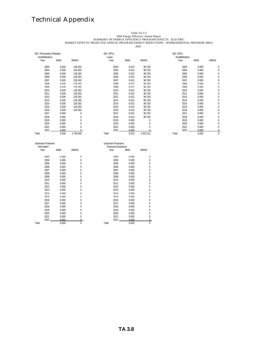Table TA 3.3<br>2004 Energy Efficiency Annual Report<br>MARKET EFFECTS: PROJECTED ANNUAL PROGRAM ENERGY REDUCTIONS - NONRESIDENTIAL PROGRAM AREA

| <b>FFI: Prescriptive Rebates</b> |       |           | EEI: SPCs |       |           | EEI: SPCs    |       |          |
|----------------------------------|-------|-----------|-----------|-------|-----------|--------------|-------|----------|
| Small/Medium                     |       |           | Large     |       |           | Small/Medium |       |          |
| Year                             | (MW)  | (MWH)     | Year      | (MW)  | (MWH)     | Year         | (MW)  | (MWH)    |
| 2003                             | 0.028 | 128.282   | 2003      | 0.012 | 90.763    | 2003         | 0.000 | 0        |
| 2004                             | 0.028 | 128.282   | 2004      | 0.012 | 90.763    | 2004         | 0.000 | 0        |
| 2005                             | 0.028 | 128.282   | 2005      | 0.012 | 90.763    | 2005         | 0.000 | 0        |
| 2006                             | 0.028 | 128.282   | 2006      | 0.012 | 90.763    | 2006         | 0.000 | 0        |
| 2007                             | 0.028 | 128 282   | 2007      | 0.012 | 90 763    | 2007         | 0.000 | 0        |
| 2008                             | 0.028 | 128 282   | 2008      | 0.012 | 90 763    | 2008         | 0.000 | U        |
| 2009                             | 0.028 | 128 282   | 2009      | 0.012 | 90 763    | 2009         | 0.000 | $\Omega$ |
| 2010                             | 0.028 | 128.282   | 2010      | 0.012 | 90.763    | 2010         | 0.000 | 0        |
| 2011                             | 0.028 | 128.282   | 2011      | 0.012 | 90.763    | 2011         | 0.000 | 0        |
| 2012                             | 0.028 | 128.282   | 2012      | 0.012 | 90.763    | 2012         | 0.000 | 0        |
| 2013                             | 0.028 | 128.282   | 2013      | 0.012 | 90.763    | 2013         | 0.000 | 0        |
| 2014                             | 0.028 | 128.282   | 2014      | 0.012 | 90.763    | 2014         | 0.000 | 0        |
| 2015                             | 0.028 | 128.282   | 2015      | 0.012 | 90.763    | 2015         | 0.000 | 0        |
| 2016                             | 0.028 | 128.282   | 2016      | 0.012 | 90.763    | 2016         | 0.000 | 0        |
| 2017                             | 0.000 | $\theta$  | 2017      | 0.012 | 90.763    | 2017         | 0.000 | 0        |
| 2018                             | 0.000 | $\Omega$  | 2018      | 0.012 | 90 763    | 2018         | 0.000 | $\Omega$ |
| 2019                             | 0.000 | $\Omega$  | 2019      | 0.000 | $\Omega$  | 2019         | 0.000 | U        |
| 2020                             | 0.000 | $\Omega$  | 2020      | 0.000 | $\Omega$  | 2020         | 0.000 | $\Omega$ |
| 2021                             | 0.000 | 0         | 2021      | 0.000 | 0         | 2021         | 0.000 | 0        |
| 2022                             | 0.000 |           | 2022      | 0.000 |           | 2022         | 0.000 | 0        |
| Total                            | 0.028 | 1.795.943 | Total     | 0.012 | 1.452.211 | Total        | 0.000 | $\Omega$ |

| Upstream Programs |       |          | Upstream Programs           |       |          |
|-------------------|-------|----------|-----------------------------|-------|----------|
| Information       |       |          | <b>Financial Assistance</b> |       |          |
| Year              | (MW)  | (MWH)    | Year                        | (MW)  | (MWH)    |
| 2003              | 0.000 | $\Omega$ | 2003                        | 0.000 | $\Omega$ |
| 2004              | 0.000 | $\Omega$ | 2004                        | 0.000 | $\Omega$ |
| 2005              | 0.000 | 0        | 2005                        | 0.000 | $\Omega$ |
| 2006              | 0.000 | 0        | 2006                        | 0.000 | 0        |
| 2007              | 0.000 | 0        | 2007                        | 0.000 | 0        |
| 2008              | 0.000 | U        | 2008                        | 0.000 | 0        |
| 2009              | 0.000 | U        | 2009                        | 0.000 | $\Omega$ |
| 2010              | 0.000 | N        | 2010                        | 0.000 | 0        |
| 2011              | 0.000 | 0        | 2011                        | 0.000 | $\Omega$ |
| 2012              | 0.000 | U        | 2012                        | 0.000 | 0        |
| 2013              | 0.000 | 0        | 2013                        | 0.000 | $\Omega$ |
| 2014              | 0.000 | $\Omega$ | 2014                        | 0.000 | $\Omega$ |
| 2015              | 0.000 | $\Omega$ | 2015                        | 0.000 | $\Omega$ |
| 2016              | 0.000 | $\Omega$ | 2016                        | 0.000 | $\Omega$ |
| 2017              | 0.000 | 0        | 2017                        | 0.000 | $\Omega$ |
| 2018              | 0.000 | 0        | 2018                        | 0.000 | $\Omega$ |
| 2019              | 0.000 | U        | 2019                        | 0.000 | 0        |
| 2020              | 0.000 | N        | 2020                        | 0.000 | 0        |
| 2021              | 0.000 | U        | 2021                        | 0.000 | $\Omega$ |
| 2022              | 0.000 |          | วกวว                        | n nnn | $\cap$   |

| Unstream Programs<br>Information |       |          | <b>Unstream Programs</b><br><b>Financial Assistance</b> |       |              |
|----------------------------------|-------|----------|---------------------------------------------------------|-------|--------------|
| Year                             | (MW)  | (MWH)    | Year                                                    | (MW)  | (MWH)        |
| 2003                             | 0.000 | $\Omega$ | 2003                                                    | 0.000 | $\Omega$     |
| 2004                             | 0.000 | $\Omega$ | 2004                                                    | 0.000 | $\Omega$     |
| 2005                             | 0.000 | U        | 2005                                                    | 0.000 | 0            |
| 2006                             | 0.000 | O        | 2006                                                    | 0.000 | 0            |
| 2007                             | 0.000 | N        | 2007                                                    | 0.000 | 0            |
| 2008                             | 0.000 | N        | 2008                                                    | 0.000 | 0            |
| 2009                             | 0.000 | N        | 2009                                                    | 0.000 | 0            |
| 2010                             | 0.000 | N        | 2010                                                    | 0.000 | 0            |
| 2011                             | 0.000 | 0        | 2011                                                    | 0.000 | 0            |
| 2012                             | 0.000 | 0        | 2012                                                    | 0.000 | 0            |
| 2013                             | 0.000 | 0        | 2013                                                    | 0.000 | 0            |
| 2014                             | 0.000 | $\Omega$ | 2014                                                    | 0.000 | $\Omega$     |
| 2015                             | 0.000 | $\Omega$ | 2015                                                    | 0.000 | $\Omega$     |
| 2016                             | 0.000 | $\Omega$ | 2016                                                    | 0.000 | $\Omega$     |
| 2017                             | 0.000 | U        | 2017                                                    | 0.000 | 0            |
| 2018                             | 0.000 | U        | 2018                                                    | 0.000 | 0            |
| 2019                             | 0.000 | 0        | 2019                                                    | 0.000 | 0            |
| 2020                             | 0.000 | 0        | 2020                                                    | 0.000 | 0            |
| 2021                             | 0.000 | 0        | 2021                                                    | 0.000 | 0            |
| 2022                             | 0.000 |          | 2022                                                    | 0.000 |              |
| Total                            | 0.000 | 0        | Total                                                   | 0.000 | $\mathbf{0}$ |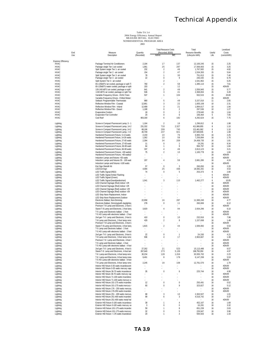|                           |            |                                                                                            |                        | <b>Total Resource Costs</b> |                | Total                    |                | Levelized            |
|---------------------------|------------|--------------------------------------------------------------------------------------------|------------------------|-----------------------------|----------------|--------------------------|----------------|----------------------|
|                           | End<br>Use | Measure                                                                                    | Quantity<br>(Recorded) | (Recorded, \$000)<br>Admin  | IMC            | Resource Benefits        | Useful<br>Life | Costs<br>(cents/kWh) |
|                           |            | Description                                                                                |                        |                             |                | (Lifecycle kWh)          |                |                      |
| <b>Express Efficiency</b> |            |                                                                                            |                        |                             |                |                          |                |                      |
| HVAC                      |            | Package Terminal Air Conditioners                                                          | 2,194                  | 17                          | 137            | 12,100,245               | 15             | 2.25                 |
| HVAC                      |            | Package single Tier 1-air cooled                                                           | 1,961                  | 25                          | 297            | 17,506,663               | 15             | 3.25                 |
| HVAC                      |            | Split System single Tier 1- air cooled                                                     | 232                    | 2                           | 46             | 1,767,583                | 15             | 4.82                 |
| HVAC<br>HVAC              |            | Package single Tier 2 - air cooled<br>Split System single Tier 2- air cooled               | 154<br>78              | $\sqrt{2}$<br>1             | 47<br>30       | 1,534,393<br>751,013     | 15<br>15       | 5.64<br>7.40         |
| HVAC                      |            | Package single Tier 3 - air cooled                                                         | 22                     | 0                           | 9              | 240.435                  | 15             | 6.79                 |
| HVAC                      |            | Split System Tier 3 - air cooled                                                           |                        | $\overline{2}$              |                | 1,541,962                | 15             | 0.25                 |
| HVAC                      |            | 65-135kBTU air cooled, package or split T                                                  | 760                    | 2                           | 58             | 1,385,110                | 15             | 7.61                 |
| <b>HVAC</b>               |            | 65-135kBTU water cooled, package or split                                                  | 153                    |                             | 12             |                          | 15             | #DIV/0!              |
| <b>HVAC</b>               |            | 135-240 kBTU air cooled, package or split                                                  | 641                    | $\overline{2}$              | 49             | 1,556,945                | 15             | 5.77                 |
| HVAC                      |            | >240 kBTU air cooled, package or split Tier                                                | 536                    | 3                           | 41             | 2,368,004                | 15             | 3.28                 |
| <b>HVAC</b>               |            | Variable-Frequency Drives - HVAC Fans                                                      | 537                    | 1                           | 104            | 932,515                  | 15             | 20.00                |
| <b>HVAC</b><br>HVAC       |            | Variable-Frequency Drives - Chilled Water<br>Setback Programmable Thermostats              | 880                    | 5                           | 49             | 3,157,018                | 15<br>11       | #DIV/0!<br>2.65      |
| HVAC                      |            | Reflective Window Film - Coastal                                                           | 12,861                 | 3                           | 22             | 1,605,108                | 10             | 2.31                 |
| <b>HVAC</b>               |            | Reflective Window Film - Inland                                                            | 12,489                 | 3                           | 21             | 1,894,617                | 10             | 1.94                 |
| HVAC                      |            | Reflective Window Film - Desert                                                            | 1,188                  | 0                           | 2              | 297,536                  | 10             | 1.27                 |
| <b>HVAC</b>               |            | <b>Evaporative Coolers</b>                                                                 | 18                     | 0                           | $\overline{2}$ | 278,640                  | 15             | 1.64                 |
| <b>HVAC</b>               |            | Evaporator Fan Controller                                                                  | 20                     | 0                           | 6              | 106,464                  | 5              | 7.05                 |
| HVAC                      |            | Cool Roof                                                                                  | 903,330                | 6                           | 182            | 4,292,624                | 15             | 7.75                 |
| Lighting                  |            | Screw-in Compact Fluorescent Lamp, 5 - 1                                                   | 1,164                  | $\overline{2}$              | 16             | 1,296,812                | 8              | 1.98                 |
| Lighting                  |            | Screw-in Compact Fluorescent Lamp, 14-2                                                    | 231,332                | 710                         | 2,527          | 411,906,955              | 8              | 1.10                 |
| Lighting                  |            | Screw-in Compact Fluorescent Lamp, 14-2                                                    | 68,196                 | 209                         | 745            | 121,461,062              | 8              | 1.10                 |
| Lighting                  |            | Screw-in Compact Fluorescent Lamp, >=2                                                     | 40,709                 | 237                         | 821            | 137,509,935              | 8              | 1.08                 |
| Lighting                  |            | Hardwired Fluorescent Fixture, 5-13 watts                                                  | 2,150                  | 10                          | 76             | 6,965,743                | 16             | 2.25                 |
| Lighting                  |            | Hardwired Fluorescent Fixture, 14-26 watts                                                 | 1,362                  | 10                          | 58             | 7,256,894                | 16             | 1.70                 |
| Lighting                  |            | Hardwired Fluorescent Fixture, 27-65 watts                                                 | 2,394                  | 34                          | 209            | 24,458,735               | 16             | 1.81                 |
| Lighting                  |            | Hardwired Fluorescent Fixture, 27-65 watt:                                                 | 11                     | 0                           | 1<br>9         | 19,291                   | 16             | 9.34<br>1.84         |
| Lighting<br>Lighting      |            | Hardwired Fluorescent Fixture, 66-90 watt:<br>Hardwired Fluorescent Fixture, 66-90 watts   | 64<br>337              | 1<br>4                      | 46             | 994,797<br>2,813,123     | 16<br>16       | 3.21                 |
| Lighting                  |            | Hardwired Fluorescent Fixture, >90 watts(i                                                 | 75                     | $\overline{\mathbf{c}}$     | 10             | 1,165,778                | 16             | 1.84                 |
| Lighting                  |            | Hardwired Fluorescent Fixture, >90 watts(r                                                 |                        |                             |                |                          | 16             | #DIV/0!              |
| Lighting                  |            | Induction Lamps and fixtures <55 watts                                                     |                        |                             |                |                          | 16             | #DIV/0!              |
| Lighting                  |            | Induction Lamps and fixtures 55 - 100 watt                                                 | 207                    | 4                           | 59             | 2,681,289                | 16             | 4.24                 |
| Lighting                  |            | Induction Lamps and fixtures >100 watts                                                    |                        |                             |                |                          | 16             | #DIV/0!              |
| Lighting                  |            | Exit Sign Retrofit Kit                                                                     | 57                     | 0                           | 3              | 260,050                  | 16             | 2.20                 |
| Lighting                  |            | <b>LED Exit Sign</b>                                                                       | 4,094                  | 25                          | 436            | 18.582.202               | 16             | 4.53                 |
| Lighting                  |            | LED Traffic Signal (RED)                                                                   | 74                     | 0                           | 5              | 253,373                  | 6              | 2.80                 |
| Lighting<br>Lighting      |            | LED Traffic Signal Amber Flashing<br>LED Traffic Signal (Green)                            |                        |                             |                |                          | 6<br>6         | #DIV/0!<br>#DIV/0!   |
| Lighting                  |            | LED Traffic Signal (hand/pedestrian)                                                       | 1,041                  | 3                           | 110            | 1,462,277                | 6              | 10.05                |
| Lighting                  |            | LED Channel Signage (Red) indoor <2ft                                                      |                        |                             |                |                          | 16             | #DIV/0!              |
| Lighting                  |            | LED Channel Signage (Red) indoor >2ft                                                      |                        |                             |                |                          | 16             | #DIV/0!              |
| Lighting                  |            | LED Channel Signage (Red) outdoor <2ft                                                     |                        |                             |                |                          | 16             | #DIV/0!              |
| Lighting                  |            | LED Channel Signage (Red) outdoor >2ft                                                     |                        |                             |                |                          | 16             | #DIV/0!              |
| Lighting                  |            | LED Strip Neon Replacement, Indoor                                                         |                        |                             |                |                          | 16             | #DIV/0!              |
| Lighting                  |            | LED Strip Neon Replacement, Outdoor                                                        |                        |                             |                |                          | 16             | #DIV/0!              |
| Lighting                  |            | Electronic Ballast, Non-Dimming                                                            | 22,958                 | 16                          | 287            | 11,565,240               | 16             | 4.77                 |
| Lighting<br>Lighting      |            | Electronic Ballast, Dimming(with daylighting<br>Premium T-8 Lamp and Electronic, 2-foot la | 278                    | 0                           | 11             | 260,069                  | 16<br>16       | 8.12<br>#DIV/0!      |
| Lighting                  |            | Stand-T-8 Lamp and Electronic, 2-foot lamp                                                 | 3,920                  | 4                           | 94             | 2,934,296                | 16             | 6.10                 |
| Lighting                  |            | T-5 Lamp and Electronic ballast - 2 foot                                                   |                        |                             |                |                          | 16             | #DIV/0!              |
| Lighting                  |            | T-5 HO Lamp with electronic ballast - 2 foot                                               |                        |                             |                |                          | 16             | #DIV/0!              |
| Lighting                  |            | 2nd gen T-8 Lamp and Electronic, 2-foot k                                                  | 410                    | 0                           | 10             | 232,916                  | 16             | 7.96                 |
| Lighting                  |            | T-8 Lamp and Electronic, 2-foot lamp remo                                                  | 429                    | 2                           | 8              | 1,157,698                | 16             | 1.48                 |
| Lighting                  |            | Premium T-8 Lamp and Electronic, 3-foot la                                                 |                        |                             |                |                          | 16             | #DIV/0!              |
| Lighting                  |            | Stand-T-8 Lamp and Electronic, 3-foot lamp                                                 | 1,815                  | $\overline{\mathbf{c}}$     | 44             | 1,506,082                | 16             | 5.53<br>#DIV/0!      |
| Lighting<br>Lighting      |            | T-5 Lamp and Electronic ballast - 3 foot<br>T-5 HO Lamp with electronic ballast - 3 fool   |                        |                             |                |                          | 16<br>16       | #DIV/0!              |
| Lighting                  |            | 2nd gen T-8 Lamp and Electronic, 3-foot k                                                  | 22                     | $\bf 0$                     | $\mathbf{1}$   | 24,330                   | 16             | 4.21                 |
| Lighting                  |            | T-8 Lamp and Electronic, 3-foot lamp remo                                                  | 936                    | 4                           | 17             | 2,963,667                | 16             | 1.30                 |
| Lighting                  |            | Premium T-8 Lamp and Electronic, 4-foot I                                                  |                        |                             |                |                          | 16             | #DIV/0!              |
| Lighting                  |            | T-5 Lamp and Electronic ballast - 4 foot                                                   |                        |                             |                |                          | 16             | #DIV/0!              |
| Lighting                  |            | T-5 HO Lamp with electronic ballast - 4 foo                                                |                        |                             |                |                          | 16             | #DIV/0!              |
| Lighting                  |            | 2nd gen T-8 Lamp and Electronic, 4-foot k                                                  | 27,262                 | 21                          | 523            | 15,113,486               | 16             | 6.57                 |
| Lighting                  |            | Stand-T-8 Lamp and Electronic, 4-foot lam                                                  | 267,640                | 273                         | 5,139          | 198,750,350              | 16             | 4.97                 |
| Lighting<br>Lighting      |            | T-8 Lamp and Electronic, 4-foot lamp remo<br>T-8 Lamp and Electronic. 8-foot lamp insta    | 30,234                 | 128<br>8                    | 1,016          | 93,555,702               | 16<br>16       | 2.23<br>5.53         |
| Lighting                  |            | T-5 HO Lamp with electronic ballast - 8 foot                                               | 9,491                  |                             | 178            | 6,147,299                | 16             | #DIV/0!              |
| Lighting                  |            | T-8 Lamp and Electronic, 8-foot lamp remo                                                  | 2,245                  | 18                          | 108            | 12,761,570               | 16             | 1.79                 |
| Lighting                  |            | Interior HID fixture 0-35 watts incandescent                                               |                        |                             |                |                          | 16             | #DIV/0!              |
| Lighting                  |            | Interior HID fixture 0-35 watts mercury vape                                               |                        |                             |                |                          | 16             | #DIV/0!              |
| Lighting                  |            | Interior HID fixture 36-70 watts incandesce                                                | 35                     | $\bf 0$                     | 6              | 225,744                  | 16             | 4.90                 |
| Lighting                  |            | Interior HID fixture 36-70 watts mercury vap                                               |                        |                             |                |                          | 16             | #DIV/0!              |
| Lighting                  |            | Interior HID fixture 71-100 watts incandesc                                                |                        |                             |                | $\overline{\phantom{a}}$ | 16             | #DIV/0!              |
| Lighting                  |            | Interior HID fixture 71-100 watts mercury va                                               |                        |                             |                |                          | 16             | #DIV/0!              |
| Lighting                  |            | Interior HID fixture 101-175 watts incandes                                                | 12                     | $\bf 0$                     | $\pmb{0}$      | 250,491                  | 16             | 0.52                 |
| Lighting<br>Lighting      |            | Interior HID fixture 101-175 watts mercury<br>Interior HID fixture 176 - 250 watts mercury | 60                     | 0                           | 9              | 323,827                  | 16<br>16       | 5.12<br>#DIV/0!      |
| Lighting                  |            | Interior HID fixture 176-250 watts incandes                                                |                        |                             |                |                          | 16             | #DIV/0!              |
| Lighting                  |            | Interior HID fixture 251 - 400 watts mercury                                               | 68                     | 3                           | 10             | 2,363,507                | 16             | 1.01                 |
| Lighting                  |            | Interior HID fixture 251-400 watts incandes                                                | 99                     | 6                           | 3              | 4,516,742                | 16             | 0.37                 |
| Lighting                  |            | Interior HID fixture 251-400 watts metal hal                                               |                        |                             |                |                          | 16             | #DIV/0!              |
| Lighting                  |            | Exterior HID fixture 0-100 watts incandesco                                                | 39                     | $\mathbf{1}$                | $\overline{4}$ | 452,167                  | 16             | 1.69                 |
| Lighting                  |            | Exterior HID fixture 0-100 watts mercury va                                                | 3                      | 0                           | 0              | 16,281                   | 16             | 3.32                 |
| Lighting                  |            | Exterior HID fixture 101-175 watts incande:                                                | 59                     | 1                           | 8              | 651,239                  | 16             | 2.63                 |
| Lighting                  |            | Exterior HID fixture 101-175 watts mercury                                                 | 32<br>20               | 0                           | 5              | 226,947                  | 16             | 3.96                 |
| Lighting                  |            | Exterior HID fixture > 176 watts incandesce                                                |                        | 1                           | 4              | 594,503                  | 16             | 1.43                 |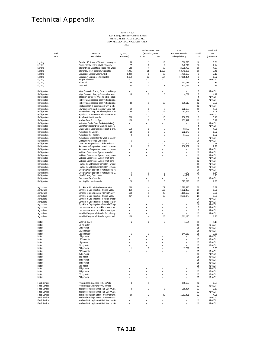| End                            | Measure                                                                                  | Quantity       | <b>Total Resource Costs</b><br>(Recorded, \$000) |                | Total<br><b>Resource Benefits</b> | Useful                           | Levelized<br>Costs |
|--------------------------------|------------------------------------------------------------------------------------------|----------------|--------------------------------------------------|----------------|-----------------------------------|----------------------------------|--------------------|
| Use                            | Description                                                                              | (Recorded)     | Admin                                            | IMC            | (Lifecycle kWh)                   | Life                             | (cents/kWh)        |
| Lighting                       | Exterior HID fixture > 176 watts mercury va                                              | 93             | 1                                                | 18             | 1,066,775                         | 16                               | 3.31               |
| Lighting                       | Ceramic Metal Halide (CMH), 75 watts                                                     | 27             | $\bf{0}$                                         | 2              | 142,249                           | 16                               | 2.74               |
| Lighting                       | Interior Pulse Start Metal Halide (400 W rej                                             | 548            | $\overline{4}$                                   | 67             | 2,335,795                         | 10                               | 4.57               |
| Lighting                       | Interior HO T-5 4 lamp fixture retrofits                                                 | 4,995          | 94                                               | 1,208          | 68,743,987                        | 16                               | 3.46               |
| Lighting                       | Occupancy Sensor wall mounted                                                            | 1,390          | 8                                                | 60             | 4,451,185                         | 8                                | 2.13               |
| Lighting                       | Occupancy Sensor ceiling mounted                                                         | 1,610          | 30                                               | 124            | 17,668,434                        | 8                                | 1.22               |
| Lighting                       | Plug Load sensor                                                                         |                |                                                  |                |                                   | 8                                | #DIV/0!            |
| Lighting                       | Photocell                                                                                | 30             | $\mathbf{1}$                                     | $\mathbf{0}$   | 410,181                           | 8                                | 0.34               |
| Lighting                       | Timeclock                                                                                | 22             | $\mathbf{1}$                                     | 1              | 300,799                           | 8                                | 0.55               |
|                                |                                                                                          |                |                                                  |                |                                   |                                  |                    |
| Refrigeration                  | Night Covers for Display Cases - med temp                                                |                |                                                  |                |                                   | 5                                | #DIV/0!            |
| Refrigeration                  | Night Covers for Display Cases - low temp                                                | 16             | $\mathbf{0}$                                     | 0              | 4,531                             | 5                                | 4.19               |
| Refrigeration                  | Infiltration Barrier for Walk-ins (strip curtain                                         |                |                                                  |                |                                   | $\overline{4}$                   | #DIV/0!            |
| Refrigeration                  | Retrofit Glass doors on open vertical displa                                             |                |                                                  |                |                                   | 12                               | #DIV/0!            |
| Refrigeration                  | Retrofit Glass doors on open vertical displa                                             | 40             | $\mathbf{1}$                                     | 10             | 536,615                           | 12                               | 3.29               |
| Refrigeration                  | Replace reach in case w/doors with hi eff c                                              |                |                                                  |                |                                   | 12                               | #DIV/0!            |
| Refrigeration                  | New Low Temp reach in Display Case with                                                  | 12<br>28       | $\mathbf{0}$<br>$\mathbf{0}$                     | -5<br>12       | 222,659                           | 16                               | 4.50<br>9.08       |
| Refrigeration                  | New Medium Temp reach in Display Case                                                    |                |                                                  |                | 253,446                           | 16                               |                    |
| Refrigeration                  | Special Doors with Low Anti-Sweat Heat lo                                                |                |                                                  |                |                                   | 12                               | #DIV/0!            |
| Refrigeration                  | Anti-Sweat Heat Controller                                                               | 288            | $\mathbf{1}$                                     | 15             | 758,661                           | 8                                | 3.10               |
| Refrigeration                  | Insulate Bare Suction Pipes                                                              | 108            | $\bf{0}$                                         | 0              | 152,412                           | 11                               | 0.42               |
| Refrigeration                  | Main door Cooler Door Gaskets (Walk-in)                                                  | ä,             |                                                  |                | $\sim$                            | $\overline{4}$<br>$\overline{4}$ | #DIV/0!<br>#DIV/0! |
| Refrigeration                  | Main Door Freezer Door Gaskets(Walk-in)                                                  | 550            | $\bf{0}$                                         | 3              | 83,789                            | $\overline{4}$                   | 4.08               |
| Refrigeration                  | Glass 'Cooler Door Gaskets (Reach-in or V<br>Auto-closer for Coolers                     | 13             | $\bf{0}$                                         | 2              | 202,076                           | 8                                | 1.32               |
| Refrigeration                  |                                                                                          | $\overline{2}$ | $\bf{0}$                                         | 0              |                                   | 8                                |                    |
| Refrigeration                  | Auto-closer for Freezers<br>Auto-closers Glass Door for Walk-in Cooler                   |                |                                                  |                | 31,089                            | 8                                | 1.32               |
| Refrigeration                  | Oversized Air Cooled Condenser                                                           |                |                                                  |                | $\sim$                            |                                  | #DIV/0!            |
| Refrigeration<br>Refrigeration | Oversized Evaporative Cooled Condenser                                                   | 6              | $\mathbf 0$                                      | $\overline{2}$ | 131,704                           | 16<br>16                         | #DIV/0!<br>0.25    |
|                                | Air cooled to Evaporative cooled condense                                                | 6              | $\theta$                                         | 3              | 238,909                           | 16                               | 2.27               |
| Refrigeration<br>Refrigeration |                                                                                          |                |                                                  |                |                                   | 16                               |                    |
|                                | Air cooled to Evaporative cooled condense                                                |                |                                                  |                |                                   | 12                               | #DIV/0!<br>#DIV/0! |
| Refrigeration                  | Multiplex Compressor System air cooled                                                   |                |                                                  |                |                                   |                                  |                    |
| Refrigeration<br>Refrigeration | Multiplex Compressor System - evap coole<br>Multiplex Compressor System w/ eff cond -    |                |                                                  |                |                                   | 12<br>12                         | #DIV/0!<br>#DIV/0! |
|                                |                                                                                          |                |                                                  |                |                                   | 12                               | #DIV/0!            |
| Refrigeration<br>Refrigeration | Multiplex Compressor System w/ eff cond -<br>Floating Head Pressure Controller - air coo |                |                                                  |                |                                   | 16                               | #DIV/0!            |
| Refrigeration                  | Floating Head Pressure Controller - evap c                                               |                |                                                  |                |                                   | 16                               | #DIV/0!            |
| Refrigeration                  | Efficient Evaporator Fan Motors (SHP to P!                                               |                |                                                  |                |                                   | 16                               | #DIV/0!            |
| Refrigeration                  | Efficient Evaporator Fan Motors (SHP to E                                                | $\overline{4}$ | $\mathbf 0$                                      | $\bf{0}$       | 41,349                            | 16                               | 1.54               |
| Refrigeration                  | <b>High Efficiency Compressor</b>                                                        | 6              | $\mathbf 0$                                      | 1              | 83,239                            | 15                               | 1.73               |
| Refrigeration                  | Evaporator Fan Controller                                                                |                |                                                  |                |                                   | 5                                | #DIV/0!            |
| Refrigeration                  | Vending Machine Controller                                                               | 26             | $\mathbf{1}$                                     | 5              | 595,296                           | 15                               | 1.73               |
|                                |                                                                                          |                |                                                  |                |                                   |                                  |                    |
| Agricultural                   | Sprinkler to Micro-Irrigation conversion                                                 | 268            | $\overline{4}$                                   | 77             | 2,876,390                         | 20                               | 5.79               |
| Agricultural                   | Sprinkler to Drip Irrigation - Central Valley -                                          | 469            | $\overline{7}$                                   | 135            | 5,832,403                         | 20                               | 5.03               |
| Agricultural                   | Sprinkler to Drip Irrigation - Central Valley                                            | 100            | $\mathbf{1}$                                     | 29             | 1,111,680                         | 20                               | 5.60               |
| Agricultural                   | Sprinkler to Drip Irrigation - Central Valley -                                          | 217            | 3                                                | 62             | 2,053,978                         | 20                               | 6.53               |
| Agricultural                   | Sprinkler to Drip Irrigation - Coastal - Decid                                           | ÷              |                                                  | ä,             |                                   | 20                               | #DIV/0!            |
| Agricultural                   | Sprinkler to Drip Irrigation - Coastal - Field                                           |                |                                                  |                | ×                                 | 20                               | #DIV/0!            |
| Agricultural                   | Sprinkler to Drip Irrigation - Coastal - Viney.                                          |                |                                                  |                |                                   | 20                               | #DIV/0!            |
| Agricultural                   | Low pressure impact sprinkler nozzles(per                                                |                |                                                  |                |                                   | 5                                | #DIV/0!            |
| Agricultural                   | Low pressure impact sprinkler nozzles(por                                                |                |                                                  |                |                                   | 5                                | #DIV/0!            |
| Agricultural                   | Variable Frequency Drives for Dairy Pump                                                 | J.             |                                                  |                |                                   | 15                               | #DIV/0!            |
| Agricultural                   | Variable Frequency Drives for Injectin Mold                                              | 120            | $\overline{4}$                                   | 25             | 2,661,120                         | 15                               | 1.90               |
|                                |                                                                                          |                |                                                  |                |                                   |                                  |                    |
| Motors                         | Motors 1-200 HP                                                                          | 1              | $\mathbf 0$                                      | 0              | 1,354                             | 15                               | 4.14               |
| Motors                         | 1.5 hp motor                                                                             |                |                                                  |                |                                   | 15                               | #DIV/0!            |
| Motors                         | 10 hp motor                                                                              |                |                                                  |                | ÷.                                | 15                               | #DIV/0!            |
| Motors                         | 100 hp motor                                                                             |                |                                                  |                |                                   | 15                               | #DIV/0!            |
| Motors                         | 125 hp motor                                                                             | 1              | $\mathbf 0$                                      |                | 144,130                           | 15                               | 0.25               |
| Motors                         | 15 hp motor                                                                              |                |                                                  |                |                                   | 15<br>15                         | #DIV/0!            |
| Motors                         | 150 hp motor                                                                             |                |                                                  |                |                                   |                                  | #DIV/0!<br>#DIV/0! |
| Motors                         | 1 hp motor                                                                               |                |                                                  |                |                                   | 15                               |                    |
| Motors                         | 2.0 hp motor                                                                             |                |                                                  |                |                                   | 15                               | #DIV/0!            |
| Motors                         | 20 hp motor                                                                              | 1              | $\boldsymbol{0}$                                 |                | 17,899                            | 15                               | 0.25               |
| Motors<br>Motors               | 200 hp motor<br>25 hp motor                                                              |                |                                                  |                |                                   | 15<br>15                         | #DIV/0!<br>#DIV/0! |
| Motors                         | 3 hp motor                                                                               |                |                                                  |                |                                   | 15                               | #DIV/0!            |
| Motors                         | 30 hp motor                                                                              |                |                                                  |                |                                   | 15                               | #DIV/0!            |
|                                | 40 hp motor                                                                              |                |                                                  |                |                                   | 15                               |                    |
| Motors<br>Motors               | 5 hp motor                                                                               |                |                                                  |                |                                   | 15                               | #DIV/0!<br>#DIV/0! |
| Motors                         | 50 hp motor                                                                              |                |                                                  |                |                                   | 15                               | #DIV/0!            |
| Motors                         | 60 hp motor                                                                              |                |                                                  |                |                                   | 15                               | #DIV/0!            |
| Motors                         | 7.5 hp motor                                                                             |                |                                                  |                |                                   | 15                               | #DIV/0!            |
| Motors                         | 75 hp motor                                                                              |                |                                                  |                |                                   | 15                               | #DIV/0!            |
|                                |                                                                                          |                |                                                  |                |                                   |                                  |                    |
| Food Service                   | Pressureless Steamers <= 0.4 kW idle                                                     | 8              | $\overline{1}$                                   |                | 610,099                           | 12                               | 0.24               |
| Food Service                   | Pressureless Steamers <= 0.2 kW idle                                                     |                |                                                  |                |                                   | 12                               | #DIV/0!            |
| Food Service                   | Insulated Holding Cabinet- Full Size <= .8 k                                             | 8              | $\mathbf{1}$                                     | 8              | 359,424                           | 12                               | 3.67               |
| Food Service                   | Insulated Holding Cabinet- Full Size <= .6 k                                             |                |                                                  |                |                                   | 12                               | #DIV/0!            |
| Food Service                   | Insulated Holding Cabinet-Three Quarter S                                                | 39             | $\overline{2}$                                   | 30             | 1,253,491                         | 12                               | 4.08               |
| Food Service                   | Insulated Holding Cabinet-Three Quarter S                                                |                |                                                  |                |                                   | 12                               | #DIV/0!            |
| Food Service                   | Insulated Holding Cabinet-Half Size <= .4 k'                                             |                |                                                  |                |                                   | 12                               | #DIV/0!            |
| Food Service                   | Insulated Holding Cabinet-Half Size <= .3 k'                                             |                |                                                  |                |                                   | 12                               | #DIV/0!            |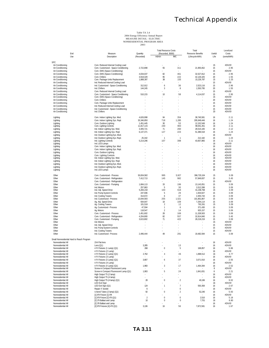|                                            |                                                                       |                | <b>Total Resource Costs</b> |                                | Total             |          | Levelized          |
|--------------------------------------------|-----------------------------------------------------------------------|----------------|-----------------------------|--------------------------------|-------------------|----------|--------------------|
| End                                        | Measure                                                               | Quantity       | (Recorded, \$000)           |                                | Resource Benefits | Useful   | Costs              |
| Use                                        | Description                                                           | (Recorded)     | Admin                       | IMC                            | (Lifecycle kWh)   | Life     | (cents/kWh)        |
| <b>SPC</b>                                 |                                                                       |                |                             |                                |                   |          |                    |
| Air Conditioning                           | Com. Reduced Internal Cooling Load                                    |                |                             |                                |                   | 15       | #DIV/0!            |
| Air Conditioning                           | Com. Customized - Space Conditioning                                  | 2,722,898      | 55                          | 311                            | 21,955,652        | 15       | 2.95               |
| Air Conditioning                           | Com. EMS (Space Conditioning)                                         |                |                             |                                |                   | 15       | #DIV/0!            |
| Air Conditioning                           | Com. EMS (Space Conditioning)                                         | 4,034,037      | 82                          | 461                            | 32,527,812        | 15       | 2.95               |
| Air Conditioning                           | Com. Chillers                                                         | 3,918,329      | 95                          | 222                            | 42.126.425        | 20       | 1.55               |
| Air Conditioning                           | Com. Package Units Replacement                                        | 1,888,397      | 38                          | 155                            | 15,226,787        | 15       | 2.25               |
| Air Conditioning                           | Ind. Reduced Internal Cooling Load                                    |                |                             |                                |                   | 15       | #DIV/0!            |
| Air Conditioning                           | Ind. Customized - Space Conditioning                                  | 312,912        | 6                           | 36                             | 2,523,116         | 15       | 2.96               |
| Air Conditioning                           | Ind. Chillers                                                         | 144,245        | 3                           | 8                              | 1,550,795         | 20       | 1.55               |
| Air Conditioning<br>Air Conditioning       | Com. Reduced Internal Cooling Load                                    |                | 10                          | 58                             |                   | 15<br>15 | #DIV/0!<br>2.95    |
| Air Conditioning                           | Com. Customized - Space Conditioning<br>Com. EMS (Space Conditioning) | 510,215        |                             |                                | 4,114,037         | 15       | #DIV/0!            |
| Air Conditioning                           | Com. Chillers                                                         |                |                             |                                |                   | 20       | #DIV/0!            |
| Air Conditioning                           | Com. Package Units Replacement                                        |                |                             |                                |                   | 15       | #DIV/0!            |
| Air Conditioning                           | Ind. Reduced Internal Cooling Load                                    |                |                             |                                |                   | 15       | #DIV/0!            |
| Air Conditioning                           | Ind. Customized - Space Conditioning                                  |                |                             |                                |                   | 15       | #DIV/0!            |
| Air Conditioning                           | Ind. Chillers                                                         |                |                             |                                |                   | 20       | #DIV/0!            |
|                                            |                                                                       |                |                             |                                |                   |          |                    |
| Lighting                                   | Com. Indoor Lighting Sys. Mod.                                        | 4,626,998      | 94                          | 354                            | 38,740,581        | 16       | 2.11               |
| Lighting                                   | Com. Indoor Lighting Sys. Repl.                                       | 35,346,850     | 718                         | 1,285                          | 295,949,446       | 16       | 1.24               |
| Lighting                                   | Com. Outdoor Lighting                                                 | 1,451,445      | 30                          | 53                             | 12,152,549        | 16       | 1.24               |
| Lighting                                   | Com. Lighting Controls                                                | 11,817,115     | 240                         | 903                            | 98,941,451        | 16       | 2.11               |
| Lighting                                   | Ind. Indoor Lighting Sys. Mod.                                        | 3,405,721      | 71                          | 260                            | 28,515,165        | 16       | 2.12               |
| Lighting                                   | Ind. Indoor Lighting Sys. Repl.                                       | 6,137,371      | 127                         | 223                            | 51,386,518        | 16       | 1.24               |
| Lighting                                   | Ind. Outdoor Lighting Sys. Mod.                                       |                | ÷                           | ÷.                             |                   | 16       | #DIV/0!            |
| Lighting                                   | Ind. Outdoor Lighting Sys. Repl.                                      | 25,342         | 1                           | $\overline{1}$                 | 212,182           | 16       | 1.24               |
| Lighting                                   | Ind. Lighting Controls                                                | 5,214,296      | 107                         | 398                            | 43,657,865        | 16       | 2.11               |
| Lighting                                   | Ind. LED Lamps                                                        |                |                             |                                |                   | 16       | #DIV/0!            |
| Lighting                                   | Com. Indoor Lighting Sys. Mod.                                        |                |                             |                                |                   | 16       | #DIV/0!            |
| Lighting                                   | Com. Indoor Lighting Sys. Repl.                                       |                |                             |                                |                   | 16       | #DIV/0!            |
| Lighting                                   | Com. Outdoor Lighting                                                 |                |                             |                                |                   | 16       | #DIV/0!<br>#DIV/0! |
| Lighting<br>Lighting                       | Com. Lighting Controls<br>Ind. Indoor Lighting Sys. Mod.              |                |                             |                                |                   | 16<br>16 | #DIV/0!            |
| Lighting                                   | Ind. Indoor Lighting Sys. Repl.                                       |                |                             |                                |                   | 16       | #DIV/0!            |
| Lighting                                   | Ind. Outdoor Lighting Sys. Mod.                                       |                |                             |                                |                   | 16       | #DIV/0!            |
| Lighting                                   | Ind. Outdoor Lighting Sys. Repl.                                      |                |                             |                                |                   | 16       | #DIV/0!            |
| Lighting                                   | Ind. LED Lamps                                                        |                |                             |                                |                   | 16       | #DIV/0!            |
|                                            |                                                                       |                |                             |                                |                   |          |                    |
| Other                                      | Com. Customized - Process                                             | 50,834,582     | 995                         | 5,927                          | 396,720,104       | 15       | 3.09               |
| Other                                      | Com. Customized - Refrigeration                                       | 7,412,713      | 145                         | 982                            | 57,849,837        | 15       | 3.45               |
| Other                                      | Com. Customized - Refrigeration                                       |                |                             |                                |                   | 15       | #DIV/0!            |
| Other                                      | Com. Customized - Pumping                                             | 1,684,113      | 33                          | 196                            | 13,143,051        | 15       | 3.09               |
| Other                                      | Ind. Motors                                                           | 257,863        | 5                           | 30                             | 2,012,398         | 15       | 3.09               |
| Other                                      | Ind. Adj. Speed Drive                                                 | 5,284,218      | 103                         | 616                            | 41,238,768        | 15       | 3.09               |
| Other                                      | Ind. Pump System Controls                                             | 247,936        | 5                           | 29                             | 1,934,927         | 15       | 3.09               |
| Other                                      | Ind. Cooling Towers                                                   | 314,672        | 6                           | 37                             | 2,455,744         | 15       | 3.09               |
| Other                                      | Ind. Customized - Process                                             | 13,044,593     | 255                         | 1,521                          | 101,801,807       | 15       | 3.09               |
| Other                                      | Ag. Adj. Speed Drive                                                  | 934,647        | 18                          | 109                            | 7,294,114         | 15       | 3.09               |
| Other                                      | Ag. Cooling Towers                                                    | 101,518        | $\overline{2}$              | 12                             | 792,261           | 15       | 3.09               |
| Other                                      | Ag. Customized - Process                                              | 47,594         | 1                           | 6                              | 371,430           | 15       | 3.09               |
| Other                                      | Ag. Motors                                                            | 118,547        | $\overline{2}$              | 14                             | 925,157           | 15       | 3.09               |
| Other                                      | Com. Customized - Process                                             | 1,451,602      | 28                          | 169                            | 11,328,503        | 15       | 3.09               |
| Other                                      | Com. Customized - Refrigeration                                       | 4,204,800      | 82<br>71                    | 557                            | 32,814,840        | 15       | 3.45               |
| Other<br>Other                             | Com. Customized - Pumping<br>Ind. Motors                              | 3,615,802      |                             | 422                            | 28,218,219        | 15<br>15 | 3.09<br>#DIV/0!    |
| Other                                      | Ind. Adj. Speed Drive                                                 |                |                             |                                |                   | 15       | #DIV/0!            |
| Other                                      | Ind. Pump System Controls                                             |                |                             |                                |                   | 15       | #DIV/0!            |
| Other                                      | Ind. Cooling Towers                                                   |                |                             |                                |                   | 15       | #DIV/0!            |
| Other                                      | Ind. Customized - Process                                             | 2,496,444      | 49                          | 291                            | 19,482,594        | 15       | 3.09               |
|                                            |                                                                       |                |                             |                                |                   |          |                    |
| Small Nonresidential Hard to Reach Program |                                                                       |                |                             |                                |                   |          |                    |
| Nonresidential All                         | 2X4 Flat lens                                                         |                |                             |                                |                   | 16       | #DIV/0!            |
| Nonresidential All                         | Lens $(Q1)$                                                           | 3,285          |                             | 13                             |                   | 16       | #DIV/0!            |
| Nonresidential All                         | 4 Ft Fixtures (1 Lamp) (Q1)                                           | 268            | $\,0\,$                     | 5                              | 168,857           | 16       | 5.86               |
| Nonresidential All                         | 4 Ft Fixtures (2 Lamp)                                                |                |                             |                                |                   | 16       | #DIV/0!            |
| Nonresidential All                         | 4 Ft Fixtures (2 Lamp) (Q1)                                           | 2,762          | $\overline{4}$              | 46                             | 1,898,512         | 16       | 4.77               |
| Nonresidential All                         | 4 Ft Fixtures (3 Lamp)                                                |                |                             |                                |                   | 16       | #DIV/0!            |
| Nonresidential All                         | 4 Ft Fixtures (3 Lamp) (Q1)                                           | 3,807          | 6                           | 37                             | 3,071,910         | 16       | 2.55               |
| Nonresidential All                         | 4 Ft Fixtures (4 Lamp)                                                |                |                             |                                |                   | 16       | #DIV/0!            |
| Nonresidential All                         | 4 Ft Fixtures (4 Lamp) (Q1)                                           | 1,960          | 3                           | 17                             | 1,464,394         | 16       | 2.52               |
| Nonresidential All                         | Screw-in Compact Fluorescent Lamp                                     |                |                             |                                |                   | 8        | #DIV/0!            |
| Nonresidential All                         | Screw-in Compact Fluorescent Lamp (Q1)                                | 1,063          | 5                           | 24                             | 1,841,831         | 8        | 2.21               |
| Nonresidential All                         | High Output T5 (2 lamp)                                               |                |                             | $\overline{\phantom{a}}$       |                   | 16       | #DIV/0!            |
| Nonresidential All                         | High Output T5 (4 lamp)                                               | ä,             |                             | ÷.                             |                   | 16       | #DIV/0!            |
| Nonresidential All                         | High Output T5 (4 lamp) (Q1)                                          | 28             | $\mathbf{0}$                | $\overline{2}$                 | 40,166            | 16       | 9.02               |
| Nonresidential All                         | LED Exit Sign                                                         |                |                             |                                |                   | 16       | #DIV/0!            |
| Nonresidential All<br>Nonresidential All   | LED Exit Sign (Q1)                                                    | 124            | 1                           | $\overline{1}$<br>$\mathbf{0}$ | 550,358           | 16       | 2.67               |
|                                            | Repair 4' Socket<br>U-bend Tubes (2 lamp) (Q1)                        | 6<br>92        |                             | $\overline{2}$                 |                   | 16       | #DIV/0!            |
| Nonresidential All<br>Nonresidential All   |                                                                       |                | 0                           |                                | 52,240            | 16<br>16 | 5.93<br>#DIV/0!    |
| Nonresidential All                         | [1] 8'ft Fixture [1] 8'ft<br>[1] 8'ft Fixture [2] 4'ft (Q1)           | $\overline{2}$ | 0                           | $\boldsymbol{0}$               | 2,510             | 16       | 5.18               |
| Nonresidential All                         | [2] 2'ft Ballast and Lamp                                             | 10             | 0                           | 0                              | 7,701             | 16       | 8.80               |
| Nonresidential All                         | [2] 3'ft Ballast and Lamp                                             |                |                             |                                |                   | 16       | #DIV/0!            |
| Nonresidential All                         | [2] 8'ft Fixtures [4] 4'ft (Q1)                                       | 3,136          | 16                          | 56                             | 7,872,581         | 16       | 1.67               |
|                                            |                                                                       |                |                             |                                |                   |          |                    |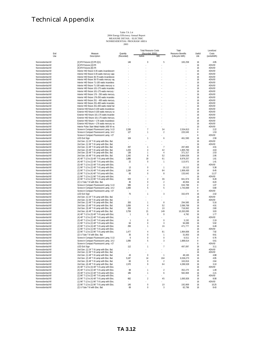|                                          |            |                                                                                              |                        | <b>Total Resource Costs</b> |                                | Total                    |          | Levelized          |
|------------------------------------------|------------|----------------------------------------------------------------------------------------------|------------------------|-----------------------------|--------------------------------|--------------------------|----------|--------------------|
|                                          | End<br>Use | Measure<br>Description                                                                       | Quantity<br>(Recorded) | (Recorded, \$000)<br>Admin  | IMC                            | <b>Resource Benefits</b> | Useful   | Costs              |
|                                          |            |                                                                                              |                        |                             |                                | (Lifecycle kWh)          | Life     | (cents/kWh)        |
| Nonresidential All                       |            | [2] 8'ft Fixtures [2] 8'ft (Q1)                                                              | 146                    | $\theta$                    | 5                              | 183,258                  | 16       | 4.95               |
| Nonresidential All                       |            | [4] 8'ft Fixtures [4] 8'ft                                                                   |                        |                             |                                |                          | 16       | #DIV/0!            |
| Nonresidential Al                        |            | [4] 8'ft Fixtures [8] 4'ft                                                                   |                        |                             |                                |                          | 16       | #DIV/0!            |
| Nonresidential All                       |            | Interior HID fixture 0-35 watts incandescent                                                 |                        |                             |                                |                          | 16       | #DIV/0!            |
| Nonresidential Al                        |            | Interior HID fixture 0-35 watts mercury vapo                                                 |                        |                             |                                |                          | 16       | #DIV/0!            |
| Nonresidential All<br>Nonresidential Al  |            | Interior HID fixture 36-70 watts incandescer<br>Interior HID fixture 36-70 watts mercury var |                        |                             |                                |                          | 16<br>16 | #DIV/0!<br>#DIV/0! |
| Nonresidential All                       |            | Interior HID fixture 71-100 watts incandesc                                                  |                        |                             |                                |                          | 16       | #DIV/0!            |
| Nonresidential All                       |            | Interior HID fixture 71-100 watts mercury va                                                 |                        |                             |                                |                          | 16       | #DIV/0!            |
| Nonresidential All                       |            | Interior HID fixture 101-175 watts incandes                                                  |                        |                             |                                |                          | 16       | #DIV/0!            |
| Nonresidential All                       |            | Interior HID fixture 101-175 watts mercury                                                   |                        |                             |                                |                          | 16       | #DIV/0!            |
| Nonresidential Al                        |            | Interior HID fixture 176 - 250 watts mercury                                                 |                        |                             |                                |                          | 16       | #DIV/0!            |
| Nonresidential All                       |            | Interior HID fixture 176-250 watts incandes                                                  |                        |                             |                                |                          | 16       | #DIV/0!            |
| Nonresidential Al                        |            | Interior HID fixture 251 - 400 watts mercury                                                 |                        |                             |                                |                          | 16       | #DIV/0!            |
| Nonresidential All<br>Nonresidential Al  |            | Interior HID fixture 251-400 watts incandes<br>Interior HID fixture 251-400 watts metal hal  |                        |                             |                                |                          | 16<br>16 | #DIV/0!<br>#DIV/0! |
| Nonresidential All                       |            | Exterior HID fixture 0-100 watts incandesce                                                  |                        |                             |                                |                          | 16       | #DIV/0!            |
| Nonresidential All                       |            | Exterior HID fixture 0-100 watts mercury va                                                  |                        |                             |                                |                          | 16       | #DIV/0!            |
| Nonresidential All                       |            | Exterior HID fixture 101-175 watts incandes                                                  |                        |                             |                                |                          | 16       | #DIV/0!            |
| Nonresidential All                       |            | Exterior HID fixture 101-175 watts mercury                                                   |                        |                             |                                |                          | 16       | #DIV/0!            |
| Nonresidential Al                        |            | Exterior HID fixture > 176 watts incandesce                                                  |                        |                             |                                |                          | 16       | #DIV/0!            |
| Nonresidential All                       |            | Exterior HID fixture > 176 watts mercury va                                                  |                        |                             |                                |                          | 16       | #DIV/0!            |
| Nonresidential Al                        |            | Interior Pulse Start Metal Halide (400 W re                                                  |                        |                             |                                |                          | 10       | #DIV/0!            |
| Nonresidential Al                        |            | Screw-in Compact Fluorescent Lamp, 5-13                                                      | 2,336                  | 7                           | 34                             | 2,534,813                | 8        | 2.22               |
| Nonresidential All                       |            | Screw-in Compact Fluorescent Lamp, 14-2                                                      | 127                    | 1                           | 2                              | 220,049                  | 8        | 1.53               |
| Nonresidential All<br>Nonresidential All |            | Screw-in Compact Fluorescent Lamp, >27                                                       |                        | 1                           |                                |                          | 8        | #DIV/0!            |
| Nonresidential Al                        |            | LED Exit Sign<br>2nd Gen. (1) 24" T-8 Lamp with Elec. Bal.                                   | 104                    |                             | 6                              | 461,590                  | 16<br>16 | 2.59<br>#DIV/0!    |
| Nonresidential All                       |            | 2nd Gen. (1) 36" T-8 Lamp with Elec. Bal.                                                    |                        |                             |                                |                          | 16       | #DIV/0!            |
| Nonresidential Al                        |            | 2nd Gen. (1) 48" T-8 Lamp with Elec. Bal.                                                    | 257                    | $\mathbf{1}$                | $\overline{7}$                 | 287,869                  | 16       | 4.91               |
| Nonresidential All                       |            | 2nd Gen. (2) 48" T-8 Lamp with Elec. Bal.                                                    | 1,433                  | 4                           | 42                             | 1,805,760                | 16       | 4.63               |
| Nonresidential Al                        |            | 2nd Gen. (3) 48" T-8 Lamp with Elec. Bal.                                                    | 136                    | 1                           | 4                              | 371,317                  | 16       | 2.53               |
| Nonresidential All                       |            | 2nd Gen. (4) 48" T-8 Lamp with Elec. Bal.                                                    | 1,342                  | 8                           | 52                             | 3,664,026                | 16       | 2.95               |
| Nonresidential All                       |            | (4) 48" T-12 to (3) 48" T-8 Lamp with Elec.                                                  | 1,886                  | 19                          | 61                             | 8,978,257                | 16       | 1.61               |
| Nonresidential All                       |            | (4) 48" T-12 to (2) 48" T-8 Lamp with Elec.                                                  | 22                     | 0                           | $\mathbf{1}$                   | 113,971                  | 16       | 1.41               |
| Nonresidential All                       |            | (3) 48" T-12 to (2) 48" T-8 Lamp with Elec.                                                  |                        |                             |                                |                          | 16       | #DIV/0!            |
| Nonresidential Al                        |            | (1) 96" T-12 to (2) 48" T-8 Lamp with Elec.                                                  | 13                     | 0                           | $\mathbf{1}$                   | 19,112                   | 16       | 5.38               |
| Nonresidential All<br>Nonresidential Al  |            | (2) 96" T-12 to (4) 48" T-8 Lamp with Elec.                                                  | 1,184<br>83            | 4<br>0                      | 84<br>8                        | 1,906,430                | 16       | 8.45               |
| Nonresidential All                       |            | (2) 96" T-12 to (4) 48" T-8 Lamp with Elec.<br>(1) 96" T-12 to (1) 96" T-8 Lamp with Elec.   |                        |                             |                                | 133,643                  | 16<br>16 | 11.27<br>#DIV/0!   |
| Nonresidential Al                        |            | (2) 96" T-12 to (2) 96" T-8 Lamp with Elec.                                                  | 633                    | $\overline{2}$              | 36                             | 841,974                  | 16       | 8.28               |
| Nonresidential All                       |            | (2) U-Tube T-8 with Elec. Bal.                                                               | 45                     | 0                           | $\overline{2}$                 | 40,954                   | 16       | 8.20               |
| Nonresidential All                       |            | Screw-in Compact Fluorescent Lamp, 5-13                                                      | 585                    | $\overline{2}$              | 3                              | 634,788                  | 8        | 1.07               |
| Nonresidential All                       |            | Screw-in Compact Fluorescent Lamp, 14-2                                                      | 1,006                  | 5                           | 5                              | 1,743,069                | 8        | 0.80               |
| Nonresidential All                       |            | Screw-in Compact Fluorescent Lamp, >27                                                       |                        |                             |                                |                          | 8        | #DIV/0!            |
| Nonresidential Al                        |            | <b>LED Exit Sign</b>                                                                         | 75                     | 1                           | 3                              | 332,878                  | 16       | 2.02               |
| Nonresidential All                       |            | 2nd Gen. (1) 24" T-8 Lamp with Elec. Bal.                                                    |                        |                             |                                |                          | 16       | #DIV/0!            |
| Nonresidential Al<br>Nonresidential Al   |            | 2nd Gen. (1) 36" T-8 Lamp with Elec. Bal.                                                    | 263                    | 1                           | 8                              | 294,589                  | 16<br>16 | #DIV/0!<br>5.16    |
| Nonresidential Al                        |            | 2nd Gen. (1) 48" T-8 Lamp with Elec. Bal.<br>2nd Gen. (2) 48" T-8 Lamp with Elec. Bal.       | 1,656                  | 4                           | 52                             | 2,086,768                | 16       | 4.91               |
| Nonresidential All                       |            | 2nd Gen. (3) 48" T-8 Lamp with Elec. Bal.                                                    | 263                    | $\mathbf{1}$                | 10                             | 718,062                  | 16       | 2.80               |
| Nonresidential All                       |            | 2nd Gen. (4) 48" T-8 Lamp with Elec. Bal.                                                    | 3,759                  | 21                          | 149                            | 10,263,095               | 16       | 3.03               |
| Nonresidential Al                        |            | (4) 48" T-12 to (3) 48" T-8 Lamp with Elec.                                                  | 1                      | 0                           | 0                              | 4,760                    | 16       | 1.77               |
| Nonresidential All                       |            | (4) 48" T-12 to (2) 48" T-8 Lamp with Elec.                                                  |                        |                             |                                |                          | 16       | #DIV/0!            |
| Nonresidential Al                        |            | (3) 48" T-12 to (2) 48" T-8 Lamp with Elec.                                                  | 1                      | 0                           | 0                              | 3,150                    | 16       | 2.19               |
| Nonresidential Al                        |            | (1) 96" T-12 to (2) 48" T-8 Lamp with Elec.                                                  | 64                     | 0                           | 3                              | 94,089                   | 16       | 5.92               |
| Nonresidential Al                        |            | (2) 96" T-12 to (4) 48" T-8 Lamp with Elec.                                                  | 293                    | 1                           | 16                             | 471,777                  | 16       | 6.49               |
| Nonresidential Al<br>Nonresidential All  |            | (1) 96" T-12 to (1) 96" T-8 Lamp with Elec.<br>(2) 96" T-12 to (2) 96" T-8 Lamp with Elec.   | 1,477                  | 4                           | 81                             | 1,964,606                | 16<br>16 | #DIV/0!<br>7.92    |
| Nonresidential All                       |            | (2) U-Tube T-8 with Elec. Bal.                                                               | 35                     | 0                           | 1                              | 31,853                   | 16       | 8.61               |
| Nonresidential All                       |            | Screw-in Compact Fluorescent Lamp, 5-13                                                      | 6                      | 0                           | $\Omega$                       | 6,511                    | 8        | 0.76               |
| Nonresidential Al                        |            | Screw-in Compact Fluorescent Lamp, 14-2                                                      | 1,090                  | 5                           | 3                              | 1,888,614                | 8        | 0.61               |
| Nonresidential All                       |            | Screw-in Compact Fluorescent Lamp, >27                                                       |                        |                             |                                |                          | 8        | #DIV/0!            |
| Nonresidential All                       |            | LED EXII SIGN                                                                                | 112                    | 1                           | $\overline{1}$                 | 497,097                  | 16       | 3.11               |
| Nonresidential Al                        |            | 2nd Gen. (1) 24" T-8 Lamp with Elec. Bal.                                                    | ÷                      |                             |                                |                          | 16       | #DIV/0!            |
| Nonresidential Al                        |            | 2nd Gen. (1) 36" T-8 Lamp with Elec. Bal.                                                    |                        |                             |                                |                          | 16       | #DIV/0!            |
| Nonresidential Al                        |            | 2nd Gen. (1) 48" T-8 Lamp with Elec. Bal.                                                    | 43                     | $\boldsymbol{0}$            | 1                              | 48,165                   | 16       | 4.88               |
| Nonresidential All<br>Nonresidential All |            | 2nd Gen. (2) 48" T-8 Lamp with Elec. Bal.<br>2nd Gen. (3) 48" T-8 Lamp with Elec. Bal.       | 5,187                  | 14<br>0                     | 164<br>$\overline{\mathbf{c}}$ | 6,536,273<br>163,816     | 16       | 4.95               |
| Nonresidential Al                        |            | 2nd Gen. (4) 48" T-8 Lamp with Elec. Bal.                                                    | 60<br>1,570            | 9                           | 64                             | 4,286,528                | 16<br>16 | 2.64<br>3.10       |
| Nonresidential Al                        |            | (4) 48" T-12 to (3) 48" T-8 Lamp with Elec.                                                  |                        |                             |                                |                          | 16       | #DIV/0!            |
| Nonresidential Al                        |            | (4) 48" T-12 to (2) 48" T-8 Lamp with Elec.                                                  | 68                     | 1                           | $\sqrt{2}$                     | 352,275                  | 16       | 1.49               |
| Nonresidential Al                        |            | (3) 48" T-12 to (2) 48" T-8 Lamp with Elec.                                                  | 185                    | 1                           | 6                              | 582,808                  | 16       | 2.21               |
| Nonresidential Al                        |            | (1) 96" T-12 to (2) 48" T-8 Lamp with Elec.                                                  |                        |                             |                                |                          | 16       | #DIV/0!            |
| Nonresidential Al                        |            | (2) 96" T-12 to (4) 48" T-8 Lamp with Elec.                                                  | 662                    | $\overline{2}$              | 45                             | 1,065,926                | 16       | 8.08               |
| Nonresidential All                       |            | (1) 96" T-12 to (1) 96" T-8 Lamp with Elec.                                                  |                        |                             |                                |                          | 16       | #DIV/0!            |
| Nonresidential All                       |            | (2) 96" T-12 to (2) 96" T-8 Lamp with Elec.                                                  | 145                    | 0                           | 10                             | 192,869                  | 16       | 10.25              |
| Nonresidential All                       |            | (2) U-Tube T-8 with Elec. Bal.                                                               | 69                     | 0                           | 3                              | 62,796                   | 16       | 8.43               |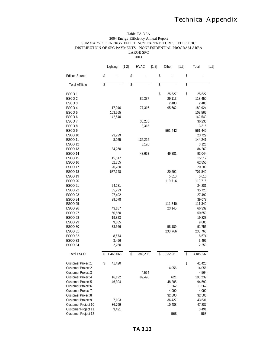#### Table TA 3.5A 2004 Energy Efficiency Annual Report SUMMARY OF ENERGY EFFICIENCY EXPENDITURES: ELECTRIC DISTRIBUTION OF SPC PAYMENTS - NONRESIDENTIAL PROGRAM AREA LARGE SPC 2003

Lighting [1,2] HVAC [1,2] Other [1,2] Total [1,2] Edison Source \$ - \$ \$ - \$ Total Affiliate  $\qquad \qquad$  \$  $\qquad \qquad$  \$  $\qquad \qquad$  \$ - $\text{ESCO 1}$   $\text{\$}$  25,527  $\text{\$}$  25,527  $\text{\$}$  25,527 ESCO 2 89,337 29,113 118,450 ESCO 3 2,480 2,480 ESCO 4 17,046 77,316 95,562 189,924 ESCO 5 103,565 103,565 ESCO 6 142,540 142,540 142,540 142,540  $\text{ESCO 7}$  36,235 36,235  $\text{ESCO } 8$  3,315 3,315 3,315 ESCO 9 561,442 561,442 ESCO 10 23,729 23,729 ESCO 11 8,025 136,216 136,216 144,241  $\text{ESCO } 12$  3,126 3,126 3,126 ESCO 13 84,260 84,260 ESCO 14 **43,663** 49,381 93,044  $\text{ESCO } 15$  15,517 15,517  $ESCO 16$  62,855 62,855 62,855 ESCO 17 20,280 20,280 ESCO 18 687,148 20,692 707,840  $\text{ESCO 19} \quad 5,610$  5,610 5,610 ESCO 20 119,716 119,716 119,716 ESCO 21 24,281 24,281 ESCO 22 35,723 35,723 ESCO 23 27,492 27,492 ESCO 24 39,078 39,078 ESCO 25 111,340 111,340 111,340 ESCO 26 43,187 23,145 66,332 ESCO 27 50,650 50,650 50,650 50,650 50,650 50,650 50,650 50,650 50,650 50,650 50,650 50,650 50,650 50,650 50,650 ESCO 28 19,823 19,823  $P$ ,885 9,885 9,885 ESCO 30 33,566 58,189 91,755 ESCO 31 230,766 230,766 230,766  $\text{ESCO } 32$  8,674 8,674 8,674  $2,496$  3,496 3,496 3,496 ESCO 34 2,250 2,250 Total ESCO \$ 1,463,068 \$ 389,208 \$ 1,332,961 \$ 3,185,237 Customer Project 1  $\qquad \qquad$  \$ 41,420 Customer Project 2 14,056 14,056 Customer Project 3 4,564 4,564 Customer Project 4 16,122 89,496 621 106,239 Customer Project 5 46,304 48,285 94,590 Customer Project 6 11,562 11,562 Customer Project 7 4,090 4,090 Customer Project 8 32,500 32,500 Customer Project 9 7,103 36,427 43,531<br>Customer Project 10 36,799 36,799 10,488 47,287 Customer Project 10 36,799 10,488 47,287<br>Customer Project 11 3,491 3,491 3,491 Customer Project 11 Customer Project 12 568 568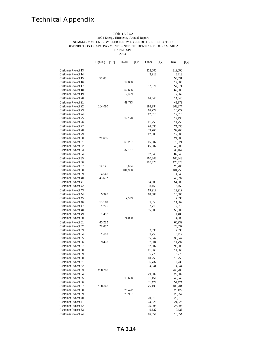#### Table TA 3.5A 2004 Energy Efficiency Annual Report SUMMARY OF ENERGY EFFICIENCY EXPENDITURES: ELECTRIC DISTRIBUTION OF SPC PAYMENTS - NONRESIDENTIAL PROGRAM AREA LARGE SPC

2003

|                                            | Lighting        | [1,2] | <b>HVAC</b> | [1, 2] | Other   | [1, 2] | Total            | [1,2] |
|--------------------------------------------|-----------------|-------|-------------|--------|---------|--------|------------------|-------|
| Customer Project 13                        |                 |       |             |        | 312.500 |        | 312.500          |       |
| <b>Customer Project 14</b>                 |                 |       |             |        | 3.713   |        | 3.713            |       |
| Customer Project 15                        | 53,631          |       |             |        |         |        | 53,631           |       |
| Customer Project 16                        |                 |       | 17,000      |        |         |        | 17,000           |       |
| Customer Project 17                        |                 |       |             |        | 57,671  |        | 57,671           |       |
| Customer Project 18                        |                 |       | 69,606      |        |         |        | 69,606           |       |
| Customer Project 19                        |                 |       | 2,369       |        |         |        | 2,369            |       |
| Customer Proiect 20                        |                 |       |             |        | 14.548  |        | 14.548           |       |
| Customer Proiect 21                        |                 |       | 49.773      |        |         |        | 49.773           |       |
| <b>Customer Project 22</b>                 | 164.080         |       |             |        | 199.294 |        | 363.374          |       |
| <b>Customer Project 23</b>                 |                 |       |             |        | 16,227  |        | 16,227           |       |
| Customer Project 24                        |                 |       |             |        | 12,615  |        | 12,615           |       |
| Customer Project 25                        |                 |       | 17,198      |        |         |        | 17,198           |       |
| Customer Project 26                        |                 |       |             |        | 11,250  |        | 11,250           |       |
| Customer Proiect 27                        |                 |       |             |        | 24.035  |        | 24.035           |       |
| Customer Proiect 28                        |                 |       |             |        | 39.766  |        | 39.766           |       |
| Customer Proiect 29                        |                 |       |             |        | 12.500  |        | 12.500           |       |
| Customer Project 30                        | 21,605          |       |             |        |         |        | 21,605           |       |
| Customer Project 31                        |                 |       | 63,237      |        | 15,387  |        | 78,624           |       |
| Customer Project 32                        |                 |       |             |        | 45,002  |        | 45,002           |       |
| Customer Project 33                        |                 |       | 32,167      |        |         |        | 32,167           |       |
| Customer Project 34                        |                 |       |             |        | 82,646  |        | 82,646           |       |
| <b>Customer Project 35</b>                 |                 |       |             |        | 160.343 |        | 160.343          |       |
| Customer Proiect 36                        |                 |       |             |        | 120.473 |        | 120.473          |       |
| <b>Customer Project 37</b>                 | 12.121          |       | 8.664       |        |         |        | 20.785           |       |
| Customer Project 38                        |                 |       | 101,958     |        |         |        | 101,958          |       |
| Customer Project 39                        | 4,540<br>43,697 |       |             |        |         |        | 4,540            |       |
| Customer Project 40<br>Customer Project 41 |                 |       |             |        | 54,609  |        | 43,697<br>54,609 |       |
| Customer Project 42                        |                 |       |             |        | 8,150   |        | 8,150            |       |
| Customer Proiect 43                        |                 |       |             |        | 19.912  |        | 19.912           |       |
| Customer Proiect 44                        | 5.396           |       |             |        | 10.604  |        | 16.000           |       |
| Customer Proiect 45                        |                 |       | 2.533       |        |         |        | 2.533            |       |
| Customer Project 46                        | 13,118          |       |             |        | 1,550   |        | 14,669           |       |
| Customer Project 47                        | 1,296           |       |             |        | 7,718   |        | 9,013            |       |
| Customer Project 48                        |                 |       |             |        | 55,000  |        | 55,000           |       |
| Customer Project 49                        | 1,482           |       |             |        |         |        | 1,482            |       |
| Customer Project 50                        |                 |       | 74,000      |        |         |        | 74,000           |       |
| <b>Customer Project 51</b>                 | 60.232          |       |             |        |         |        | 60.232           |       |
| <b>Customer Project 52</b>                 | 78.637          |       |             |        |         |        | 78.637           |       |
| Customer Project 53                        |                 |       |             |        | 7.838   |        | 7.838            |       |
| Customer Project 54                        | 1,669           |       |             |        | 1,750   |        | 3,419            |       |
| Customer Project 55                        |                 |       |             |        | 35,047  |        | 35,047           |       |
| Customer Project 56                        | 9,493           |       |             |        | 2,304   |        | 11,797           |       |
| Customer Project 57                        |                 |       |             |        | 92,602  |        | 92,602           |       |
| <b>Customer Project 58</b>                 |                 |       |             |        | 11.060  |        | 11.060           |       |
| <b>Customer Project 59</b>                 |                 |       |             |        | 5.770   |        | 5.770            |       |
| Customer Proiect 60                        |                 |       |             |        | 18.250  |        | 18.250           |       |
| Customer Project 61                        |                 |       |             |        | 6,732   |        | 6,732            |       |
| Customer Project 62                        |                 |       |             |        | 4,844   |        | 4,844            |       |
| Customer Project 63                        | 268,708         |       |             |        |         |        | 268,708          |       |
| Customer Project 64                        |                 |       |             |        | 29,809  |        | 29,809           |       |
| Customer Project 65                        |                 |       | 15,698      |        | 31,151  |        | 46,849           |       |
| Customer Project 66                        |                 |       |             |        | 51.424  |        | 51.424           |       |
| Customer Proiect 67                        | 158.848         |       |             |        | 25.136  |        | 183.984          |       |
| Customer Project 68                        |                 |       | 26.422      |        |         |        | 26.422           |       |
| Customer Project 69                        |                 |       | 28,957      |        |         |        | 28,957           |       |
| Customer Project 70                        |                 |       |             |        | 20,910  |        | 20,910           |       |
| Customer Project 71                        |                 |       |             |        | 24,826  |        | 24,826           |       |
| Customer Project 72                        |                 |       |             |        | 25,095  |        | 25,095           |       |
| Customer Project 73                        |                 |       |             |        | 9,137   |        | 9,137            |       |
| Customer Proiect 74                        |                 |       |             |        | 16.354  |        | 16.354           |       |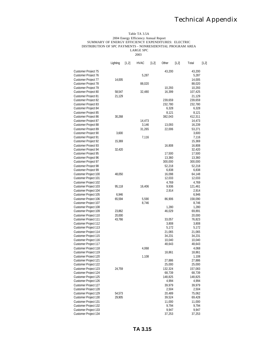#### Table TA 3.5A 2004 Energy Efficiency Annual Report SUMMARY OF ENERGY EFFICIENCY EXPENDITURES: ELECTRIC DISTRIBUTION OF SPC PAYMENTS - NONRESIDENTIAL PROGRAM AREA LARGE SPC

2003

|                             | Lighting | [1,2] | <b>HVAC</b> | [1,2] | Other            | [1,2] | Total            | [1,2] |
|-----------------------------|----------|-------|-------------|-------|------------------|-------|------------------|-------|
| Customer Project 75         |          |       |             |       | 43,200           |       | 43,200           |       |
| Customer Project 76         |          |       | 5,287       |       |                  |       | 5,287            |       |
| <b>Customer Project 77</b>  | 14,005   |       |             |       |                  |       | 14,005           |       |
| Customer Project 78         |          |       | 88,020      |       |                  |       | 88,020           |       |
| <b>Customer Project 79</b>  |          |       |             |       | 10,293           |       | 10,293           |       |
| Customer Project 80         | 58,547   |       | 32,480      |       | 16,399           |       | 107,425          |       |
| Customer Project 81         | 21,129   |       |             |       |                  |       | 21,129           |       |
| Customer Project 82         |          |       |             |       | 239,659          |       | 239,659          |       |
| <b>Customer Project 83</b>  |          |       |             |       | 232,780          |       | 232,780          |       |
| Customer Project 84         |          |       |             |       | 6,328            |       | 6,328            |       |
| Customer Project 85         |          |       |             |       | 8,121            |       | 8,121            |       |
| Customer Project 86         | 30,268   |       |             |       | 382,043          |       | 412,311          |       |
| Customer Project 87         |          |       | 14,473      |       |                  |       | 14,473           |       |
| Customer Project 88         |          |       | 3,146       |       | 13,093           |       | 16,239           |       |
| <b>Customer Project 89</b>  |          |       | 31,265      |       | 22,006           |       | 53,271           |       |
| <b>Customer Project 90</b>  | 3,600    |       |             |       |                  |       | 3,600            |       |
| <b>Customer Project 91</b>  |          |       | 7,116       |       |                  |       | 7,116            |       |
| Customer Project 92         | 15,369   |       |             |       |                  |       | 15,369           |       |
| <b>Customer Project 93</b>  |          |       |             |       | 16.808           |       | 16.808           |       |
| <b>Customer Project 94</b>  | 32,420   |       |             |       |                  |       | 32,420           |       |
| Customer Project 95         |          |       |             |       | 17,500           |       | 17,500           |       |
| <b>Customer Project 96</b>  |          |       |             |       | 13,360           |       | 13,360           |       |
| Customer Project 97         |          |       |             |       | 300,000          |       | 300,000          |       |
| <b>Customer Project 98</b>  |          |       |             |       | 52,218           |       | 52,218           |       |
| Customer Project 99         |          |       |             |       | 6,838            |       | 6,838            |       |
| Customer Project 100        |          |       |             |       |                  |       |                  |       |
| Customer Project 101        | 48,050   |       |             |       | 16,098<br>12,033 |       | 64,148<br>12,033 |       |
|                             |          |       |             |       |                  |       |                  |       |
| Customer Project 102        |          |       |             |       | 4,769<br>9,936   |       | 4,769            |       |
| Customer Project 103        | 95,118   |       | 16,406      |       |                  |       | 121,461          |       |
| Customer Project 104        |          |       |             |       | 2,914            |       | 2,914            |       |
| Customer Project 105        | 6,946    |       |             |       |                  |       | 6,946            |       |
| Customer Project 106        | 65,594   |       | 5,590       |       | 86,906           |       | 158,090          |       |
| Customer Project 107        |          |       | 8,746       |       |                  |       | 8,746            |       |
| Customer Project 108        |          |       |             |       | 1,280            |       | 1,280            |       |
| Customer Project 109        | 23,862   |       |             |       | 46,029           |       | 69,891           |       |
| Customer Project 110        | 20,000   |       |             |       |                  |       | 20,000           |       |
| Customer Project 111        | 43,766   |       |             |       | 33,057           |       | 76,823           |       |
| Customer Project 112        |          |       |             |       | 3,808            |       | 3,808            |       |
| Customer Project 113        |          |       |             |       | 5,172            |       | 5,172            |       |
| Customer Project 114        |          |       |             |       | 21,065           |       | 21,065           |       |
| Customer Project 115        |          |       |             |       | 34,231           |       | 34,231           |       |
| Customer Project 116        |          |       |             |       | 10,040           |       | 10,040           |       |
| Customer Project 117        |          |       |             |       | 48,643           |       | 48,643           |       |
| Customer Project 118        |          |       | 4,068       |       |                  |       | 4,068            |       |
| Customer Project 119        |          |       |             |       | 18,861           |       | 18,861           |       |
| <b>Customer Project 120</b> |          |       | 1.108       |       |                  |       | 1.108            |       |
| Customer Project 121        |          |       |             |       | 27,886           |       | 27,886           |       |
| Customer Project 122        |          |       |             |       | 25,000           |       | 25,000           |       |
| Customer Project 123        | 24,759   |       |             |       | 132,324          |       | 157,083          |       |
| Customer Project 124        |          |       |             |       | 68,739           |       | 68,739           |       |
| Customer Project 125        |          |       |             |       | 148,825          |       | 148,825          |       |
| Customer Project 126        |          |       |             |       | 4,994            |       | 4,994            |       |
| Customer Project 127        |          |       |             |       | 39,979           |       | 39,979           |       |
| Customer Project 128        |          |       |             |       | 2,504            |       | 2,504            |       |
| Customer Project 129        | 54,573   |       |             |       | 20,489           |       | 75,062           |       |
| Customer Project 130        | 29,905   |       |             |       | 39,524           |       | 69,428           |       |
| Customer Project 131        |          |       |             |       | 11,000           |       | 11,000           |       |
| Customer Project 132        |          |       |             |       | 9,794            |       | 9,794            |       |
| <b>Customer Project 133</b> |          |       |             |       | 9,947            |       | 9,947            |       |
| Customer Project 134        |          |       |             |       | 37,253           |       | 37,253           |       |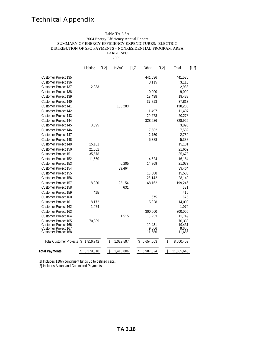#### Table TA 3.5A 2004 Energy Efficiency Annual Report SUMMARY OF ENERGY EFFICIENCY EXPENDITURES: ELECTRIC DISTRIBUTION OF SPC PAYMENTS - NONRESIDENTIAL PROGRAM AREA LARGE SPC

2003

|                                              | Lighting        | [1,2] | <b>HVAC</b> | [1,2] | Other           | [1,2] | Total            | [1,2] |  |  |  |
|----------------------------------------------|-----------------|-------|-------------|-------|-----------------|-------|------------------|-------|--|--|--|
| Customer Project 135                         |                 |       |             |       | 441,536         |       | 441,536          |       |  |  |  |
| Customer Project 136                         |                 |       |             |       | 3.115           |       | 3,115            |       |  |  |  |
| Customer Project 137                         | 2,933           |       |             |       |                 |       | 2,933            |       |  |  |  |
| Customer Project 138                         |                 |       |             |       | 9,000           |       | 9,000            |       |  |  |  |
| Customer Project 139                         |                 |       |             |       | 19,438          |       | 19,438           |       |  |  |  |
| <b>Customer Project 140</b>                  |                 |       |             |       | 37,813          |       | 37,813           |       |  |  |  |
| Customer Project 141                         |                 |       | 138,283     |       |                 |       | 138,283          |       |  |  |  |
| Customer Project 142                         |                 |       |             |       | 11,497          |       | 11,497           |       |  |  |  |
| Customer Project 143                         |                 |       |             |       | 20,278          |       | 20,278           |       |  |  |  |
| Customer Project 144                         |                 |       |             |       | 328,926         |       | 328,926          |       |  |  |  |
| Customer Project 145                         | 3,095           |       |             |       |                 |       | 3,095            |       |  |  |  |
| Customer Project 146                         |                 |       |             |       | 7,582           |       | 7,582            |       |  |  |  |
| Customer Project 147                         |                 |       |             |       | 2,750           |       | 2,750            |       |  |  |  |
| Customer Project 148                         |                 |       |             |       | 5,388           |       | 5,388            |       |  |  |  |
| Customer Project 149                         | 15,181          |       |             |       |                 |       | 15,181           |       |  |  |  |
| <b>Customer Project 150</b>                  | 21,662          |       |             |       |                 |       | 21.662           |       |  |  |  |
| Customer Project 151                         | 35,678          |       |             |       |                 |       | 35,678           |       |  |  |  |
| Customer Project 152                         | 11,560          |       |             |       | 4,624           |       | 16,184           |       |  |  |  |
| Customer Project 153                         |                 |       | 6,205       |       | 14,869          |       | 21,073           |       |  |  |  |
| Customer Project 154                         |                 |       | 39,464      |       |                 |       | 39,464           |       |  |  |  |
| <b>Customer Project 155</b>                  |                 |       |             |       | 15.588          |       | 15.588           |       |  |  |  |
| Customer Project 156                         |                 |       |             |       | 28,142          |       | 28,142           |       |  |  |  |
| <b>Customer Project 157</b>                  | 8.930           |       | 22.154      |       | 168.162         |       | 199.246          |       |  |  |  |
| Customer Project 158                         |                 |       | 631         |       |                 |       |                  | 631   |  |  |  |
| <b>Customer Project 159</b>                  | 415             |       |             |       |                 |       |                  | 415   |  |  |  |
| Customer Project 160                         |                 |       |             |       | 675             |       |                  | 675   |  |  |  |
| Customer Project 161                         | 8,172           |       |             |       | 5,828           |       | 14,000           |       |  |  |  |
| Customer Project 162                         | 1,074           |       |             |       |                 |       | 1,074            |       |  |  |  |
| Customer Project 163                         |                 |       |             |       | 300,000         |       | 300,000          |       |  |  |  |
| Customer Project 164                         |                 |       | 1,515       |       | 10.233          |       | 11,749           |       |  |  |  |
| Customer Project 165                         | 70,339          |       |             |       |                 |       | 70,339           |       |  |  |  |
| Customer Project 166<br>Customer Project 167 |                 |       |             |       | 19,431<br>9,606 |       | 19,431<br>9,606  |       |  |  |  |
| Customer Project 168                         |                 |       |             |       | 11,686          |       | 11,686           |       |  |  |  |
| Total Customer Projects \$ 1,816,742         |                 | \$    | 1,029,597   |       | 5,654,063<br>\$ |       | \$<br>8,500,403  |       |  |  |  |
| <b>Total Payments</b>                        | 3,279,810<br>\$ | \$    | 1,418,806   |       | \$<br>6,987,024 |       | \$<br>11,685,640 |       |  |  |  |

[1] Includes 110% contingent funds up to defined caps. [2] Includes Actual and Committed Payments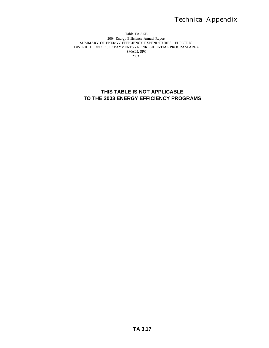#### Table TA 3.5B 2004 Energy Efficiency Annual Report SUMMARY OF ENERGY EFFICIENCY EXPENDITURES: ELECTRIC DISTRIBUTION OF SPC PAYMENTS - NONRESIDENTIAL PROGRAM AREA SMALL SPC 2003

### **THIS TABLE IS NOT APPLICABLE TO THE 2003 ENERGY EFFICIENCY PROGRAMS**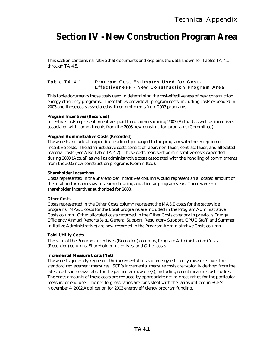### **Section IV - New Construction Program Area**

This section contains narrative that documents and explains the data shown for Tables TA 4.1 through TA 4.5.

### **Table TA 4.1 Program Cost Estimates Used for Cost - Effectiveness - New Construction Program Area**

This table documents those costs used in determining the cost-effectiveness of new construction energy efficiency programs. These tables provide all program costs, including costs expended in 2003 and those costs associated with commitments from 2003 programs.

### **Program Incentives (Recorded)**

Incentive costs represent incentives paid to customers during 2003 (Actual) as well as incentives associated with commitments from the 2003 new construction programs (Committed).

### **Program Administrative Costs (Recorded)**

These costs include all expenditures directly charged to the program with the exception of incentive costs. The administrative costs consist of labor, non-labor, contract labor, and allocated material costs (See Also Table TA 4.2). These costs represent administrative costs expended during 2003 (Actual) as well as administrative costs associated with the handling of commitments from the 2003 new construction programs (Committed).

#### **Shareholder Incentives**

Costs represented in the Shareholder Incentives column would represent an allocated amount of the total performance awards earned during a particular program year. There were no shareholder incentives authorized for 2003.

#### **Other Costs**

Costs represented in the Other Costs column represent the MA&E costs for the statewide programs. MA&E costs for the Local programs are included in the Program Administrative Costs column. Other allocated costs recorded in the Other Costs category in previous Energy Efficiency Annual Reports (e.g., General Support, Regulatory Support, CPUC Staff, and Summer Initiative Administrative) are now recorded in the Program Administrative Costs column.

#### **Total Utility Costs**

The sum of the Program Incentives (Recorded) columns, Program Administrative Costs (Recorded) columns, Shareholder Incentives, and Other costs.

#### **Incremental Measure Costs (Net)**

These costs generally represent the incremental costs of energy efficiency measures over the standard replacement measures. SCE's incremental measure costs are typically derived from the latest cost source available for the particular measure(s), including recent measure cost studies. The gross amounts of these costs are reduced by appropriate net-to-gross ratios for the particular measure or end-use. The net-to-gross ratios are consistent with the ratios utilized in SCE's November 4, 2002 Application for 2003 energy efficiency program funding.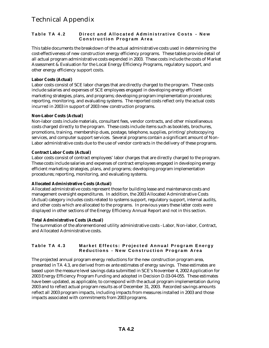### **Table TA 4.2 Direct and Allocated Administrative Costs - New Construction Program Area**

This table documents the breakdown of the actual administrative costs used in determining the cost-effectiveness of new construction energy efficiency programs. These tables provide detail of all actual program administrative costs expended in 2003. These costs include the costs of Market Assessment & Evaluation for the Local Energy Efficiency Programs, regulatory support, and other energy efficiency support costs.

### **Labor Costs (Actual)**

Labor costs consist of SCE labor charges that are directly charged to the program. These costs include salaries and expenses of SCE employees engaged in developing energy efficient marketing strategies, plans, and programs; developing program implementation procedures; reporting, monitoring, and evaluating systems. The reported costs reflect only the actual costs incurred in 2003 in support of 2003 new construction programs.

### **Non-Labor Costs (Actual)**

Non-labor costs include materials, consultant fees, vendor contracts, and other miscellaneous costs charged directly to the program. These costs include items such as booklets, brochures, promotions, training, membership dues, postage, telephone, supplies, printing/photocopying services, and computer support services. Several programs contain a significant amount of Non-Labor administrative costs due to the use of vendor contracts in the delivery of these programs.

### **Contract Labor Costs (Actual)**

Labor costs consist of contract employees' labor charges that are directly charged to the program. These costs include salaries and expenses of contract employees engaged in developing energy efficient marketing strategies, plans, and programs; developing program implementation procedures; reporting, monitoring, and evaluating systems.

### **Allocated Administrative Costs (Actual)**

Allocated administrative costs represent those for building lease and maintenance costs and management oversight expenditures. In addition, the 2003 Allocated Administrative Costs (Actual) category includes costs related to systems support, regulatory support, internal audits, and other costs which are allocated to the programs. In previous years these latter costs were displayed in other sections of the Energy Efficiency Annual Report and not in this section.

### **Total Administrative Costs (Actual)**

The summation of the aforementioned utility administrative costs - Labor, Non-labor, Contract, and Allocated Administrative costs.

### **Table TA 4.3 Market Effects: Projected Annual Program Energy Reductions - New Construction Program Area**

The projected annual program energy reductions for the new construction program area, presented in TA 4.3, are derived from ex ante estimates of energy savings. These estimates are based upon the measure level savings data submitted in SCE's November 4, 2002 Application for 2003 Energy Efficiency Program Funding and adopted in Decision D.03-04-055. These estimates have been updated, as applicable, to correspond with the actual program implementation during 2003 and to reflect actual program results as of December 31, 2003. Recorded savings amounts reflect all 2003 program impacts, including impacts from measures installed in 2003 and those impacts associated with commitments from 2003 programs.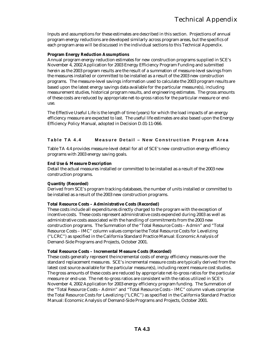Inputs and assumptions for these estimates are described in this section. Projections of annual program energy reductions are developed similarly across program areas, but the specifics of each program area will be discussed in the individual sections to this Technical Appendix.

### **Program Energy Reduction Assumptions**

Annual program energy reduction estimates for new construction programs supplied in SCE's November 4, 2002 Application for 2003 Energy Efficiency Program Funding and submitted herein as the 2003 program results are the result of a summation of measure-level savings from the measures installed or committed to be installed as a result of the 2003 new construction programs. The measure-level savings information used to calculate the 2003 program results are based upon the latest energy savings data available for the particular measure(s), including measurement studies, historical program results, and engineering estimates. The gross amounts of these costs are reduced by appropriate net-to-gross ratios for the particular measure or enduse.

The Effective Useful Life is the length of time (years) for which the load impacts of an energy efficiency measure are expected to last. The useful life estimates are also based upon the Energy Efficiency Policy Manual, adopted in Decision D.01-11-066.

### **Table TA 4.4 Measure Detail – New Construction Program Area**

Table TA 4.4 provides measure-level detail for all of SCE's new construction energy efficiency programs with 2003 energy saving goals.

#### **End Use & Measure Description**

Detail the actual measures installed or committed to be installed as a result of the 2003 new construction programs.

#### **Quantity (Recorded)**

Derived from SCE's program tracking databases, the number of units installed or committed to be installed as a result of the 2003 new construction programs.

#### **Total Resource Costs – Administrative Costs (Recorded)**

These costs include all expenditures directly charged to the program with the exception of incentive costs. These costs represent administrative costs expended during 2003 as well as administrative costs associated with the handling of commitments from the 2003 new construction programs. The Summation of the "Total Resource Costs – Admin" and "Total Resource Costs – IMC" column values comprise the Total Resource Costs for Levelizing ("LCRC") as specified in the California Standard Practice Manual: Economic Analysis of Demand-Side Programs and Projects, October 2001.

#### **Total Resource Costs – Incremental Measure Costs (Recorded)**

These costs generally represent the incremental costs of energy efficiency measures over the standard replacement measures. SCE's incremental measure costs are typically derived from the latest cost source available for the particular measure(s), including recent measure cost studies. The gross amounts of these costs are reduced by appropriate net-to-gross ratios for the particular measure or end-use. The net-to-gross ratios are consistent with the ratios utilized in SCE's November 4, 2002 Application for 2003 energy efficiency program funding. The Summation of the "Total Resource Costs – Admin" and "Total Resource Costs – IMC" column values comprise the Total Resource Costs for Levelizing ("LCRC") as specified in the California Standard Practice Manual: Economic Analysis of Demand-Side Programs and Projects, October 2001.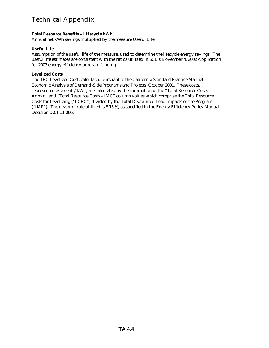### **Total Resource Benefits – Lifecycle kWh**

Annual net kWh savings multiplied by the measure Useful Life.

### **Useful Life**

Assumption of the useful life of the measure, used to determine the lifecycle energy savings. The useful life estimates are consistent with the ratios utilized in SCE's November 4, 2002 Application for 2003 energy efficiency program funding.

### **Levelized Costs**

The TRC Levelized Cost, calculated pursuant to the California Standard Practice Manual: Economic Analysis of Demand-Side Programs and Projects, October 2001. These costs, represented as a cents/kWh, are calculated by the summation of the "Total Resource Costs – Admin" and "Total Resource Costs – IMC" column values which comprise the Total Resource Costs for Levelizing ("LCRC") divided by the Total Discounted Load Impacts of the Program ("IMP"). The discount rate utilized is 8.15 %, as specified in the Energy Efficiency Policy Manual, Decision D.01-11-066.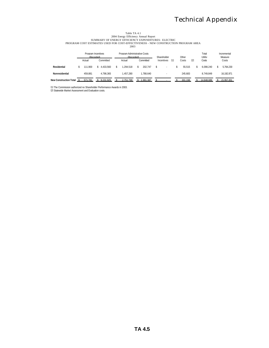## Table TA 4.1<br>2004 Energy Efficiency Annual Report<br>PROGRAM COST ESTIMATES USED FOR COST-EFFECTIVENESS - NEW CONSTRUCTION PROGRAM AREA

2003

|                               | Program Incentives<br>(Recorded) |             | Program Administrative Costs<br>(Recorded) |          |  | Shareholder |  |            | Other |         | Total<br>Utility | Incremental<br>Measure |            |
|-------------------------------|----------------------------------|-------------|--------------------------------------------|----------|--|-------------|--|------------|-------|---------|------------------|------------------------|------------|
|                               | Actual                           | Committed   |                                            | Actual   |  | Committed   |  | Incentives | [1]   | Costs   | [2]              | Costs                  | Costs      |
| Residential                   | 111.900                          | \$4.433.560 |                                            | .294.518 |  | 202.747     |  |            |       | 55.515  |                  | 6.098.240              | 5.764.230  |
| Nonresidential                | 459.881                          | 4.798.365   |                                            | .457.280 |  | 1.788.640   |  |            |       | 245.683 |                  | 8.749.849              | 16.192.971 |
| <b>New Construction Total</b> | 571.781                          | 9.231.925   |                                            | 751.799  |  | .991.387    |  |            |       | 301.198 |                  | 14.848.089             | 21.957.201 |

[1] The Commission authorized no Shareholder Performance Awards in 2003.

[2] Statewide Market Assessment and Evaluation costs.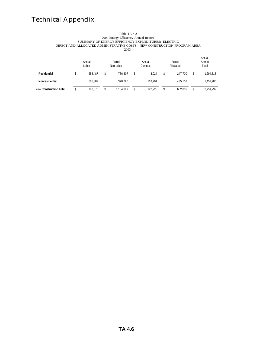#### Table TA 4.2 2004 Energy Efficiency Annual Report SUMMARY OF ENERGY EFFICIENCY EXPENDITURES: ELECTRIC DIRECT AND ALLOCATED ADMINISTRATIVE COSTS - NEW CONSTRUCTION PROGRAM AREA 2003

|                               | Actual<br>Labor | Actual<br>Non-Labor |     | Actual<br>Contract | Actual<br>Allocated | Actual<br>Admin<br>Total |           |  |
|-------------------------------|-----------------|---------------------|-----|--------------------|---------------------|--------------------------|-----------|--|
| Residential                   | \$<br>256.487   | 786.307             | \$. | 4.024              | 247.700             | \$                       | 1.294.518 |  |
| Nonresidential                | 525.887         | 378.090             |     | 118.201            | 435.103             |                          | 1,457,280 |  |
| <b>New Construction Total</b> | 782.375         | 1,164,397           |     | 122.225            | 682,802             |                          | 2.751.799 |  |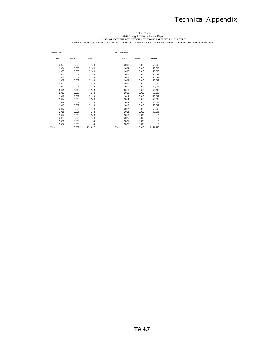# Table TA 4.3<br>SUMMARY OF ENERGY EFFICIENCY Annual Report<br>MARKET EFFECTS: PROJECTED ANNUAL PROGRAM ENERGY REDUCTIONS - NEW CONSTRUCTION PROGRAM AREA<br>2003

| Residential |       |          | Nonresidential |       |               |
|-------------|-------|----------|----------------|-------|---------------|
| Year        | (MM)  | (MWH)    | Year           | (MM)  | (MWH)         |
| 2003        | 0.008 | 7 1 4 8  | 2003           | 0.010 | 70.093        |
| 2004        | 0.008 | 7 1 4 8  | 2004           | 0.010 | 70.093        |
| 2005        | 0.008 | 7 1 4 8  | 2005           | 0.010 | 70.093        |
| 2006        | 0.008 | 7 1 4 8  | 2006           | 0.010 | 70.093        |
| 2007        | 0.008 | 7 1 4 8  | 2007           | 0.010 | 70.093        |
| 2008        | 0.008 | 7.148    | 2008           | 0.010 | 70.093        |
| 2009        | 0.008 | 7 1 4 8  | 2009           | 0.010 | 70.093        |
| 2010        | 0.008 | 7.148    | 2010           | 0.010 | 70.093        |
| 2011        | 0.008 | 7 1 4 8  | 2011           | 0.010 | 70.093        |
| 2012        | 0.008 | 7.148    | 2012           | 0.010 | 70.093        |
| 2013        | 0.008 | 7 1 4 8  | 2013           | 0.010 | 70.093        |
| 2014        | 0.008 | 7 1 4 8  | 2014           | 0.010 | 70.093        |
| 2015        | 0.008 | 7 1 4 8  | 2015           | 0.010 | 70.093        |
| 2016        | 0.008 | 7 1 4 8  | 2016           | 0.010 | 70.093        |
| 2017        | 0.008 | 7 1 4 8  | 2017           | 0.010 | 70.093        |
| 2018        | 0.008 | 7 1 4 8  | 2018           | 0.010 | 70.093        |
| 2019        | 0.008 | 7 1 4 8  | 2019           | 0.000 | $\Omega$      |
| 2020        | 0.008 | 7 1 4 8  | 2020           | 0.000 | $\Omega$      |
| 2021        | 0.000 | $\Omega$ | 2021           | 0.000 | $\Omega$      |
| $2022 -$    | 0.000 | $\cap$   | $2022 -$       | 0.000 | $\cap$        |
| Total       | 0.008 | 128 667  | Total          | 0.010 | 1 1 2 1 4 8 5 |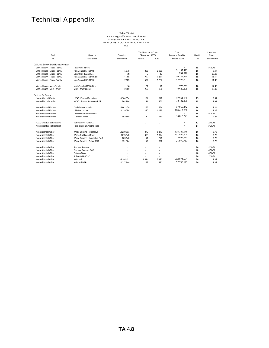| End                                  | Measure                              | Ouantity   | <b>Total Resource Costs</b><br>(Recorded \$000) |         | Total<br>Resource Benefits | <b>Liseful</b> | Levelized<br>Costs |  |
|--------------------------------------|--------------------------------------|------------|-------------------------------------------------|---------|----------------------------|----------------|--------------------|--|
| <b>I</b> se                          | Description                          | (Recorded) | Admin                                           | IMC.    | (Lifecycle kWh)            | I ife          | (cents/kWh)        |  |
| California Energy Star Homes Program |                                      |            |                                                 |         |                            |                |                    |  |
| Whole House - Single Family          | Coastal SE (15%)                     |            |                                                 |         |                            | 1 <sup>Q</sup> | $#$ $\n  IN 101$   |  |
| Whole House - Single Family          | Non Coastal SE (15%)                 | 1879       | 296                                             | 1.066   | 31,197,413                 | 18             | 847                |  |
| Whole House - Single Family          | Coastal SE (20%) (O1)                | 28         | $\mathfrak{D}$                                  | 22      | 254,016                    | 18             | 1896               |  |
| Whole House - Single Family          | Non Coastal SE (20%) (01)            | 1395       | 292                                             | 1478    | 30,726,864                 | 18             | 11 18              |  |
| Whole House - Single Family          | Non Coastal SE (20%)                 | 2.603      | 532                                             | 2757    | 55,999,901                 | 18             | 11 40              |  |
| Whole House - Multi-Family           | Multi-Eamily (20%) (O1)              | 196        | 21                                              | 51      | 803.635                    | 18             | 17.45              |  |
| Whole House - Multi-Family           | Multi-Family (15%)                   | 2169       | 257                                             | 390     | 9.685.138                  | 18             | 1297               |  |
| Savings By Design                    |                                      |            |                                                 |         |                            |                |                    |  |
| Nonresidential Cooling               | HVAC: Energy Reduction               | 4 164 554  | 104                                             | 542     | 37,954,180                 | 15             | 3.01               |  |
| Monracidantial Cooling               | HVAC: Energy Peduction P.R.P.        | 1 564 880  | 51                                              | 263     | 18.402.336                 | 15             | 3.01               |  |
| Nonresidential Lighting              | Davlighting Controls                 | 5962170    | 156                                             | 554     | 57,959,442                 | 16             | 224                |  |
| Nonresidential Lighting              | <b>I PD Reductions</b>               | 10 329 754 | 270                                             | 1 0 2 5 | 100.417.596                | 16             | 2.35               |  |
| Nonresidential Lighting              | Davlighting Controls R&R             |            |                                                 |         | $\sim$                     | 16             | #DIV/01            |  |
| Nonresidential Lighting              | <b>I PD Reductions R&amp;R</b>       | 862 499    | 29                                              | 110     | 10,818,741                 | 16             | 2.35               |  |
| Monresidential Pefrigeration         | <b>Defrigeration Systems</b>         |            |                                                 |         |                            | 1 <sub>A</sub> | $#$ $N$ $N$        |  |
| Nonresidential Refrigeration         | <b>Regrigeration Systems R&amp;R</b> |            |                                                 |         |                            | 14             | #DIV/01            |  |
| Nonresidential Other                 | Whole Building - Interactive         | 14 230 811 | 372                                             | 2470    | 138.340.548                | 16             | 375                |  |
| Nonresidential Other                 | Whole Building - Other               | 13 675 340 | 358                                             | 2 3 7 4 | 132,940,704                | 16             | 375                |  |
| Nonresidential Other                 | Whole Building - Interactive R&R     | 1 203 646  | 41                                              | 270     | 15,097,913                 | 16             | 375                |  |
| Nonresidential Other                 | Whole Building - Other R&R           | 1 751 564  | 59                                              | 302     | 21,970,713                 | 16             | 375                |  |
| Nonresidential Other                 | <b>Process Systems</b>               |            |                                                 |         |                            | 20             | #DIV/01            |  |
| Nonresidential Other                 | <b>Process Systems R&amp;R</b>       |            |                                                 |         |                            | 20             | #DIV/01            |  |
| Nonresidential Other                 | <b>Boilers (Gas)</b>                 |            |                                                 | ÷       | ٠                          | 20             | #DIV/01            |  |
| Nonresidential Other                 | <b>Boilers R&amp;R (Gas)</b>         |            |                                                 |         | $\sim$                     | 20             | #DIV/01            |  |
| Nonresidential Other                 | Industrial                           | 35 394 131 | 1614                                            | 7320    | 652,074,584                | 20             | 282                |  |
| Nonresidential Other                 | Industrial R&R                       | 4 217 940  | 192                                             | 872     | 77,708,123                 | 20             | 282                |  |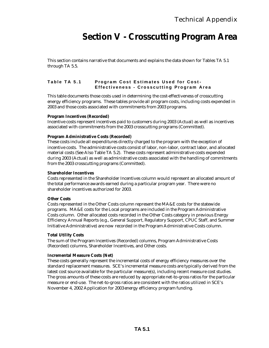## **Section V - Crosscutting Program Area**

This section contains narrative that documents and explains the data shown for Tables TA 5.1 through TA 5.5.

### **Table TA 5.1 Program Cost Estimates Used for Cost - Effectiveness - Crosscutting Program Area**

This table documents those costs used in determining the cost-effectiveness of crosscutting energy efficiency programs. These tables provide all program costs, including costs expended in 2003 and those costs associated with commitments from 2003 programs.

### **Program Incentives (Recorded)**

Incentive costs represent incentives paid to customers during 2003 (Actual) as well as incentives associated with commitments from the 2003 crosscutting programs (Committed).

### **Program Administrative Costs (Recorded)**

These costs include all expenditures directly charged to the program with the exception of incentive costs. The administrative costs consist of labor, non-labor, contract labor, and allocated material costs (See Also Table TA 5.2). These costs represent administrative costs expended during 2003 (Actual) as well as administrative costs associated with the handling of commitments from the 2003 crosscutting programs (Committed).

#### **Shareholder Incentives**

Costs represented in the Shareholder Incentives column would represent an allocated amount of the total performance awards earned during a particular program year. There were no shareholder incentives authorized for 2003.

#### **Other Costs**

Costs represented in the Other Costs column represent the MA&E costs for the statewide programs. MA&E costs for the Local programs are included in the Program Administrative Costs column. Other allocated costs recorded in the Other Costs category in previous Energy Efficiency Annual Reports (e.g., General Support, Regulatory Support, CPUC Staff, and Summer Initiative Administrative) are now recorded in the Program Administrative Costs column.

#### **Total Utility Costs**

The sum of the Program Incentives (Recorded) columns, Program Administrative Costs (Recorded) columns, Shareholder Incentives, and Other costs.

#### **Incremental Measure Costs (Net)**

These costs generally represent the incremental costs of energy efficiency measures over the standard replacement measures. SCE's incremental measure costs are typically derived from the latest cost source available for the particular measure(s), including recent measure cost studies. The gross amounts of these costs are reduced by appropriate net-to-gross ratios for the particular measure or end-use. The net-to-gross ratios are consistent with the ratios utilized in SCE's November 4, 2002 Application for 2003 energy efficiency program funding.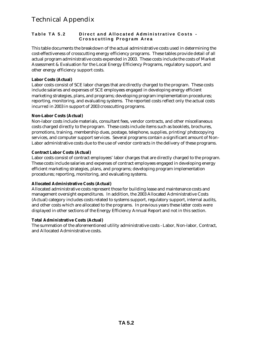### **Table TA 5.2 Direct and Allocated Administrative Costs - Crosscutting Program Area**

This table documents the breakdown of the actual administrative costs used in determining the cost-effectiveness of crosscutting energy efficiency programs. These tables provide detail of all actual program administrative costs expended in 2003. These costs include the costs of Market Assessment & Evaluation for the Local Energy Efficiency Programs, regulatory support, and other energy efficiency support costs.

### **Labor Costs (Actual)**

Labor costs consist of SCE labor charges that are directly charged to the program. These costs include salaries and expenses of SCE employees engaged in developing energy efficient marketing strategies, plans, and programs; developing program implementation procedures; reporting, monitoring, and evaluating systems. The reported costs reflect only the actual costs incurred in 2003 in support of 2003 crosscutting programs.

### **Non-Labor Costs (Actual)**

Non-labor costs include materials, consultant fees, vendor contracts, and other miscellaneous costs charged directly to the program. These costs include items such as booklets, brochures, promotions, training, membership dues, postage, telephone, supplies, printing/photocopying services, and computer support services. Several programs contain a significant amount of Non-Labor administrative costs due to the use of vendor contracts in the delivery of these programs.

### **Contract Labor Costs (Actual)**

Labor costs consist of contract employees' labor charges that are directly charged to the program. These costs include salaries and expenses of contract employees engaged in developing energy efficient marketing strategies, plans, and programs; developing program implementation procedures; reporting, monitoring, and evaluating systems.

### **Allocated Administrative Costs (Actual)**

Allocated administrative costs represent those for building lease and maintenance costs and management oversight expenditures. In addition, the 2003 Allocated Administrative Costs (Actual) category includes costs related to systems support, regulatory support, internal audits, and other costs which are allocated to the programs. In previous years these latter costs were displayed in other sections of the Energy Efficiency Annual Report and not in this section.

### **Total Administrative Costs (Actual)**

The summation of the aforementioned utility administrative costs - Labor, Non-labor, Contract, and Allocated Administrative costs.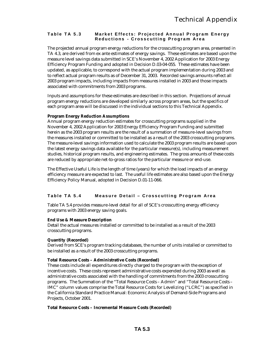### **Table TA 5.3** Market Effects: Projected Annual Program Energy **Reductions - Crosscutting Program Area**

The projected annual program energy reductions for the crosscutting program area, presented in TA 4.3, are derived from ex ante estimates of energy savings. These estimates are based upon the measure level savings data submitted in SCE's November 4, 2002 Application for 2003 Energy Efficiency Program Funding and adopted in Decision D.03-04-055. These estimates have been updated, as applicable, to correspond with the actual program implementation during 2003 and to reflect actual program results as of December 31, 2003. Recorded savings amounts reflect all 2003 program impacts, including impacts from measures installed in 2003 and those impacts associated with commitments from 2003 programs.

Inputs and assumptions for these estimates are described in this section. Projections of annual program energy reductions are developed similarly across program areas, but the specifics of each program area will be discussed in the individual sections to this Technical Appendix.

### **Program Energy Reduction Assumptions**

Annual program energy reduction estimates for crosscutting programs supplied in the November 4, 2002 Application for 2003 Energy Efficiency Program Funding and submitted herein as the 2003 program results are the result of a summation of measure-level savings from the measures installed or committed to be installed as a result of the 2003 crosscutting programs. The measure-level savings information used to calculate the 2003 program results are based upon the latest energy savings data available for the particular measure(s), including measurement studies, historical program results, and engineering estimates. The gross amounts of these costs are reduced by appropriate net-to-gross ratios for the particular measure or end-use.

The Effective Useful Life is the length of time (years) for which the load impacts of an energy efficiency measure are expected to last. The useful life estimates are also based upon the Energy Efficiency Policy Manual, adopted in Decision D.01-11-066.

### **Table TA 5.4 Measure Detail – Crosscutting Program Area**

Table TA 5.4 provides measure-level detail for all of SCE's crosscutting energy efficiency programs with 2003 energy saving goals.

### **End Use & Measure Description**

Detail the actual measures installed or committed to be installed as a result of the 2003 crosscutting programs.

### **Quantity (Recorded)**

Derived from SCE's program tracking databases, the number of units installed or committed to be installed as a result of the 2003 crosscutting programs.

#### **Total Resource Costs – Administrative Costs (Recorded)**

These costs include all expenditures directly charged to the program with the exception of incentive costs. These costs represent administrative costs expended during 2003 as well as administrative costs associated with the handling of commitments from the 2003 crosscutting programs. The Summation of the "Total Resource Costs – Admin" and "Total Resource Costs – IMC" column values comprise the Total Resource Costs for Levelizing ("LCRC") as specified in the California Standard Practice Manual: Economic Analysis of Demand-Side Programs and Projects, October 2001.

#### **Total Resource Costs – Incremental Measure Costs (Recorded)**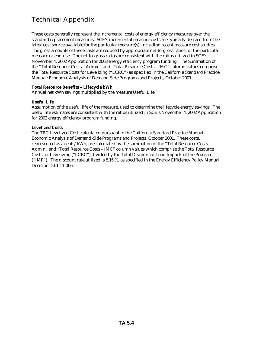These costs generally represent the incremental costs of energy efficiency measures over the standard replacement measures. SCE's incremental measure costs are typically derived from the latest cost source available for the particular measure(s), including recent measure cost studies. The gross amounts of these costs are reduced by appropriate net-to-gross ratios for the particular measure or end-use. The net-to-gross ratios are consistent with the ratios utilized in SCE's November 4, 2002 Application for 2003 energy efficiency program funding. The Summation of the "Total Resource Costs – Admin" and "Total Resource Costs – IMC" column values comprise the Total Resource Costs for Levelizing ("LCRC") as specified in the California Standard Practice Manual: Economic Analysis of Demand-Side Programs and Projects, October 2001.

### **Total Resource Benefits – Lifecycle kWh**

Annual net kWh savings multiplied by the measure Useful Life.

### **Useful Life**

Assumption of the useful life of the measure, used to determine the lifecycle energy savings. The useful life estimates are consistent with the ratios utilized in SCE's November 4, 2002 Application for 2003 energy efficiency program funding.

### **Levelized Costs**

The TRC Levelized Cost, calculated pursuant to the California Standard Practice Manual: Economic Analysis of Demand-Side Programs and Projects, October 2001. These costs, represented as a cents/kWh, are calculated by the summation of the "Total Resource Costs – Admin" and "Total Resource Costs – IMC" column values which comprise the Total Resource Costs for Levelizing ("LCRC") divided by the Total Discounted Load Impacts of the Program ("IMP"). The discount rate utilized is 8.15 %, as specified in the Energy Efficiency Policy Manual, Decision D.01-11-066.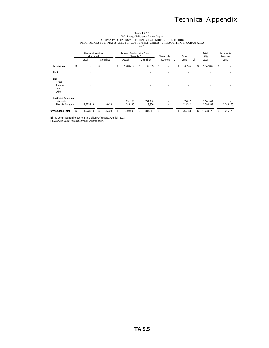### Table TA 5.1<br>2004 Energy Efficiency Annual Report<br>PROGRAM COST ESTIMATES USED FOR COST-EFFECTIVENESS - CROSSCUTTING PROGRAM AREA<br>PROGRAM COST ESTIMATES USED FOR COST-EFFECTIVENESS - CROSSCUTTING PROGRAM AREA 2003

|                            | Program Incentives<br>(Recorded) |   |                          | Program Administrative Costs<br>(Recorded) |    |           | Shareholder |                   |    | Other   |       | Total<br>Utility         | Incremental<br>Measure |           |  |
|----------------------------|----------------------------------|---|--------------------------|--------------------------------------------|----|-----------|-------------|-------------------|----|---------|-------|--------------------------|------------------------|-----------|--|
|                            | Actual                           |   | Committed                | Actual                                     |    | Committed |             | Incentives<br>[1] |    | Costs   | $[2]$ | Costs                    |                        | Costs     |  |
| Information                | \$<br>٠                          | ¢ |                          | \$<br>5488419                              | \$ | 92863     | \$          |                   | \$ | 61.565  | \$    | 5642847                  | $\mathbf{\hat{S}}$     |           |  |
| <b>FMS</b>                 | ٠                                |   | $\overline{\phantom{a}}$ | ٠                                          |    | $\sim$    |             | ٠                 |    |         |       | ٠                        |                        |           |  |
| EEI                        |                                  |   |                          |                                            |    |           |             |                   |    |         |       |                          |                        |           |  |
| <b>SPCs</b>                | ٠                                |   |                          |                                            |    |           |             | $\sim$            |    | $\sim$  |       | ٠                        |                        |           |  |
| <b>Rehates</b>             | ٠                                |   | ٠                        |                                            |    |           |             | ٠                 |    | $\sim$  |       | $\sim$                   |                        | ٠         |  |
| Loans                      | ٠                                |   |                          |                                            |    |           |             | ٠                 |    |         |       | $\overline{\phantom{a}}$ |                        | $\sim$    |  |
| Other                      | ٠                                |   | ٠                        | ٠                                          |    | х.        |             | ٠                 |    | х.      |       | $\sim$                   |                        | $\sim$    |  |
| <b>Unstream Programs</b>   |                                  |   |                          |                                            |    |           |             |                   |    |         |       |                          |                        |           |  |
| Information                | ٠                                |   | $\sim$                   | 1624 224                                   |    | 1 797 848 |             | ٠                 |    | 79837   |       | 3501909                  |                        |           |  |
| <b>Financial Assistanc</b> | 1.673.919                        |   | 36.428                   | 256.365                                    |    | 3.306     |             | ٠                 |    | 125.352 |       | 2.095.369                |                        | 7.266.175 |  |
| Crosscutting Total         | 1673919                          |   | 36 428                   | 369 008                                    |    | 1894017   |             |                   |    | 266 753 |       | 11 240 125               |                        | 7 266 175 |  |

[1] The Commission authorized no Shareholder Performance Awards in 2003. [2] Statewide Market Assessment and Evaluation costs.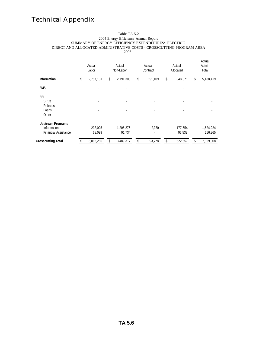#### Table TA 5.2 2004 Energy Efficiency Annual Report SUMMARY OF ENERGY EFFICIENCY EXPENDITURES: ELECTRIC DIRECT AND ALLOCATED ADMINISTRATIVE COSTS - CROSSCUTTING PROGRAM AREA 2003

|                             | Actual<br>Labor |    | Actual<br>Non-Labor | Actual<br>Contract |         |    | Actual<br>Allocated |    | Actual<br>Admin<br>Total |
|-----------------------------|-----------------|----|---------------------|--------------------|---------|----|---------------------|----|--------------------------|
| <b>Information</b>          | \$<br>2,757,131 | \$ | 2,191,308           | \$                 | 191,409 | \$ | 348,571             | \$ | 5,488,419                |
| <b>EMS</b>                  |                 |    |                     |                    |         |    |                     |    |                          |
| EEI                         |                 |    |                     |                    |         |    |                     |    |                          |
| <b>SPCs</b>                 |                 |    |                     |                    |         |    |                     |    |                          |
| Rebates                     |                 |    |                     |                    |         |    |                     |    |                          |
| Loans                       |                 |    |                     |                    |         |    |                     |    |                          |
| Other                       |                 |    |                     |                    |         |    |                     |    |                          |
| <b>Upstream Programs</b>    |                 |    |                     |                    |         |    |                     |    |                          |
| Information                 | 238,025         |    | 1,206,276           |                    | 2,370   |    | 177,554             |    | 1,624,224                |
| <b>Financial Assistance</b> | 68.099          |    | 91.734              |                    | ٠       |    | 96.532              |    | 256.365                  |
| <b>Crosscutting Total</b>   | 3,063,255       | S. | 3,489,317           |                    | 193,778 |    | 622,657             |    | 7,369,008                |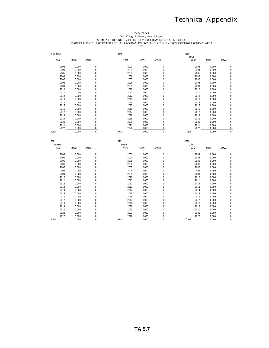Table TA 5.3<br>2004 Energy Efficiency Annual Report<br>MARKET EFFECTS: PROJECTED ANNUAL PROGRAM ENERGY REDUCTIONS - CROSSCUTTING PROGRAM AREA<br>2003<br>2003 2003

|              |                |                          | <b>FMS</b>   |                |                         | <b>FFI</b><br><b>SPCs</b> |                |                            |
|--------------|----------------|--------------------------|--------------|----------------|-------------------------|---------------------------|----------------|----------------------------|
| Year         | (MW)           | (MWH)                    | Year         | (MW)           | (MWH)                   | Year                      | (MW)           | (MWH)                      |
| 2003         | 0.000          | $\boldsymbol{0}$         | 2003         | 0.000          | 0                       | 2003                      | 0.000          | $\mathbf 0$                |
| 2004         | U UUU          | $\cap$                   | 2004         | U UUU          | $\cap$                  | 2004                      | 0.000          | $\cap$                     |
| 2005         | U UUU          | $\Omega$                 | 2005         | U UUU          | U                       | 2005                      | n nnn          | $\cap$                     |
| 2006         | U UUU          | $\cap$                   | 2006         | U UUU          | U                       | 2006                      | U UUU          | $\cap$                     |
| 2007         | 0.000          | $\mathbf 0$              | 2007         | 0.000          | 0                       | 2007                      | 0.000          | $\mathbf 0$                |
| 2008         | 0.000          | $\mathbf 0$              | 2008         | 0.000          | $\mathbf 0$             | 2008                      | 0.000          | $\mathbf{0}$               |
| 2009         | 0.000          | $\mathbf{0}$             | 2009         | 0.000          | $\mathbf 0$             | 2009                      | 0.000          | $\mathbf{0}$               |
| 2010         | 0.000          | $\mathbf{0}$             | 2010         | 0.000          | $\overline{0}$          | 2010                      | 0.000          | $\mathbf{0}$               |
| 2011         | n nnn          | $\Omega$                 | 2011         | 0.000          | $\Omega$                | 2011                      | 0.000          | $\cap$                     |
| 2012         | n nnn          | $\Omega$                 | 2012         | 0.000          | $\Omega$                | 2012                      | 0.000          | $\Omega$                   |
| 2013         | U UUU          | $\Omega$                 | 2013         | 0.000          | $\Omega$                | 2013                      | n nnn          | $\Omega$                   |
| 2014         | n nnn          | $\Omega$                 | 2014         | 0.000          | U                       | 2014                      | 0.000          | $\Omega$                   |
|              |                | $\mathbf{0}$             | 2015         |                | $\mathbf 0$             | 2015                      |                | $\mathbf{0}$               |
| 2015         | 0.000          |                          |              | 0.000          |                         |                           | 0.000          |                            |
| 2016         | 0.000          | $\mathbf{0}$             | 2016         | 0.000          | $\mathbf 0$             | 2016                      | 0.000          | $\mathbf{0}$               |
| 2017         | 0.000          | $\mathbf{0}$             | 2017         | 0.000          | 0                       | 2017                      | 0.000          | $\mathbf 0$                |
| 2018         | 0.000          | $\mathbf 0$              | 2018         | 0.000          | $\mathbf 0$             | 2018                      | 0.000          | $\bf{0}$                   |
| 2019         | U UUU          | $\Omega$                 | 2019         | U UUU          | U                       | 2019                      | U UUU          | $\cap$                     |
| 2020         | U UUU          | $\cap$                   | 2020         | U UUU          | U                       | 2020                      | U UUU          | $\cap$                     |
| 2021         | n nnn          | $\cap$                   | 2021         | 0.000          | $\cup$                  | 2021                      | 0.000          | $\Omega$                   |
| 2022         | 0.000          | $\Omega$                 | 2022         | 0.000          | $\Omega$                | 2022                      | 0.000          | $\Omega$                   |
| Total        | 0.000          | $\Omega$                 | Total        | 0.000          | $\Omega$                | Total                     | 0.000          | $\Omega$                   |
|              |                |                          |              |                |                         |                           |                |                            |
| EEI          |                |                          | EEI          |                |                         | EEI                       |                |                            |
| Rehates      |                |                          |              |                |                         |                           |                |                            |
| Year         |                |                          | Loans        |                |                         | Other                     |                |                            |
|              | (MW)           | (MWH)                    | Year         | (MW)           | (MWH)                   | Year                      | (MW)           | (MWH)                      |
| 2003         | 0.000          | $\bf{0}$                 | 2003         | 0.000          | 0                       | 2003                      | 0.000          | $\mathbf 0$                |
| 2004         | 0.000          | $\bf{0}$                 | 2004         | 0.000          | 0                       | 2004                      | 0.000          | $\mathbf 0$                |
| 2005         | 0.000          | $\mathbf 0$              | 2005         | 0.000          | 0                       | 2005                      | 0.000          | $\mathbf 0$                |
| 2006         | 0.000          | $\mathbf{0}$             | 2006         | 0.000          | $\mathbf 0$             | 2006                      | 0.000          | $\mathbf{0}$               |
| 2007         | n nnn          | $\Omega$                 | 2007         | 0.000          | U                       | 2007                      | 0.000          | $\Omega$                   |
| 2008         | n nnn          | $\Omega$                 | 2008         | 0.000          | U                       | 2008                      | 0.000          | $\cap$                     |
| 2009         | U UUU          | $\Omega$                 | 2009         | 0.000          | U                       | 2009                      | 0.000          | $\Omega$                   |
| 2010         | n nnn          | $\Omega$                 | 2010         | 0.000          | $\Omega$                | 2010                      | 0.000          | $\Omega$                   |
| 2011         | 0.000          | $\mathbf{0}$             | 2011         | 0.000          | $\mathbf 0$             | 2011                      | 0.000          | $\mathbf 0$                |
| 2012         | 0.000          | $\mathbf{0}$             | 2012         | 0.000          | $\overline{0}$          | 2012                      | 0.000          | $\mathbf{0}$               |
|              | 0.000          | $\overline{0}$           | 2013         | 0.000          | $\overline{0}$          | 2013                      | 0.000          | $\mathbf{0}$               |
| 2013<br>2014 | 0.000          | $\mathbf{0}$             | 2014         | 0.000          | $\mathbf 0$             | 2014                      | 0.000          | $\mathbf{0}$               |
| 2015         | U UUU          | $\cup$                   | 2015         | U UUU          | U                       | 2015                      | U UUU          | $\cap$                     |
| 2016         | U UUU          | $\Omega$                 | 2016         | U UUU          | U                       | 2016                      | U UUU          | $\cap$                     |
|              |                | $\Omega$                 | 2017         |                | U                       |                           |                |                            |
| 2017<br>2018 | U UUU<br>0.000 | $\mathbf 0$              | 2018         | U UUU<br>0.000 | 0                       | 2017<br>2018              | U UUU<br>0.000 | $\cap$<br>$\mathbf 0$      |
|              |                | $\mathbf{0}$             |              |                | $\overline{0}$          |                           |                | $\mathbf{0}$               |
| 2019         | 0.000          |                          | 2019         | 0.000          |                         | 2019                      | 0.000          |                            |
| 2020         | 0.000          | $\mathbf{0}$<br>$\Omega$ | 2020         | 0.000          | $\mathbf 0$<br>$\Omega$ | 2020                      | 0.000          | $\mathbf{0}$               |
| 2021<br>2022 | 0.000<br>0.000 | $\Omega$                 | 2021<br>2022 | 0.000<br>0.000 | $\Omega$                | 2021<br>2022              | 0.000<br>0.000 | $\overline{0}$<br>$\Omega$ |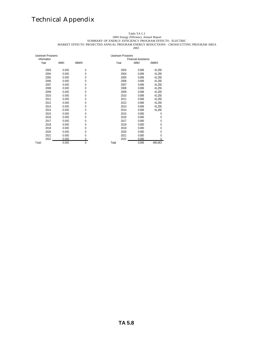#### Table TA 5.3

2004 Energy Efficiency Annual Report

SUMMARY OF ENERGY EFFICIENCY PROGRAM EFFECTS: ELECTRIC

MARKET EFFECTS: PROJECTED ANNUAL PROGRAM ENERGY REDUCTIONS - CROSSCUTTING PROGRAM AREA 

| Unstream Programs |       |          | <b>Unstream Programs</b>    |       |         |  |  |
|-------------------|-------|----------|-----------------------------|-------|---------|--|--|
| Information       |       |          | <b>Financial Assistance</b> |       |         |  |  |
| Year              | (MW)  | (MWH)    | Year                        | (MW)  | (MWH)   |  |  |
| 2003              | 0.000 | 0        | 2003                        | 0.006 | 41.255  |  |  |
| 2004              | 0.000 | 0        | 2004                        | 0.006 | 41.255  |  |  |
| 2005              | 0.000 | 0        | 2005                        | 0.006 | 41.255  |  |  |
| 2006              | 0.000 | $\Omega$ | 2006                        | 0.006 | 41.255  |  |  |
| 2007              | 0.000 | 0        | 2007                        | 0.006 | 41,255  |  |  |
| 2008              | 0.000 | $\Omega$ | 2008                        | 0.006 | 41,255  |  |  |
| 2009              | 0.000 | 0        | 2009                        | 0.006 | 41,255  |  |  |
| 2010              | 0.000 | 0        | 2010                        | 0.006 | 41,255  |  |  |
| 2011              | 0.000 | 0        | 2011                        | 0.006 | 41,255  |  |  |
| 2012              | 0.000 | 0        | 2012                        | 0.006 | 41,255  |  |  |
| 2013              | 0.000 | 0        | 2013                        | 0.006 | 41,255  |  |  |
| 2014              | 0.000 | 0        | 2014                        | 0.006 | 41,255  |  |  |
| 2015              | 0.000 | 0        | 2015                        | 0.000 | 0       |  |  |
| 2016              | 0.000 | 0        | 2016                        | 0.000 | 0       |  |  |
| 2017              | 0.000 | $\Omega$ | 2017                        | 0.000 | 0       |  |  |
| 2018              | 0.000 | $\Omega$ | 2018                        | 0.000 | 0       |  |  |
| 2019              | 0.000 | $\Omega$ | 2019                        | 0.000 | 0       |  |  |
| 2020              | 0.000 | $\Omega$ | 2020                        | 0.000 | 0       |  |  |
| 2021              | 0.000 | 0        | 2021                        | 0.000 | 0       |  |  |
| 2022              | 0.000 | 0        | 2022                        | 0.000 | 0       |  |  |
| Total             | 0.000 | 0        | Total                       | 0.006 | 495,063 |  |  |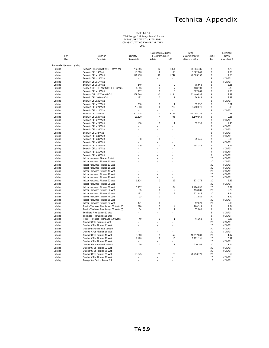# Table TA 5.4 2004 Energy Efficiency Annual Report MEASURE DETAIL: ELECTRIC CROSSCUTTING PROGRAM AREA 2003

|                               |                                                                |            | <b>Total Resource Costs</b>    |                | Total                    |                   | hevelized               |
|-------------------------------|----------------------------------------------------------------|------------|--------------------------------|----------------|--------------------------|-------------------|-------------------------|
| End                           | Measure                                                        | Quantity   | (Recorded \$000)               |                | <b>Resource Benefits</b> | Useful            | Costs                   |
| lke                           | Description                                                    | (Recorded) | Admin                          | IMC            | (I ifervrle kWh)         | I ife             | (rents/kWh)             |
| Residential Upstream Lighting |                                                                |            |                                |                |                          |                   |                         |
| I inhtinn                     | Screw-in CELs 13 Watt (800 Lumens or >)                        | 262 856    | 42                             | 1851           | 65 304 786               | $\mathsf{o}$      | 4.20                    |
| Lighting                      | Screw-in CEL 14 Watt                                           | 16,000     | $\mathcal{P}$                  | 113            | 3 827 866                | $\mathsf{Q}$      | 436                     |
| Liahtina                      | Screw-in CFLs 15 Watt                                          | 176.418    | 26                             | 1.242          | 40.583.197               | 9                 | 4.53                    |
| I inhtinn                     | Screw-in CELs 16 Watt                                          | ÷          |                                |                |                          | $\mathsf q$       | #DIV/01                 |
| I inhtinn                     | Screw-in CELs 17 Watt                                          |            |                                |                |                          | $\mathsf q$       | #DIV/01                 |
| Liahtina                      | Screw-in CFLs 18 Watt                                          | 240        | $\boldsymbol{0}$               | $\overline{2}$ | 70.668                   | 9                 | 3.56                    |
| <b>Lighting</b>               | Screw-in CEL 18.1 Watt (s=1100 Lumens)                         | 1.056      | $\Omega$                       | $\overline{7}$ | 408 109                  | $\mathsf q$       | 773                     |
| I inhtinn                     | Screw-in CELs 19 Watt                                          | 867        | $\Omega$                       | 6              | 327 089                  | $\overline{Q}$    | 280                     |
| Lighting                      | Screw-in CEL 20 Watt (01-04)                                   | 169 646    | 40                             | 1 1 9 4<br>1   | 62 440 585               | 9<br>$\mathsf{Q}$ | 2.87                    |
| Lighting                      | Screw-in CEL 20 Watt (O4)                                      | 182        | $\Omega$                       |                | 66 988                   |                   | 287                     |
| I inhtinn                     | Screw-in CELs 21 Watt                                          | ÷          |                                |                |                          | $\mathsf q$       | #DIV/01                 |
| I inhtinn                     | Screw-in CELs 22 Watt<br>Screw-in CFLs 23 Watt                 | 200        | $\Omega$                       | 1              | 69 932                   | $\mathsf q$<br>9  | 3 <sub>01</sub><br>3.09 |
| Liahtina<br>I inhtinn         | Screw-in CELs 24 Watt                                          | 28.638     | 6                              | 202            | 9.750.071                | $\mathsf q$       | #DIV/01                 |
| I inhtinn                     | Screw-in CEL 25 Watt                                           | 302336     | 90                             | 2128           | 139 098 747              | $\overline{Q}$    | 231                     |
| Liahtina                      | Screw-in CFLs 26 Watt                                          | 13.620     | 4                              | 96             | 6.140.964                | 9                 | 2.36                    |
| I inhtinn                     | Screw-in CELs 27 Watt                                          |            |                                |                |                          | $\mathsf Q$       | #DIV/01                 |
| I inhtinn                     | Screw-in CELs 28 Watt                                          | 160        | $\Omega$                       | $\mathbf{1}$   | 69 196                   | $\mathsf q$       | 245                     |
| Liahtina                      | Screw-in CFLs 29 Watt                                          |            |                                |                |                          | $\mathsf{q}$      | #DIV/0!                 |
| I inhtinn                     | Screw-in CELs 30 Watt                                          |            |                                |                |                          | $\mathsf{Q}$      | #DIV/01                 |
| I inhtinn                     | Screw-in CEL 32 Watt                                           |            |                                |                |                          | $\mathsf q$       | #DIV/01                 |
| I inhtinn                     | Screw-in CELs 34 Watt                                          |            |                                |                |                          | $\mathsf Q$       | #DIV/01                 |
| I inhtinn                     | Screw-in CELs 36 Watt                                          | 50         | $\Omega$                       | $\Omega$       | 29 445                   | $\mathsf{Q}$      | 2.06                    |
| I inhtinn                     | Screw-in CELs 38 Watt                                          |            |                                |                |                          | $\mathsf{Q}$      | #DIV/01                 |
| I inhtinn                     | Screw-in CELs 40 Watt                                          | 100        | $\Omega$                       | $\mathbf{1}$   | 101 218                  | $\mathsf{Q}$      | 1 24                    |
| Liahtina                      | Screw-in CFLs 42 Watt                                          |            |                                |                |                          | $\mathsf{q}$      | #DIV/0!                 |
| I inhtinn                     | Screw-in CELs 45 Watt                                          |            |                                |                |                          | $\mathsf{Q}$      | #DIV/01                 |
| I inhtinn                     | Screw-in CELs 55 Watt                                          |            |                                |                |                          | $\mathsf{Q}$      | #DIV/01                 |
| Liahtina                      | Indoor Hardwired Fixtures 7 Watt                               |            |                                |                |                          | 20                | #DIV/0!                 |
| I inhtinn                     | Indoor Hardwired Fixtures 11 Watt                              |            |                                |                |                          | 20                | #DIV/01                 |
| I inhtinn                     | Indoor Hardwired Fixtures 13 Watt                              |            |                                |                |                          | 20                | #DIV/01                 |
| Liahtina                      | Indoor Hardwired Fixtures 16 Watt                              |            |                                |                |                          | 20                | #DIV/0!                 |
| I inhtinn                     | Indoor Hardwired Fixtures 18 Watt                              |            |                                |                |                          | 20                | #DIV/01                 |
| I inhtinn                     | Indoor Hardwired Fixtures 20 Watt                              |            |                                |                |                          | 20                | #DIV/01                 |
| Liahtina                      | Indoor Hardwired Fixtures 21 Watt                              |            |                                |                |                          | 20                | #DIV/0!                 |
| I inhtinn                     | Indoor Hardwired Fixtures 22 Watt                              | 1 1 2 4    | $\Omega$                       | 79             | 873 375                  | 20                | 6.89                    |
| I inhtinn                     | Indoor Hardwired Fixtures 25 Watt                              |            |                                |                |                          | 20                | #DIV/01                 |
| I inhtinn                     | Indoor Hardwired Fixtures 30 Watt                              | 5 237      | $\boldsymbol{\Lambda}$         | 134            | 7 496 032                | 20                | 379                     |
| Liahtina                      | Indoor Hardwired Fixtures 32 Watt                              | 65         | $\mathbf{0}$                   | 2              | 156.836                  | 20                | 2.29                    |
| I inhtinn                     | Indoor Hardwired Fixtures 40 Watt                              | 182        | $\Omega$                       | $\overline{5}$ | 521 015                  | 20                | 194                     |
| I inhtinn                     | Indoor Hardwired Fixtures 54 Watt                              | 72         | $\Omega$                       | $\mathfrak{D}$ | 214 949                  | 20                | 187                     |
| Liahtina                      | Indoor Hardwired Fixtures 55 Watt                              |            |                                |                |                          | 20                | #DIV/0!                 |
| I inhtinn                     | Indoor Hardwired Fixtures 64 Watt                              | 321        | $\Omega$                       | R              | 892 678                  | 20                | 200                     |
| I inhtinn                     | Retail - Torchiere Floor Lamps 55 Watts (O                     | 216        | $\boldsymbol{\mathsf{\Omega}}$ | $\overline{A}$ | 268 319                  | $\mathsf{Q}$      | 224                     |
| Lighting                      | Retail - Torchiere Floor Lamps 55 Watts (Q                     | 54         | $\mathbf{0}$                   | 1              | 67.080                   | 9                 | 2.24                    |
| I inhtinn                     | Torchiere Floor Lamps 63 Watt                                  |            |                                |                |                          | $\mathsf{o}$      | #DIV/01                 |
| I inhtinn                     | Torchiere Eloor Lamps 65 Watt                                  |            |                                |                | ÷                        | $\mathsf{Q}$      | #DIV/01                 |
| Liahtina                      | Retail - Torchiere Floor Lamps 70 Watts                        | 40         | $\mathbf{0}$                   | 1              | 44.168                   | 9                 | 3.88                    |
| Lighting                      | Outdoor CELs Eixtures 7 Watt                                   |            |                                |                |                          | 20                | #DIV/01                 |
| <b>Lighting</b>               | Outdoor CELs Eixtures 11 Watt                                  |            |                                |                |                          | 20                | #DIV/01                 |
| I inhtinn                     | Outdoor Fixtures Flood 13 Watt                                 |            |                                |                |                          | 20                | #DIV/01                 |
| I inhtinn                     | Outdoor CELs Fixtures 16 Watt                                  |            |                                |                |                          | 20                | #DIV/01                 |
| I inhtinn                     | Outdoor CELs Fixtures 18 Watt                                  | 5.000      | 5                              | 52             | 10 012 800               | 20                | 1 1 7                   |
| Lighting                      | Outdoor CELs Eixtures 20 Watt                                  | 1 488      | $\mathfrak{D}$                 | 15             | 3 902 131                | 20                | 0.92                    |
| Liahtina                      | Outdoor CFLs Fixtures 25 Watt                                  |            |                                |                |                          | 20                | #DIV/0!                 |
| I inhtinn                     | Outdoor Fixtures Flood 26 Watt                                 | 90         | $\Omega$                       | $\mathbf{1}$   | 210 269                  | 20                | 1.44                    |
| I inhtinn                     | Outdoor CELs Eixtures 32 Watt                                  |            |                                | i,             | ä,                       | 20<br>20          | #DIV/01                 |
| Liahtina<br>I inhtinn         | Outdoor CFLs Fixtures 55 Watt<br>Outdoor CELs Eixtures 65 Watt | 10 945     | 35                             | 166            | 70 450 776               | 20                | #DIV/0!<br>0.59         |
| I inhtinn                     | Outdoor CELs Fixtures 70 Watt                                  |            |                                |                |                          | 20                | #DIV/01                 |
| Lighting                      | Energy Star Ceiling Fan w/ CFL                                 |            |                                |                |                          | 15                | #DIV/0!                 |
|                               |                                                                |            |                                |                |                          |                   |                         |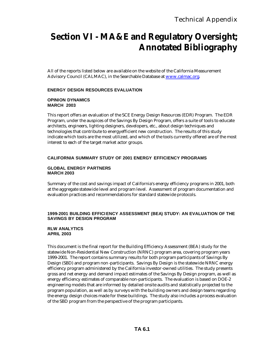# **Section VI - MA&E and Regulatory Oversight; Annotated Bibliography**

All of the reports listed below are available on the website of the California Measurement Advisory Council (CALMAC), in the Searchable Database at www.calmac.org.

#### **ENERGY DESIGN RESOURCES EVALUATION**

#### **OPINION DYNAMICS MARCH 2003**

This report offers an evaluation of the SCE Energy Design Resources (EDR) Program. The EDR Program, under the auspices of the Savings By Design Program, offers a suite of tools to educate architects, engineers, lighting designers, developers, etc., about design techniques and technologies that contribute to energyefficient new construction. The results of this study indicate which tools are the most utilized, and which of the tools currently offered are of the most interest to each of the target market actor groups.

#### **CALIFORNIA SUMMARY STUDY OF 2001 ENERGY EFFICIENCY PROGRAMS**

#### **GLOBAL ENERGY PARTNERS MARCH 2003**

Summary of the cost and savings impact of California's energy efficiency programs in 2001, both at the aggregate statewide level and program level. Assessment of program documentation and evaluation practices and recommendations for standard statewide protocols.

#### **1999-2001 BUILDING EFFICIENCY ASSESSMENT (BEA) STUDY: AN EVALUATION OF THE SAVINGS BY DESIGN PROGRAM**

#### **RLW ANALYTICS APRIL 2003**

This document is the final report for the Building Efficiency Assessment (BEA) study for the statewide Non-Residential New Construction (NRNC) program area, covering program years 1999-2001. The report contains summary results for both program participants of Savings By Design (SBD) and program non -participants. Savings By Design is the statewide NRNC energy efficiency program administered by the California investor-owned utilities. The study presents gross and net energy and demand impact estimates of the Savings By Design program, as well as energy efficiency estimates of comparable non-participants. The evaluation is based on DOE-2 engineering models that are informed by detailed onsite audits and statistically projected to the program population, as well as by surveys with the building owners and design teams regarding the energy design choices made for these buildings. The study also includes a process evaluation of the SBD program from the perspective of the program participants.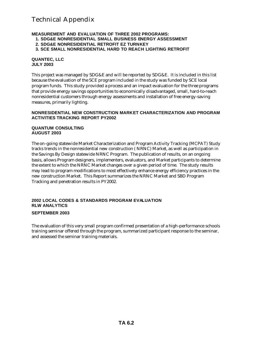#### **MEASUREMENT AND EVALUATION OF THREE 2002 PROGRAMS:**

- **1. SDG&E NONRESIDENTIAL SMALL BUSINESS ENERGY ASSESSMENT**
- **2. SDG&E NONRESIDENTIAL RETROFIT EZ TURNKEY**
- **3. SCE SMALL NONRESIDENTIAL HARD TO REACH LIGHTING RETROFIT**

#### **QUANTEC, LLC JULY 2003**

This project was managed by SDG&E and will be reported by SDG&E. It is included in this list because the evaluation of the SCE program included in the study was funded by SCE local program funds. This study provided a process and an impact evaluation for the three programs that provide energy savings opportunities to economically disadvantaged, small, hard-to-reach nonresidential customers through energy assessments and installation of free energy-saving measures, primarily lighting.

#### **NONRESIDENTIAL NEW CONSTRUCTION MARKET CHARACTERIZATION AND PROGRAM ACTIVITIES TRACKING REPORT PY2002**

#### **QUANTUM CONSULTING AUGUST 2003**

The on-going statewide Market Characterization and Program Activity Tracking (MCPAT) Study tracks trends in the nonresidential new construction ( NRNC) Market, as well as participation in the Savings By Design statewide NRNC Program. The publication of results, on an ongoing basis, allows Program designers, implementers, evaluators, and Market participants to determine the extent to which the NRNC Market changes over a given period of time. The study results may lead to program modifications to most effectively enhance energy efficiency practices in the new construction Market. This Report summarizes the NRNC Market and SBD Program Tracking and penetration results in PY2002.

#### **2002 LOCAL CODES & STANDARDS PROGRAM EVALUATION RLW ANALYTICS**

#### **SEPTEMBER 2003**

The evaluation of this very small program confirmed presentation of a high-performance schools training seminar offered through the program, summarized participant response to the seminar, and assessed the seminar training materials.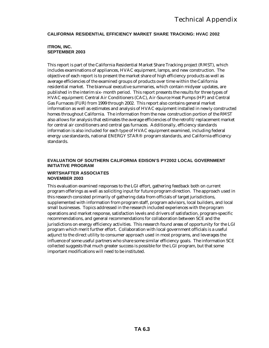#### **CALIFORNIA RESIDENTIAL EFFICIENCY MARKET SHARE TRACKING: HVAC 2002**

#### **ITRON, INC. SEPTEMBER 2003**

This report is part of the California Residential Market Share Tracking project (R MST), which includes examinations of appliances, HVAC equipment, lamps, and new construction. The objective of each report is to present the market share of high efficiency products as well as average efficiencies of the examined groups of products over time within the California residential market. The biannual executive summaries, which contain midyear updates, are published in the interim six- month period. This report presents the results for three types of HVAC equipment: Central Air Conditioners (CAC), Air-Source Heat Pumps (HP) and Central Gas Furnaces (FUR) from 1999 through 2002. This report also contains general market information as well as estimates and analysis of HVAC equipment installed in newly constructed homes throughout California. The information from the new construction portion of the RMST also allows for analysis that estimates the average efficiencies of the retrofit/replacement market for central air conditioners and central gas furnaces. Additionally, efficiency standards information is also included for each type of HVAC equipment examined, including federal energy use standards, national ENERGY STAR® program standards, and California efficiency standards.

#### **EVALUATION OF SOUTHERN CALIFORNIA EDISON'S PY2002 LOCAL GOVERNMENT INITIATIVE PROGRAM**

#### **WIRTSHAFTER ASSOCIATES NOVEMBER 2003**

This evaluation examined responses to the LGI effort, gathering feedback both on current program offerings as well as soliciting input for future program direction. The approach used in this research consisted primarily of gathering data from officials of target jurisdictions, supplemented with information from program staff, program advisors, local builders, and local small businesses. Topics addressed in the research included experiences with the program operations and market response, satisfaction levels and drivers of satisfaction, program-specific recommendations, and general recommendations for collaboration between SCE and the jurisdictions on energy efficiency activities. This research found areas of opportunity for the LGI program which merit further effort. Collaboration with local government officials is a useful adjunct to the direct utility to consumer approach used in most programs, and leverages the influence of some useful partners who share some similar efficiency goals. The information SCE collected suggests that much greater success is possible for the LGI program, but that some important modifications will need to be instituted.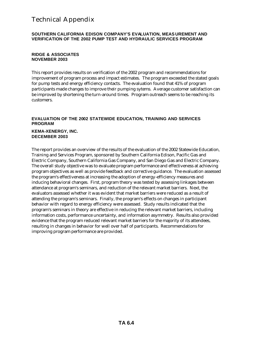#### **SOUTHERN CALIFORNIA EDISON COMPANY'S EVALUATION, MEAS UREMENT AND VERIFICATION OF THE 2002 PUMP TEST AND HYDRAULIC SERVICES PROGRAM**

#### **RIDGE & ASSOCIATES NOVEMBER 2003**

This report provides results on verification of the 2002 program and recommendations for improvement of program process and impact estimates. The program exceeded the stated goals for pump tests and energy efficiency contacts. The evaluation found that 41% of program participants made changes to improve their pumping sytems. Average customer satisfaction can be improved by shortening the turn-around times. Program outreach seems to be reaching its customers.

#### **EVALUATION OF THE 2002 STATEWIDE EDUCATION, TRAINING AND SERVICES PROGRAM**

#### **KEMA-XENERGY, INC. DECEMBER 2003**

The report provides an overview of the results of the evaluation of the 2002 Statewide Education, Training and Services Program, sponsored by Southern California Edison, Pacific Gas and Electric Company, Southern California Gas Company, and San Diego Gas and Electric Company. The overall study objective was to evaluate program performance and effectiveness at achieving program objectives as well as provide feedback and corrective guidance. The evaluation assessed the program's effectiveness at increasing the adoption of energy-efficiency measures and inducing behavioral changes. First, program theory was tested by assessing linkages between attendance at program's seminars, and reduction of the relevant market barriers. Next, the evaluators assessed whether it was evident that market barriers were reduced as a result of attending the program's seminars. Finally, the program's effects on changes in participant behavior with regard to energy efficiency were assessed. Study results indicated that the program's seminars in theory are effective in reducing the relevant market barriers, including information costs, performance uncertainty, and information asymmetry. Results also provided evidence that the program reduced relevant market barriers for the majority of its attendees, resulting in changes in behavior for well over half of participants. Recommendations for improving program performance are provided.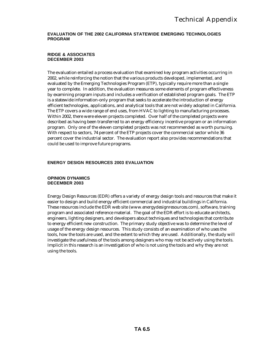#### **EVALUATION OF THE 2002 CALIFORNIA STATEWIDE EMERGING TECHNOLOGIES PROGRAM**

#### **RIDGE & ASSOCIATES DECEMBER 2003**

The evaluation entailed a process evaluation that examined key program activities occurring in 2002, while reinforcing the notion that the various products developed, implemented, and evaluated by the Emerging Technologies Program (ETP), typically require more than a single year to complete. In addition, the evaluation measures some elements of program effectiveness by examining program inputs and includes a verification of established program goals. The ETP is a statewide information-only program that seeks to accelerate the introduction of energy efficient technologies, applications, and analytical tools that are not widely adopted in California. The ETP covers a wide range of end uses, from HVAC to lighting to manufacturing processes. Within 2002, there were eleven projects completed. Over half of the completed projects were described as having been transferred to an energy efficiency incentive program or an information program. Only one of the eleven completed projects was not recommended as worth pursuing. With respect to sectors, 74 percent of the ETP projects cover the commercial sector while 36 percent cover the industrial sector. The evaluation report also provides recommendations that could be used to improve future programs.

#### **ENERGY DESIGN RESOURCES 2003 EVALUATION**

#### **OPINION DYNAMICS DECEMBER 2003**

Energy Design Resources (EDR) offers a variety of energy design tools and resources that make it easier to design and build energy efficient commercial and industrial buildings in California. These resources include the EDR web site (www.energydesignresources.com), software, training program and associated reference material. The goal of the EDR effort is to educate architects, engineers, lighting designers, and developers about techniques and technologies that contribute to energy efficient new construction. The primary study objective was to determine the level of usage of the energy design resources. This study consists of an examination of who uses the tools, how the tools are used, and the extent to which they are used. Additionally, the study will investigate the usefulness of the tools among designers who may not be actively using the tools. Implicit in this research is an investigation of who is not using the tools and why they are not using the tools.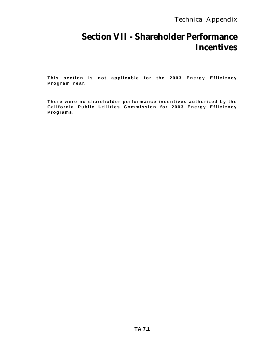# **Section VII - Shareholder Performance Incentives**

**This section is not applicable for the 2003 Energy Efficiency Program Year.**

**There were no shareholder performance incentives authorized by the California Public Utilities Commission for 2003 Energy Efficiency Programs.**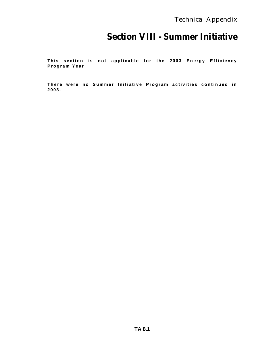# **Section VIII - Summer Initiative**

**This section is not applicable for the 2003 Energy Efficiency Program Year.**

**There were no Summer Initiative Program activities continued in 2003.**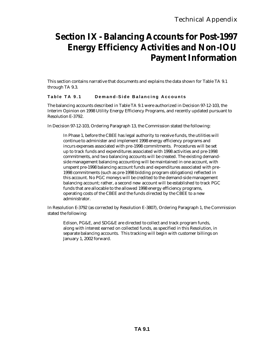# **Section IX - Balancing Accounts for Post-1997 Energy Efficiency Activities and Non-IOU Payment Information**

This section contains narrative that documents and explains the data shown for Table TA 9.1 through TA 9.3.

#### **Table TA 9.1 Demand -Side Balancing Accounts**

The balancing accounts described in Table TA 9.1 were authorized in Decision 97-12-103, the Interim Opinion on 1998 Utility Energy Efficiency Programs, and recently updated pursuant to Resolution E-3792.

In Decision 97-12-103, Ordering Paragraph 13, the Commission stated the following:

In Phase 1, before the CBEE has legal authority to receive funds, the utilities will continue to administer and implement 1998 energy efficiency programs and incurs expenses associated with pre-1998 commitments. Procedures will be set up to track funds and expenditures associated with 1998 activities and pre-1998 commitments, and two balancing accounts will be created. The existing demandside management balancing accounting will be maintained in one account, with unspent pre-1998 balancing account funds and expenditures associated with pre-1998 commitments (such as pre-1998 bidding program obligations) reflected in this account. No PGC moneys will be credited to the demand-side management balancing account; rather, a second new account will be established to track PGC funds that are allocable to the allowed 1998 energy efficiency programs, operating costs of the CBEE and the funds directed by the CBEE to a new administrator.

In Resolution E-3792 (as corrected by Resolution E-3807), Ordering Paragraph 1, the Commission stated the following:

Edison, PG&E, and SDG&E are directed to collect and track program funds, along with interest earned on collected funds, as specified in this Resolution, in separate balancing accounts. This tracking will begin with customer billings on January 1, 2002 forward.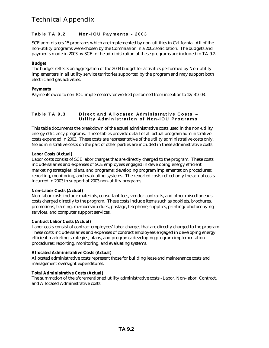#### **Table TA 9.2 Non-IOU Payments - 2003**

SCE administers 15 programs which are implemented by non-utilities in California. All of the non-utility programs were chosen by the Commission in a 2002 solicitation. The budgets and payments made in 2003 by SCE in the administration of these programs are included in TA 9.2.

#### **Budget**

The budget reflects an aggregation of the 2003 budget for activities performed by Non-utility implementers in all utility service territories supported by the program and may support both electric and gas activities.

#### **Payments**

Payments owed to non-IOU implementers for worked performed from inception to 12/31/03.

#### **Table TA 9.3 Direct and Allocated Administrative Costs – Utility Administration of Non -IOU Programs**

This table documents the breakdown of the actual administrative costs used in the non-utility energy efficiency programs. These tables provide detail of all actual program administrative costs expended in 2003. These costs are representative of the utility administrative costs only. No administrative costs on the part of other parties are included in these administrative costs.

#### **Labor Costs (Actual)**

Labor costs consist of SCE labor charges that are directly charged to the program. These costs include salaries and expenses of SCE employees engaged in developing energy efficient marketing strategies, plans, and programs; developing program implementation procedures; reporting, monitoring, and evaluating systems. The reported costs reflect only the actual costs incurred in 2003 in support of 2003 non-utility programs.

#### **Non-Labor Costs (Actual)**

Non-labor costs include materials, consultant fees, vendor contracts, and other miscellaneous costs charged directly to the program. These costs include items such as booklets, brochures, promotions, training, membership dues, postage, telephone, supplies, printing/photocopying services, and computer support services.

#### **Contract Labor Costs (Actual)**

Labor costs consist of contract employees' labor charges that are directly charged to the program. These costs include salaries and expenses of contract employees engaged in developing energy efficient marketing strategies, plans, and programs; developing program implementation procedures; reporting, monitoring, and evaluating systems.

#### **Allocated Administrative Costs (Actual)**

Allocated administrative costs represent those for building lease and maintenance costs and management oversight expenditures.

#### **Total Administrative Costs (Actual)**

The summation of the aforementioned utility administrative costs - Labor, Non-labor, Contract, and Allocated Administrative costs.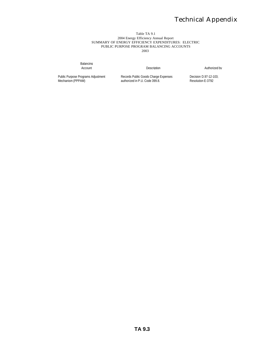#### Table TA 9.1 2004 Energy Efficiency Annual Report SUMMARY OF ENERGY EFFICIENCY EXPENDITURES: ELECTRIC PUBLIC PURPOSE PROGRAM BALANCING ACCOUNTS 2003

Balancing<br>Account

**Description Authorized by** 

Public Purpose Programs Adjustment Mechanism (PPPAM)

Records Public Goods Charge Expenses authorized in P.U. Code 399.8.

Decision D.97-12-103; Resolution E-3792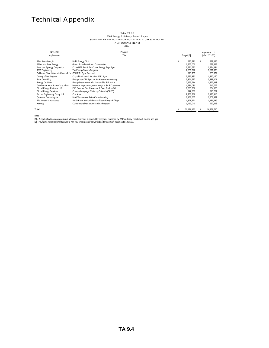# Table TA 9.2<br>2004 Energy Efficiency Annual Report<br>SUMMARY OF ENERGY EFFICIENCY EXPENDITURES: ELECTRIC<br>NON-IOUPAYMENTS<br>2003

| Non-IOU<br>Implementer                                           | Program<br>Title                                         | Budget [1] |                        | Payments [2]<br>(a/o 12/31/03) |                      |
|------------------------------------------------------------------|----------------------------------------------------------|------------|------------------------|--------------------------------|----------------------|
| ADM Associates, Inc.                                             | Mobil Energy Clinic<br>Green Schools & Green Communities | \$         | 695.211                |                                | 372.835              |
| Alliance to Save Energy<br>American Synergy Corporation          | Comp HTR Res & Sm Comm Energy Svgs Pgm                   |            | 1.265.000<br>2.891.523 |                                | 539.588<br>1.394.844 |
| <b>ASW Engineering</b>                                           | The Energy Savers Program                                |            | 2,556,396              |                                | 1.591.308            |
| California State University Chancellor's (CSU E.E. Pqrm Proposal |                                                          |            | 513.953                |                                | 285.669              |
| County of Los Angeles                                            | Cnty of LA Internal Sycs Div. E.E. Pam                   |            | 3.233.333              |                                | 1.390.150            |
| Ecos Consulting                                                  | Energy Star CFL Pam for Sm Hardware & Grocery            |            | 5.366.577              |                                | 3.338.001            |
| <b>Energy Coalition</b>                                          | Energy Dist Approach for Sustanable E.E. in CAL          |            | 2.925.714              |                                | 1.857.893            |
| Geothermal Heat Pump Consortium                                  | Proposal to promote geoexchange to SCE Customers         |            | 1.236.030              |                                | 546.772              |
| Global Energy Partners, LLC                                      | E.E. Svcs for Elec Consump. & Dem. Red. In Oil           |            | 1.665.366              |                                | 534,856              |
| <b>Global Energy Services</b>                                    | Chinese Language Efficiency Outreach (CLEO)              |            | 342.867                |                                | 315.751              |
| Proctor Engineering Group Ltd.                                   | Check Me                                                 |            | 2.738.286              |                                | 1.170.915            |
| Quantum Consulting Inc                                           | Muni Wastewater Retro-Commissioning                      |            | 1.467.565              |                                | 1.301.991            |
| Rita Norton & Associates                                         | South Bay Communicties & Affiliates Energy Eff Pam       |            | 1.828.571              |                                | 1.136.539            |
| Xenergy                                                          | Comprehensive Compressed Air Program                     |            | 1,463,040              |                                | 962,598              |
| Total                                                            |                                                          |            | 30.189.432             |                                | 16.739.710           |

notes -

[1] - Budget reflects an aggregation of all service territories supported by programs managed by SCE and may include both electric and gas.<br>[2] - Payments reflect payments owed to non-IOU implementer for worked performed f